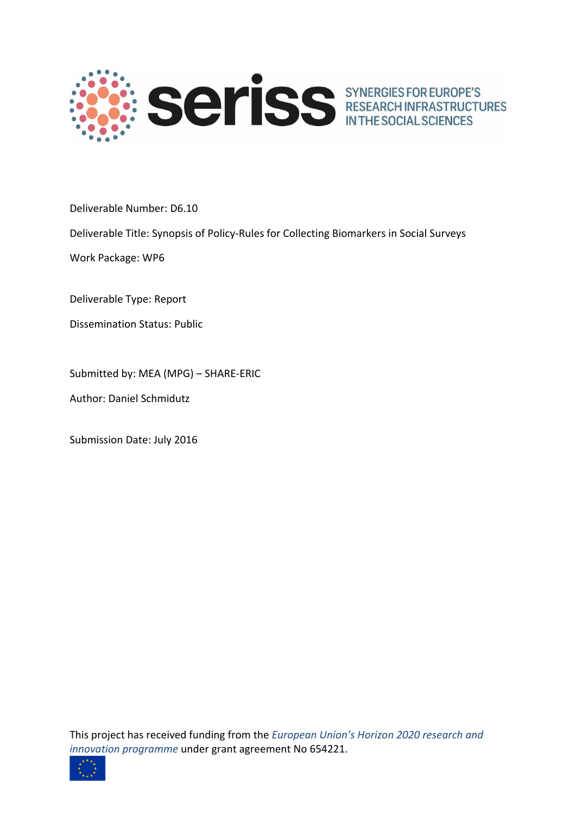

Deliverable Number: D6.10

Deliverable Title: Synopsis of Policy-Rules for Collecting Biomarkers in Social Surveys

Work Package: WP6

Deliverable Type: Report

Dissemination Status: Public

Submitted by: MEA (MPG) – SHARE-ERIC

Author: Daniel Schmidutz

Submission Date: July 2016

This project has received funding from the *European Union's Horizon 2020 research and innovation programme* under grant agreement No 654221.

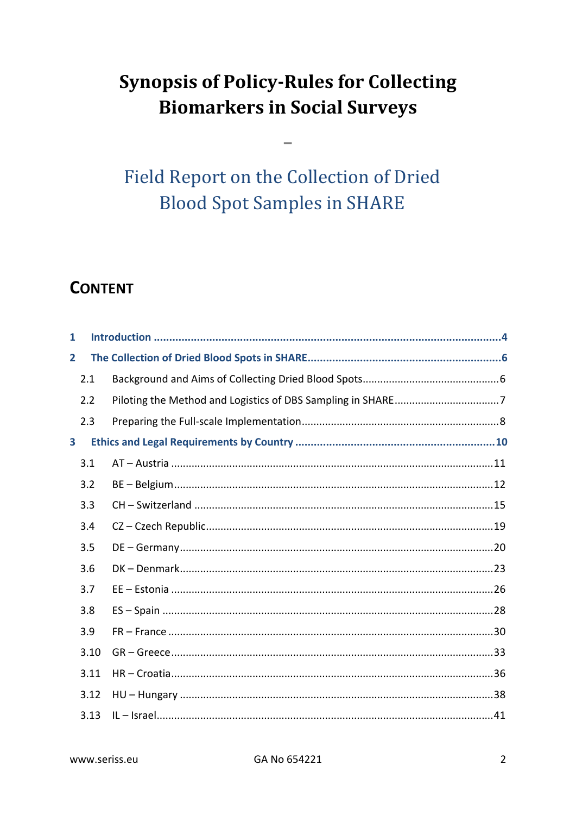# **Synopsis of Policy-Rules for Collecting Biomarkers in Social Surveys**

**Field Report on the Collection of Dried Blood Spot Samples in SHARE** 

# **CONTENT**

| $\mathbf{1}$            |      |  |
|-------------------------|------|--|
| $\mathbf{2}$            |      |  |
|                         | 2.1  |  |
|                         | 2.2  |  |
|                         | 2.3  |  |
| $\overline{\mathbf{3}}$ |      |  |
|                         | 3.1  |  |
|                         | 3.2  |  |
|                         | 3.3  |  |
|                         | 3.4  |  |
|                         | 3.5  |  |
|                         | 3.6  |  |
|                         | 3.7  |  |
|                         | 3.8  |  |
|                         | 3.9  |  |
|                         | 3.10 |  |
|                         | 3.11 |  |
|                         | 3.12 |  |
|                         | 3.13 |  |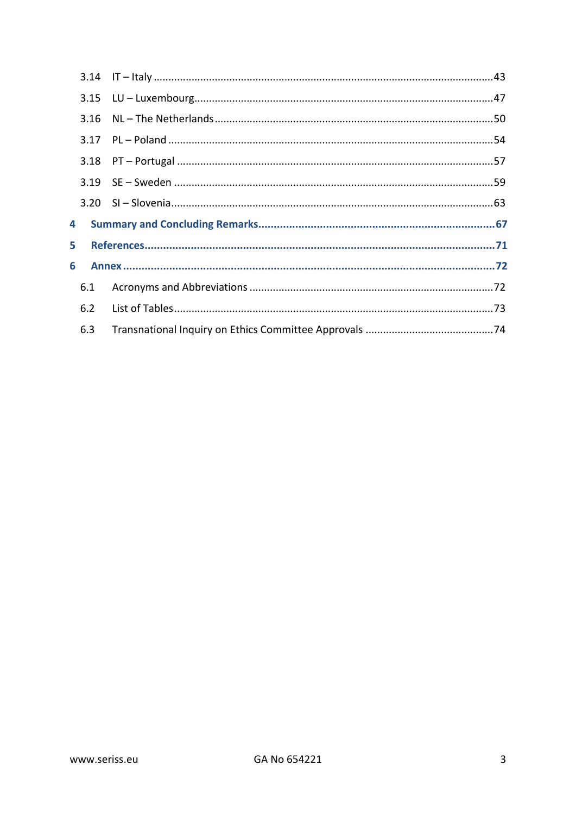| 4 |     |  |
|---|-----|--|
| 5 |     |  |
| 6 |     |  |
|   | 6.1 |  |
|   | 6.2 |  |
|   | 6.3 |  |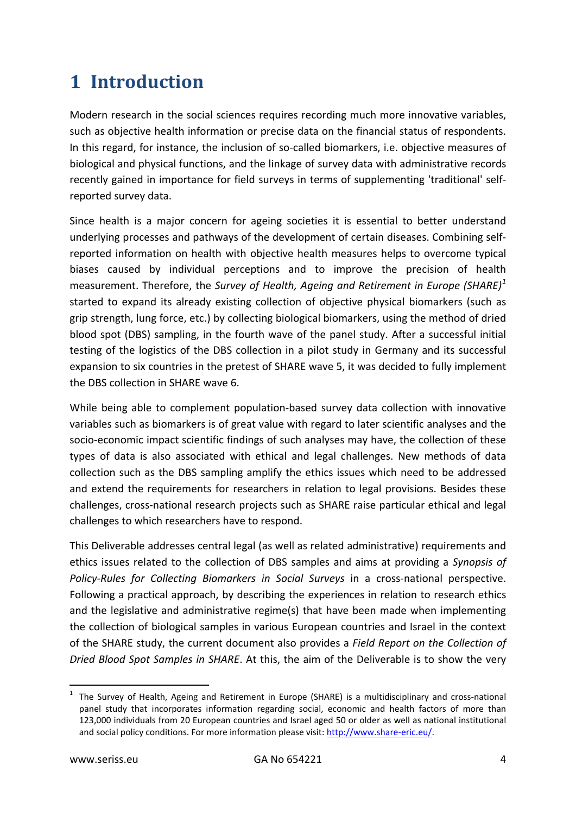# <span id="page-3-0"></span>**1 Introduction**

Modern research in the social sciences requires recording much more innovative variables, such as objective health information or precise data on the financial status of respondents. In this regard, for instance, the inclusion of so-called biomarkers, i.e. objective measures of biological and physical functions, and the linkage of survey data with administrative records recently gained in importance for field surveys in terms of supplementing 'traditional' selfreported survey data.

Since health is a major concern for ageing societies it is essential to better understand underlying processes and pathways of the development of certain diseases. Combining selfreported information on health with objective health measures helps to overcome typical biases caused by individual perceptions and to improve the precision of health measurement. Therefore, the *Survey of Health, Ageing and Retirement in Europe (SHARE)[1](#page-3-1)* started to expand its already existing collection of objective physical biomarkers (such as grip strength, lung force, etc.) by collecting biological biomarkers, using the method of dried blood spot (DBS) sampling, in the fourth wave of the panel study. After a successful initial testing of the logistics of the DBS collection in a pilot study in Germany and its successful expansion to six countries in the pretest of SHARE wave 5, it was decided to fully implement the DBS collection in SHARE wave 6.

While being able to complement population-based survey data collection with innovative variables such as biomarkers is of great value with regard to later scientific analyses and the socio-economic impact scientific findings of such analyses may have, the collection of these types of data is also associated with ethical and legal challenges. New methods of data collection such as the DBS sampling amplify the ethics issues which need to be addressed and extend the requirements for researchers in relation to legal provisions. Besides these challenges, cross-national research projects such as SHARE raise particular ethical and legal challenges to which researchers have to respond.

This Deliverable addresses central legal (as well as related administrative) requirements and ethics issues related to the collection of DBS samples and aims at providing a *Synopsis of Policy-Rules for Collecting Biomarkers in Social Surveys* in a cross-national perspective. Following a practical approach, by describing the experiences in relation to research ethics and the legislative and administrative regime(s) that have been made when implementing the collection of biological samples in various European countries and Israel in the context of the SHARE study, the current document also provides a *Field Report on the Collection of Dried Blood Spot Samples in SHARE*. At this, the aim of the Deliverable is to show the very

<span id="page-3-1"></span> <sup>1</sup> The Survey of Health, Ageing and Retirement in Europe (SHARE) is a multidisciplinary and cross-national panel study that incorporates information regarding social, economic and health factors of more than 123,000 individuals from 20 European countries and Israel aged 50 or older as well as national institutional and social policy conditions. For more information please visit: [http://www.share-eric.eu/.](http://www.share-eric.eu/)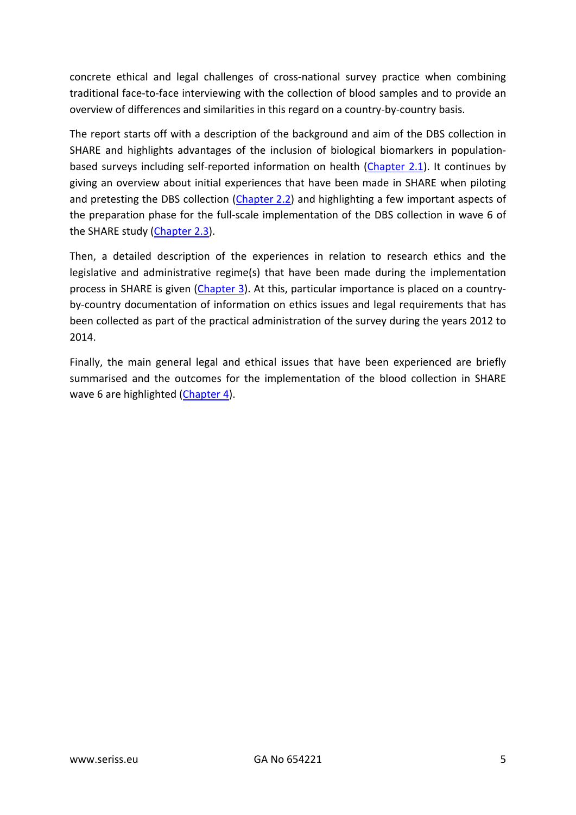concrete ethical and legal challenges of cross-national survey practice when combining traditional face-to-face interviewing with the collection of blood samples and to provide an overview of differences and similarities in this regard on a country-by-country basis.

The report starts off with a description of the background and aim of the DBS collection in SHARE and highlights advantages of the inclusion of biological biomarkers in populationbased surveys including self-reported information on health [\(Chapter 2.1\)](#page-5-1). It continues by giving an overview about initial experiences that have been made in SHARE when piloting and pretesting the DBS collection [\(Chapter](#page-6-0) 2.2) and highlighting a few important aspects of the preparation phase for the full-scale implementation of the DBS collection in wave 6 of the SHARE study [\(Chapter 2.3\)](#page-7-0).

Then, a detailed description of the experiences in relation to research ethics and the legislative and administrative regime(s) that have been made during the implementation process in SHARE is given [\(Chapter 3\)](#page-9-0). At this, particular importance is placed on a countryby-country documentation of information on ethics issues and legal requirements that has been collected as part of the practical administration of the survey during the years 2012 to 2014.

Finally, the main general legal and ethical issues that have been experienced are briefly summarised and the outcomes for the implementation of the blood collection in SHARE wave 6 are highlighted [\(Chapter 4\)](#page-66-0).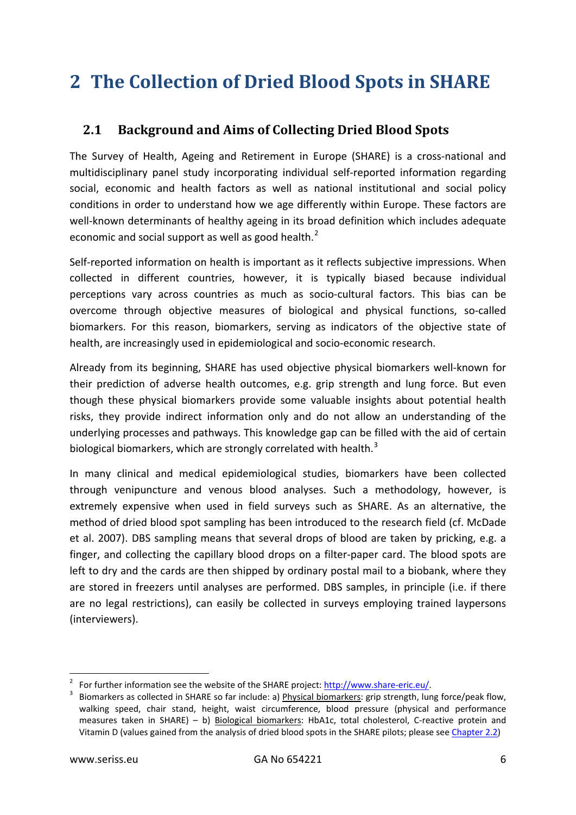# <span id="page-5-0"></span>**2 The Collection of Dried Blood Spots in SHARE**

# <span id="page-5-1"></span>**2.1 Background and Aims of Collecting Dried Blood Spots**

The Survey of Health, Ageing and Retirement in Europe (SHARE) is a cross-national and multidisciplinary panel study incorporating individual self-reported information regarding social, economic and health factors as well as national institutional and social policy conditions in order to understand how we age differently within Europe. These factors are well-known determinants of healthy ageing in its broad definition which includes adequate economic and social support as well as good health. $<sup>2</sup>$  $<sup>2</sup>$  $<sup>2</sup>$ </sup>

Self-reported information on health is important as it reflects subjective impressions. When collected in different countries, however, it is typically biased because individual perceptions vary across countries as much as socio-cultural factors. This bias can be overcome through objective measures of biological and physical functions, so-called biomarkers. For this reason, biomarkers, serving as indicators of the objective state of health, are increasingly used in epidemiological and socio-economic research.

Already from its beginning, SHARE has used objective physical biomarkers well-known for their prediction of adverse health outcomes, e.g. grip strength and lung force. But even though these physical biomarkers provide some valuable insights about potential health risks, they provide indirect information only and do not allow an understanding of the underlying processes and pathways. This knowledge gap can be filled with the aid of certain biological biomarkers, which are strongly correlated with health. $3$ 

In many clinical and medical epidemiological studies, biomarkers have been collected through venipuncture and venous blood analyses. Such a methodology, however, is extremely expensive when used in field surveys such as SHARE. As an alternative, the method of dried blood spot sampling has been introduced to the research field (cf. McDade et al. 2007). DBS sampling means that several drops of blood are taken by pricking, e.g. a finger, and collecting the capillary blood drops on a filter-paper card. The blood spots are left to dry and the cards are then shipped by ordinary postal mail to a biobank, where they are stored in freezers until analyses are performed. DBS samples, in principle (i.e. if there are no legal restrictions), can easily be collected in surveys employing trained laypersons (interviewers).

<span id="page-5-3"></span><span id="page-5-2"></span>

<sup>&</sup>lt;sup>2</sup> For further information see the website of the SHARE project:  $\frac{http://www.share-eric.eu/}{http://www.share-eric.eu/}.$ <br><sup>3</sup> Biomarkers as collected in SHARE so far include: a) <u>Physical biomarkers</u>: grip strength, lung force/peak flow, walking speed, chair stand, height, waist circumference, blood pressure (physical and performance measures taken in SHARE) – b) Biological biomarkers: HbA1c, total cholesterol, C-reactive protein and Vitamin D (values gained from the analysis of dried blood spots in the SHARE pilots; please see [Chapter](#page-6-0) 2.2)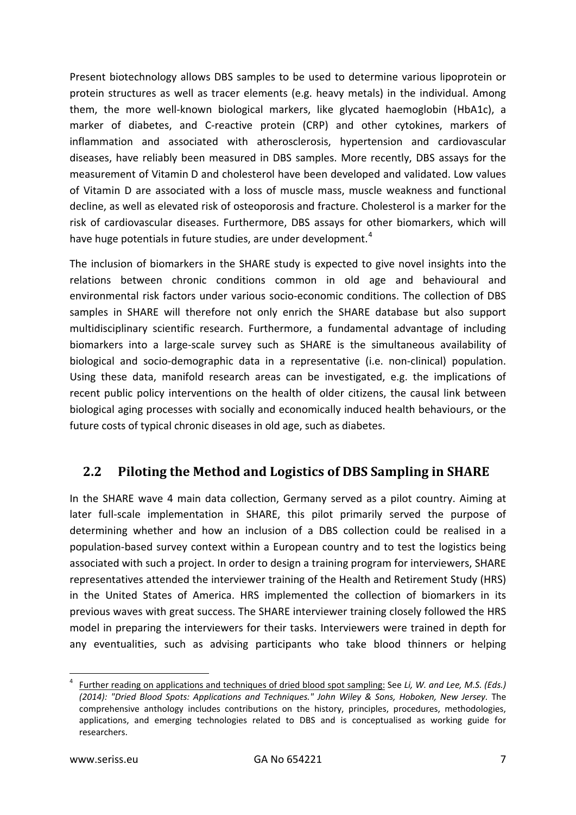Present biotechnology allows DBS samples to be used to determine various lipoprotein or protein structures as well as tracer elements (e.g. heavy metals) in the individual. Among them, the more well-known biological markers, like glycated haemoglobin (HbA1c), a marker of diabetes, and C-reactive protein (CRP) and other cytokines, markers of inflammation and associated with atherosclerosis, hypertension and cardiovascular diseases, have reliably been measured in DBS samples. More recently, DBS assays for the measurement of Vitamin D and cholesterol have been developed and validated. Low values of Vitamin D are associated with a loss of muscle mass, muscle weakness and functional decline, as well as elevated risk of osteoporosis and fracture. Cholesterol is a marker for the risk of cardiovascular diseases. Furthermore, DBS assays for other biomarkers, which will have huge potentials in future studies, are under development.<sup>[4](#page-6-1)</sup>

The inclusion of biomarkers in the SHARE study is expected to give novel insights into the relations between chronic conditions common in old age and behavioural and environmental risk factors under various socio-economic conditions. The collection of DBS samples in SHARE will therefore not only enrich the SHARE database but also support multidisciplinary scientific research. Furthermore, a fundamental advantage of including biomarkers into a large-scale survey such as SHARE is the simultaneous availability of biological and socio-demographic data in a representative (i.e. non-clinical) population. Using these data, manifold research areas can be investigated, e.g. the implications of recent public policy interventions on the health of older citizens, the causal link between biological aging processes with socially and economically induced health behaviours, or the future costs of typical chronic diseases in old age, such as diabetes.

### <span id="page-6-0"></span>**2.2 Piloting the Method and Logistics of DBS Sampling in SHARE**

In the SHARE wave 4 main data collection, Germany served as a pilot country. Aiming at later full-scale implementation in SHARE, this pilot primarily served the purpose of determining whether and how an inclusion of a DBS collection could be realised in a population-based survey context within a European country and to test the logistics being associated with such a project. In order to design a training program for interviewers, SHARE representatives attended the interviewer training of the Health and Retirement Study (HRS) in the United States of America. HRS implemented the collection of biomarkers in its previous waves with great success. The SHARE interviewer training closely followed the HRS model in preparing the interviewers for their tasks. Interviewers were trained in depth for any eventualities, such as advising participants who take blood thinners or helping

<span id="page-6-1"></span> <sup>4</sup> Further reading on applications and techniques of dried blood spot sampling: See *Li, W. and Lee, M.S. (Eds.) (2014): "Dried Blood Spots: Applications and Techniques." John Wiley & Sons, Hoboken, New Jersey.* The comprehensive anthology includes contributions on the history, principles, procedures, methodologies, applications, and emerging technologies related to DBS and is conceptualised as working guide for researchers.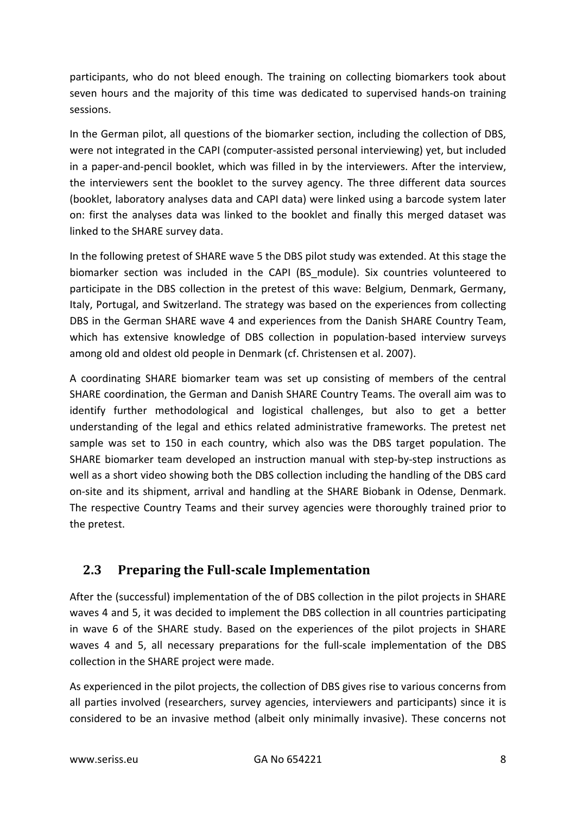participants, who do not bleed enough. The training on collecting biomarkers took about seven hours and the majority of this time was dedicated to supervised hands-on training sessions.

In the German pilot, all questions of the biomarker section, including the collection of DBS, were not integrated in the CAPI (computer-assisted personal interviewing) yet, but included in a paper-and-pencil booklet, which was filled in by the interviewers. After the interview, the interviewers sent the booklet to the survey agency. The three different data sources (booklet, laboratory analyses data and CAPI data) were linked using a barcode system later on: first the analyses data was linked to the booklet and finally this merged dataset was linked to the SHARE survey data.

In the following pretest of SHARE wave 5 the DBS pilot study was extended. At this stage the biomarker section was included in the CAPI (BS\_module). Six countries volunteered to participate in the DBS collection in the pretest of this wave: Belgium, Denmark, Germany, Italy, Portugal, and Switzerland. The strategy was based on the experiences from collecting DBS in the German SHARE wave 4 and experiences from the Danish SHARE Country Team, which has extensive knowledge of DBS collection in population-based interview surveys among old and oldest old people in Denmark (cf. Christensen et al. 2007).

A coordinating SHARE biomarker team was set up consisting of members of the central SHARE coordination, the German and Danish SHARE Country Teams. The overall aim was to identify further methodological and logistical challenges, but also to get a better understanding of the legal and ethics related administrative frameworks. The pretest net sample was set to 150 in each country, which also was the DBS target population. The SHARE biomarker team developed an instruction manual with step-by-step instructions as well as a short video showing both the DBS collection including the handling of the DBS card on-site and its shipment, arrival and handling at the SHARE Biobank in Odense, Denmark. The respective Country Teams and their survey agencies were thoroughly trained prior to the pretest.

# <span id="page-7-0"></span>**2.3 Preparing the Full-scale Implementation**

After the (successful) implementation of the of DBS collection in the pilot projects in SHARE waves 4 and 5, it was decided to implement the DBS collection in all countries participating in wave 6 of the SHARE study. Based on the experiences of the pilot projects in SHARE waves 4 and 5, all necessary preparations for the full-scale implementation of the DBS collection in the SHARE project were made.

As experienced in the pilot projects, the collection of DBS gives rise to various concerns from all parties involved (researchers, survey agencies, interviewers and participants) since it is considered to be an invasive method (albeit only minimally invasive). These concerns not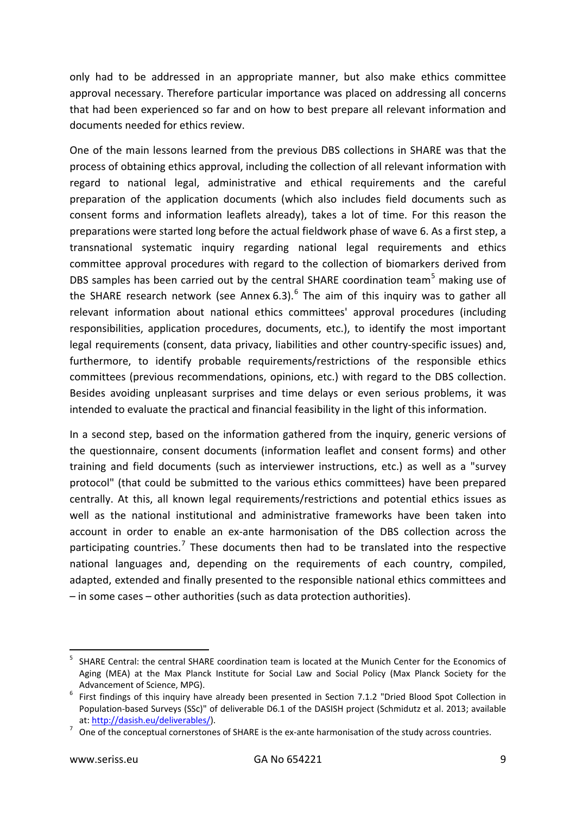only had to be addressed in an appropriate manner, but also make ethics committee approval necessary. Therefore particular importance was placed on addressing all concerns that had been experienced so far and on how to best prepare all relevant information and documents needed for ethics review.

One of the main lessons learned from the previous DBS collections in SHARE was that the process of obtaining ethics approval, including the collection of all relevant information with regard to national legal, administrative and ethical requirements and the careful preparation of the application documents (which also includes field documents such as consent forms and information leaflets already), takes a lot of time. For this reason the preparations were started long before the actual fieldwork phase of wave 6. As a first step, a transnational systematic inquiry regarding national legal requirements and ethics committee approval procedures with regard to the collection of biomarkers derived from DBS samples has been carried out by the central SHARE coordination team<sup>[5](#page-8-0)</sup> making use of the SHARE research network (see Annex [6](#page-8-1).3). $<sup>6</sup>$  The aim of this inquiry was to gather all</sup> relevant information about national ethics committees' approval procedures (including responsibilities, application procedures, documents, etc.), to identify the most important legal requirements (consent, data privacy, liabilities and other country-specific issues) and, furthermore, to identify probable requirements/restrictions of the responsible ethics committees (previous recommendations, opinions, etc.) with regard to the DBS collection. Besides avoiding unpleasant surprises and time delays or even serious problems, it was intended to evaluate the practical and financial feasibility in the light of this information.

In a second step, based on the information gathered from the inquiry, generic versions of the questionnaire, consent documents (information leaflet and consent forms) and other training and field documents (such as interviewer instructions, etc.) as well as a "survey protocol" (that could be submitted to the various ethics committees) have been prepared centrally. At this, all known legal requirements/restrictions and potential ethics issues as well as the national institutional and administrative frameworks have been taken into account in order to enable an ex-ante harmonisation of the DBS collection across the participating countries.<sup>[7](#page-8-2)</sup> These documents then had to be translated into the respective national languages and, depending on the requirements of each country, compiled, adapted, extended and finally presented to the responsible national ethics committees and – in some cases – other authorities (such as data protection authorities).

<span id="page-8-0"></span> <sup>5</sup> SHARE Central: the central SHARE coordination team is located at the Munich Center for the Economics of Aging (MEA) at the Max Planck Institute for Social Law and Social Policy (Max Planck Society for the

<span id="page-8-1"></span>Advancement of Science, MPG).<br>  $6$  First findings of this inquiry have already been presented in Section 7.1.2 "Dried Blood Spot Collection in Population-based Surveys (SSc)" of deliverable D6.1 of the DASISH project (Schmidutz et al. 2013; available

<span id="page-8-2"></span>at:  $\frac{http://dasish.eu/deliverables/}{http://dasish.eu/deliverables/}$ .<br>7 One of the conceptual cornerstones of SHARE is the ex-ante harmonisation of the study across countries.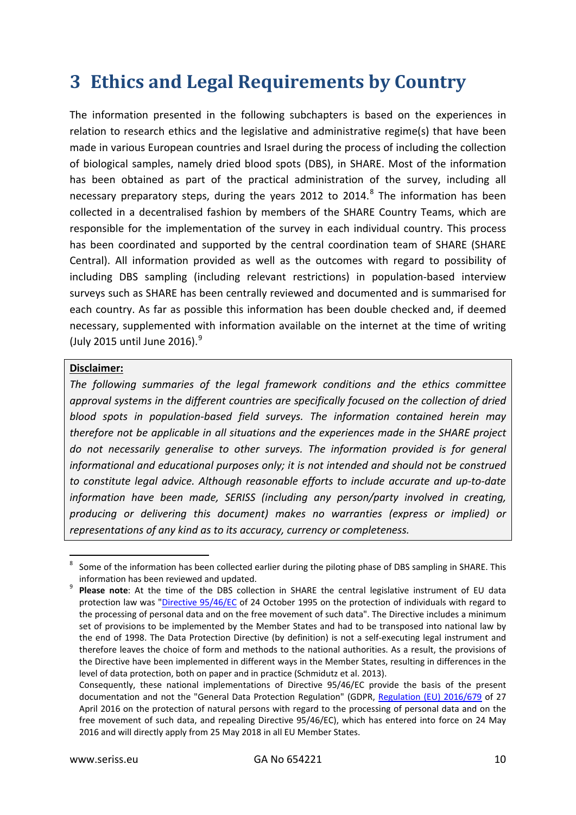# <span id="page-9-0"></span>**3 Ethics and Legal Requirements by Country**

The information presented in the following subchapters is based on the experiences in relation to research ethics and the legislative and administrative regime(s) that have been made in various European countries and Israel during the process of including the collection of biological samples, namely dried blood spots (DBS), in SHARE. Most of the information has been obtained as part of the practical administration of the survey, including all necessary preparatory steps, during the years 2012 to 2014. $8$  The information has been collected in a decentralised fashion by members of the SHARE Country Teams, which are responsible for the implementation of the survey in each individual country. This process has been coordinated and supported by the central coordination team of SHARE (SHARE Central). All information provided as well as the outcomes with regard to possibility of including DBS sampling (including relevant restrictions) in population-based interview surveys such as SHARE has been centrally reviewed and documented and is summarised for each country. As far as possible this information has been double checked and, if deemed necessary, supplemented with information available on the internet at the time of writing (July 2015 until June 2016). [9](#page-9-2)

#### **Disclaimer:**

*The following summaries of the legal framework conditions and the ethics committee approval systems in the different countries are specifically focused on the collection of dried blood spots in population-based field surveys. The information contained herein may therefore not be applicable in all situations and the experiences made in the SHARE project do not necessarily generalise to other surveys. The information provided is for general informational and educational purposes only; it is not intended and should not be construed to constitute legal advice. Although reasonable efforts to include accurate and up-to-date information have been made, SERISS (including any person/party involved in creating, producing or delivering this document) makes no warranties (express or implied) or representations of any kind as to its accuracy, currency or completeness.*

<span id="page-9-1"></span>Some of the information has been collected earlier during the piloting phase of DBS sampling in SHARE. This information has been reviewed and updated.<br>**Please note**: At the time of the DBS collection in SHARE the central legislative instrument of EU data

<span id="page-9-2"></span>protection law was ["Directive 95/46/EC](http://eur-lex.europa.eu/legal-content/EN/TXT/?uri=CELEX:31995L0046) of 24 October 1995 on the protection of individuals with regard to the processing of personal data and on the free movement of such data". The Directive includes a minimum set of provisions to be implemented by the Member States and had to be transposed into national law by the end of 1998. The Data Protection Directive (by definition) is not a self-executing legal instrument and therefore leaves the choice of form and methods to the national authorities. As a result, the provisions of the Directive have been implemented in different ways in the Member States, resulting in differences in the level of data protection, both on paper and in practice (Schmidutz et al. 2013).

Consequently, these national implementations of Directive 95/46/EC provide the basis of the present documentation and not the "General Data Protection Regulation" (GDPR, [Regulation \(EU\) 2016/679](http://eur-lex.europa.eu/legal-content/EN/TXT/?uri=CELEX%3A32016R0679) of 27 April 2016 on the protection of natural persons with regard to the processing of personal data and on the free movement of such data, and repealing Directive 95/46/EC), which has entered into force on 24 May 2016 and will directly apply from 25 May 2018 in all EU Member States.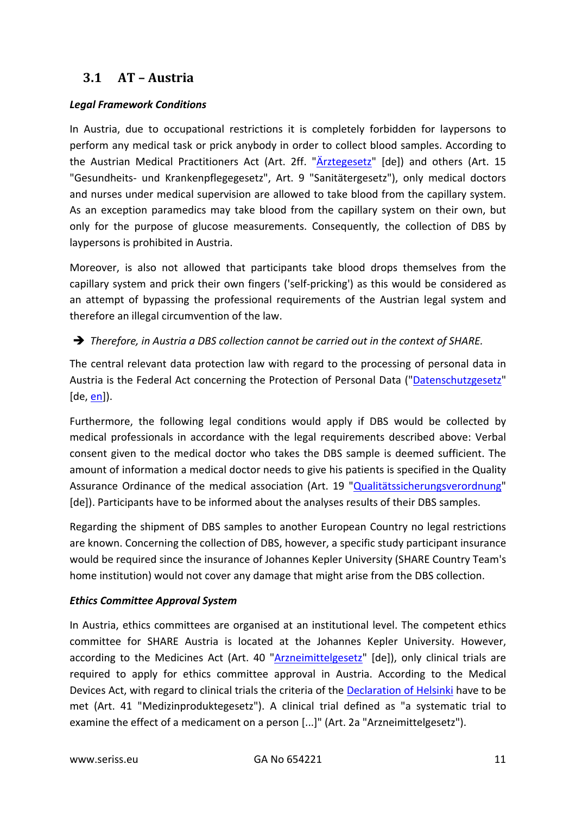# <span id="page-10-0"></span>**3.1 AT – Austria**

#### *Legal Framework Conditions*

In Austria, due to occupational restrictions it is completely forbidden for laypersons to perform any medical task or prick anybody in order to collect blood samples. According to the Austrian Medical Practitioners Act (Art. 2ff. ["Ärztegesetz"](https://www.ris.bka.gv.at/GeltendeFassung.wxe?Abfrage=Bundesnormen&Gesetzesnummer=10011138) [de]) and others (Art. 15 "Gesundheits- und Krankenpflegegesetz", Art. 9 "Sanitätergesetz"), only medical doctors and nurses under medical supervision are allowed to take blood from the capillary system. As an exception paramedics may take blood from the capillary system on their own, but only for the purpose of glucose measurements. Consequently, the collection of DBS by laypersons is prohibited in Austria.

Moreover, is also not allowed that participants take blood drops themselves from the capillary system and prick their own fingers ('self-pricking') as this would be considered as an attempt of bypassing the professional requirements of the Austrian legal system and therefore an illegal circumvention of the law.

#### *Therefore, in Austria a DBS collection cannot be carried out in the context of SHARE.*

The central relevant data protection law with regard to the processing of personal data in Austria is the Federal Act concerning the Protection of Personal Data (["Datenschutzgesetz"](https://www.ris.bka.gv.at/GeltendeFassung.wxe?Abfrage=bundesnormen&Gesetzesnummer=10001597)  $[de, en]$  $[de, en]$ ).

Furthermore, the following legal conditions would apply if DBS would be collected by medical professionals in accordance with the legal requirements described above: Verbal consent given to the medical doctor who takes the DBS sample is deemed sufficient. The amount of information a medical doctor needs to give his patients is specified in the Quality Assurance Ordinance of the medical association (Art. 19 ["Qualitätssicherungsverordnung"](http://www.aerztekammer.at/documents/10431/19070/Qualit%C3%A4tssicherungsverordnung_2012_konsolidierteFassung.pdf/c10622b7-01a9-4f7f-acf2-7ba49f81c8bc?version=1.0&t=1356038213000) [de]). Participants have to be informed about the analyses results of their DBS samples.

Regarding the shipment of DBS samples to another European Country no legal restrictions are known. Concerning the collection of DBS, however, a specific study participant insurance would be required since the insurance of Johannes Kepler University (SHARE Country Team's home institution) would not cover any damage that might arise from the DBS collection.

#### *Ethics Committee Approval System*

In Austria, ethics committees are organised at an institutional level. The competent ethics committee for SHARE Austria is located at the Johannes Kepler University. However, according to the Medicines Act (Art. 40 ["Arzneimittelgesetz"](https://www.ris.bka.gv.at/GeltendeFassung.wxe?Abfrage=Bundesnormen&Gesetzesnummer=10010441) [de]), only clinical trials are required to apply for ethics committee approval in Austria. According to the Medical Devices Act, with regard to clinical trials the criteria of the [Declaration of Helsinki](http://www.wma.net/en/30publications/10policies/b3/17c.pdf) have to be met (Art. 41 "Medizinproduktegesetz"). A clinical trial defined as "a systematic trial to examine the effect of a medicament on a person [...]" (Art. 2a "Arzneimittelgesetz").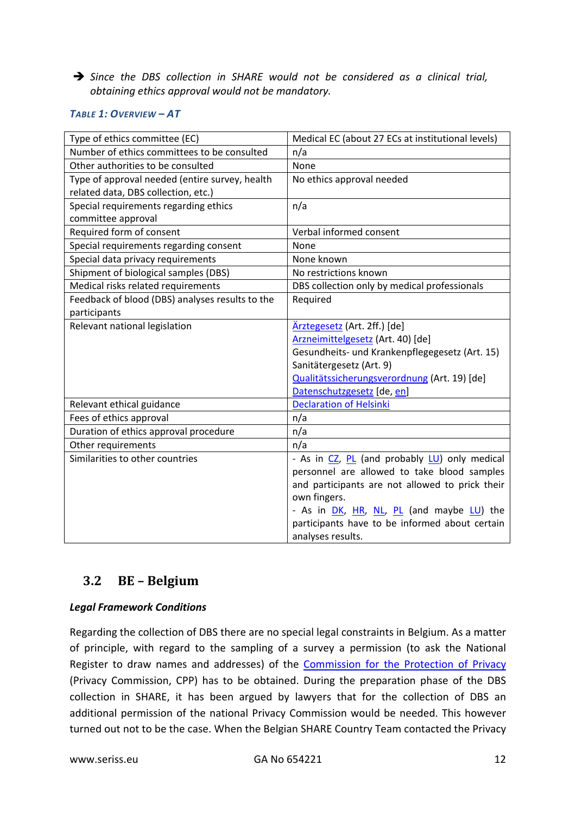*Since the DBS collection in SHARE would not be considered as a clinical trial, obtaining ethics approval would not be mandatory.*

#### *TABLE 1: OVERVIEW – AT*

| Type of ethics committee (EC)                   | Medical EC (about 27 ECs at institutional levels) |
|-------------------------------------------------|---------------------------------------------------|
| Number of ethics committees to be consulted     | n/a                                               |
| Other authorities to be consulted               | None                                              |
| Type of approval needed (entire survey, health  | No ethics approval needed                         |
| related data, DBS collection, etc.)             |                                                   |
| Special requirements regarding ethics           | n/a                                               |
| committee approval                              |                                                   |
| Required form of consent                        | Verbal informed consent                           |
| Special requirements regarding consent          | None                                              |
| Special data privacy requirements               | None known                                        |
| Shipment of biological samples (DBS)            | No restrictions known                             |
| Medical risks related requirements              | DBS collection only by medical professionals      |
| Feedback of blood (DBS) analyses results to the | Required                                          |
| participants                                    |                                                   |
| Relevant national legislation                   | Ärztegesetz (Art. 2ff.) [de]                      |
|                                                 | Arzneimittelgesetz (Art. 40) [de]                 |
|                                                 | Gesundheits- und Krankenpflegegesetz (Art. 15)    |
|                                                 | Sanitätergesetz (Art. 9)                          |
|                                                 | Qualitätssicherungsverordnung (Art. 19) [de]      |
|                                                 | Datenschutzgesetz [de, en]                        |
| Relevant ethical guidance                       | <b>Declaration of Helsinki</b>                    |
| Fees of ethics approval                         | n/a                                               |
| Duration of ethics approval procedure           | n/a                                               |
| Other requirements                              | n/a                                               |
| Similarities to other countries                 | - As in CZ, PL (and probably LU) only medical     |
|                                                 | personnel are allowed to take blood samples       |
|                                                 | and participants are not allowed to prick their   |
|                                                 | own fingers.                                      |
|                                                 | - As in DK, HR, NL, PL (and maybe LU) the         |
|                                                 | participants have to be informed about certain    |
|                                                 | analyses results.                                 |

#### <span id="page-11-0"></span>**3.2 BE – Belgium**

#### *Legal Framework Conditions*

Regarding the collection of DBS there are no special legal constraints in Belgium. As a matter of principle, with regard to the sampling of a survey a permission (to ask the National Register to draw names and addresses) of the [Commission for the Protection of Privacy](http://www.privacycommission.be/en) (Privacy Commission, CPP) has to be obtained. During the preparation phase of the DBS collection in SHARE, it has been argued by lawyers that for the collection of DBS an additional permission of the national Privacy Commission would be needed. This however turned out not to be the case. When the Belgian SHARE Country Team contacted the Privacy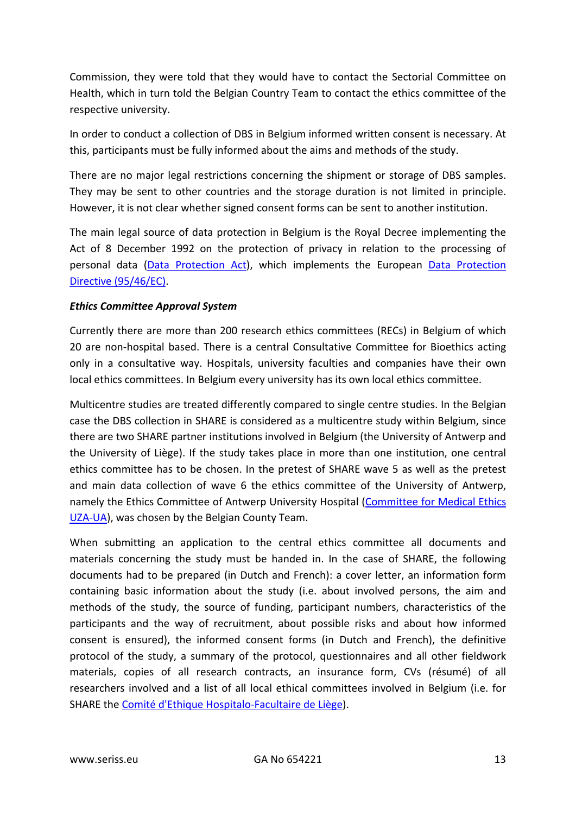Commission, they were told that they would have to contact the Sectorial Committee on Health, which in turn told the Belgian Country Team to contact the ethics committee of the respective university.

In order to conduct a collection of DBS in Belgium informed written consent is necessary. At this, participants must be fully informed about the aims and methods of the study.

There are no major legal restrictions concerning the shipment or storage of DBS samples. They may be sent to other countries and the storage duration is not limited in principle. However, it is not clear whether signed consent forms can be sent to another institution.

The main legal source of data protection in Belgium is the Royal Decree implementing the Act of 8 December 1992 on the protection of privacy in relation to the processing of personal data [\(Data Protection Act\)](http://www.privacycommission.be/sites/privacycommission/files/documents/Royal_Decree_2001.pdf), which implements the European [Data Protection](http://eur-lex.europa.eu/LexUriServ/LexUriServ.do?uri=CELEX:31995L0046:en:HTML)  [Directive \(95/46/EC\).](http://eur-lex.europa.eu/LexUriServ/LexUriServ.do?uri=CELEX:31995L0046:en:HTML)

#### *Ethics Committee Approval System*

Currently there are more than 200 research ethics committees (RECs) in Belgium of which 20 are non-hospital based. There is a central Consultative Committee for Bioethics acting only in a consultative way. Hospitals, university faculties and companies have their own local ethics committees. In Belgium every university has its own local ethics committee.

Multicentre studies are treated differently compared to single centre studies. In the Belgian case the DBS collection in SHARE is considered as a multicentre study within Belgium, since there are two SHARE partner institutions involved in Belgium (the University of Antwerp and the University of Liège). If the study takes place in more than one institution, one central ethics committee has to be chosen. In the pretest of SHARE wave 5 as well as the pretest and main data collection of wave 6 the ethics committee of the University of Antwerp, namely the Ethics Committee of Antwerp University Hospital [\(Committee for Medical Ethics](https://www.uantwerpen.be/en/research-and-innovation/research-at-uantwerp/quality-assurance/ethics-screening/cme/)  [UZA-UA\)](https://www.uantwerpen.be/en/research-and-innovation/research-at-uantwerp/quality-assurance/ethics-screening/cme/), was chosen by the Belgian County Team.

When submitting an application to the central ethics committee all documents and materials concerning the study must be handed in. In the case of SHARE, the following documents had to be prepared (in Dutch and French): a cover letter, an information form containing basic information about the study (i.e. about involved persons, the aim and methods of the study, the source of funding, participant numbers, characteristics of the participants and the way of recruitment, about possible risks and about how informed consent is ensured), the informed consent forms (in Dutch and French), the definitive protocol of the study, a summary of the protocol, questionnaires and all other fieldwork materials, copies of all research contracts, an insurance form, CVs (résumé) of all researchers involved and a list of all local ethical committees involved in Belgium (i.e. for SHARE the [Comité d'Ethique Hospitalo-Facultaire de Liège\)](http://www.chu.ulg.ac.be/jcms/c_11204/comite-d-ethique-hospitalo-facultaire).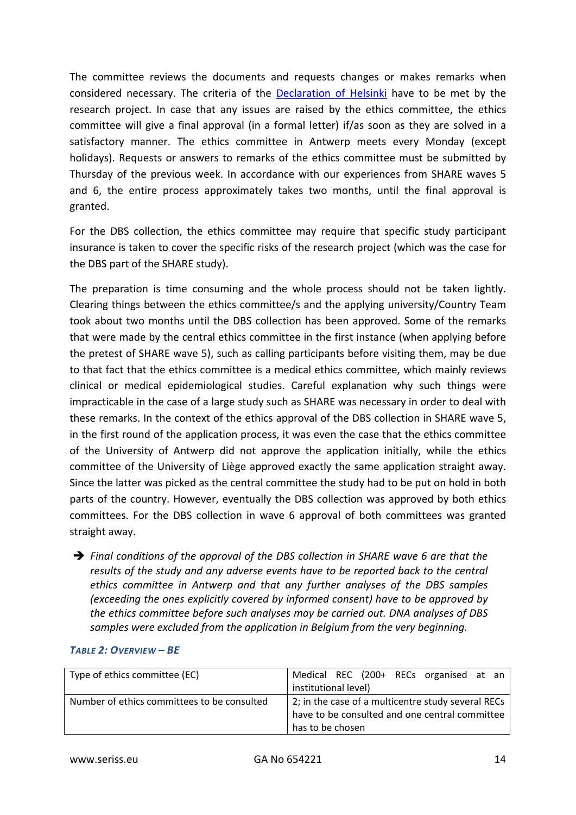The committee reviews the documents and requests changes or makes remarks when considered necessary. The criteria of the [Declaration of Helsinki](http://www.wma.net/en/30publications/10policies/b3/17c.pdf) have to be met by the research project. In case that any issues are raised by the ethics committee, the ethics committee will give a final approval (in a formal letter) if/as soon as they are solved in a satisfactory manner. The ethics committee in Antwerp meets every Monday (except holidays). Requests or answers to remarks of the ethics committee must be submitted by Thursday of the previous week. In accordance with our experiences from SHARE waves 5 and 6, the entire process approximately takes two months, until the final approval is granted.

For the DBS collection, the ethics committee may require that specific study participant insurance is taken to cover the specific risks of the research project (which was the case for the DBS part of the SHARE study).

The preparation is time consuming and the whole process should not be taken lightly. Clearing things between the ethics committee/s and the applying university/Country Team took about two months until the DBS collection has been approved. Some of the remarks that were made by the central ethics committee in the first instance (when applying before the pretest of SHARE wave 5), such as calling participants before visiting them, may be due to that fact that the ethics committee is a medical ethics committee, which mainly reviews clinical or medical epidemiological studies. Careful explanation why such things were impracticable in the case of a large study such as SHARE was necessary in order to deal with these remarks. In the context of the ethics approval of the DBS collection in SHARE wave 5, in the first round of the application process, it was even the case that the ethics committee of the University of Antwerp did not approve the application initially, while the ethics committee of the University of Liège approved exactly the same application straight away. Since the latter was picked as the central committee the study had to be put on hold in both parts of the country. However, eventually the DBS collection was approved by both ethics committees. For the DBS collection in wave 6 approval of both committees was granted straight away.

 *Final conditions of the approval of the DBS collection in SHARE wave 6 are that the results of the study and any adverse events have to be reported back to the central ethics committee in Antwerp and that any further analyses of the DBS samples (exceeding the ones explicitly covered by informed consent) have to be approved by the ethics committee before such analyses may be carried out. DNA analyses of DBS samples were excluded from the application in Belgium from the very beginning.*

| Type of ethics committee (EC)               | Medical REC (200+ RECs organised at an             |
|---------------------------------------------|----------------------------------------------------|
|                                             | institutional level)                               |
| Number of ethics committees to be consulted | 2; in the case of a multicentre study several RECs |
|                                             | have to be consulted and one central committee     |
|                                             | has to be chosen                                   |

#### *TABLE 2: OVERVIEW – BE*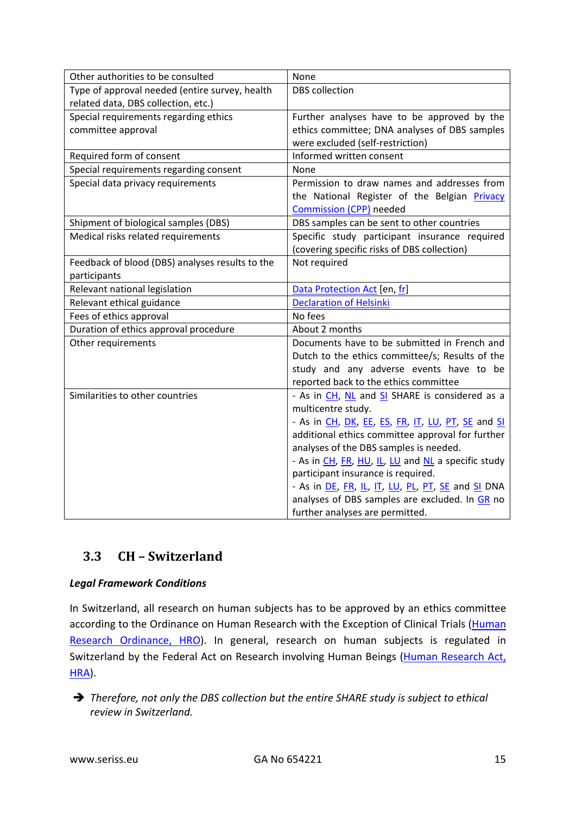| Other authorities to be consulted               | None                                               |
|-------------------------------------------------|----------------------------------------------------|
| Type of approval needed (entire survey, health  | <b>DBS</b> collection                              |
| related data, DBS collection, etc.)             |                                                    |
| Special requirements regarding ethics           | Further analyses have to be approved by the        |
| committee approval                              | ethics committee; DNA analyses of DBS samples      |
|                                                 | were excluded (self-restriction)                   |
| Required form of consent                        | Informed written consent                           |
| Special requirements regarding consent          | None                                               |
| Special data privacy requirements               | Permission to draw names and addresses from        |
|                                                 | the National Register of the Belgian Privacy       |
|                                                 | <b>Commission (CPP)</b> needed                     |
| Shipment of biological samples (DBS)            | DBS samples can be sent to other countries         |
| Medical risks related requirements              | Specific study participant insurance required      |
|                                                 | (covering specific risks of DBS collection)        |
| Feedback of blood (DBS) analyses results to the | Not required                                       |
| participants                                    |                                                    |
| Relevant national legislation                   | Data Protection Act [en, fr]                       |
| Relevant ethical guidance                       | <b>Declaration of Helsinki</b>                     |
| Fees of ethics approval                         | No fees                                            |
| Duration of ethics approval procedure           | About 2 months                                     |
| Other requirements                              | Documents have to be submitted in French and       |
|                                                 | Dutch to the ethics committee/s; Results of the    |
|                                                 | study and any adverse events have to be            |
|                                                 | reported back to the ethics committee              |
| Similarities to other countries                 | - As in CH, NL and SI SHARE is considered as a     |
|                                                 | multicentre study.                                 |
|                                                 | - As in CH, DK, EE, ES, FR, IT, LU, PT, SE and SI  |
|                                                 | additional ethics committee approval for further   |
|                                                 | analyses of the DBS samples is needed.             |
|                                                 | - As in CH, FR, HU, IL, LU and NL a specific study |
|                                                 | participant insurance is required.                 |
|                                                 | - As in DE, FR, IL, IT, LU, PL, PT, SE and SI DNA  |
|                                                 | analyses of DBS samples are excluded. In GR no     |
|                                                 | further analyses are permitted.                    |

# <span id="page-14-0"></span>**3.3 CH – Switzerland**

#### *Legal Framework Conditions*

In Switzerland, all research on human subjects has to be approved by an ethics committee according to the Ordinance on Human Research with the Exception of Clinical Trials (Human [Research Ordinance, HRO\)](http://www.admin.ch/opc/en/classified-compilation/20121177/index.html). In general, research on human subjects is regulated in Switzerland by the Federal Act on Research involving Human Beings (Human Research Act, [HRA\)](http://www.admin.ch/opc/en/classified-compilation/20061313/index.html).

 *Therefore, not only the DBS collection but the entire SHARE study is subject to ethical review in Switzerland.*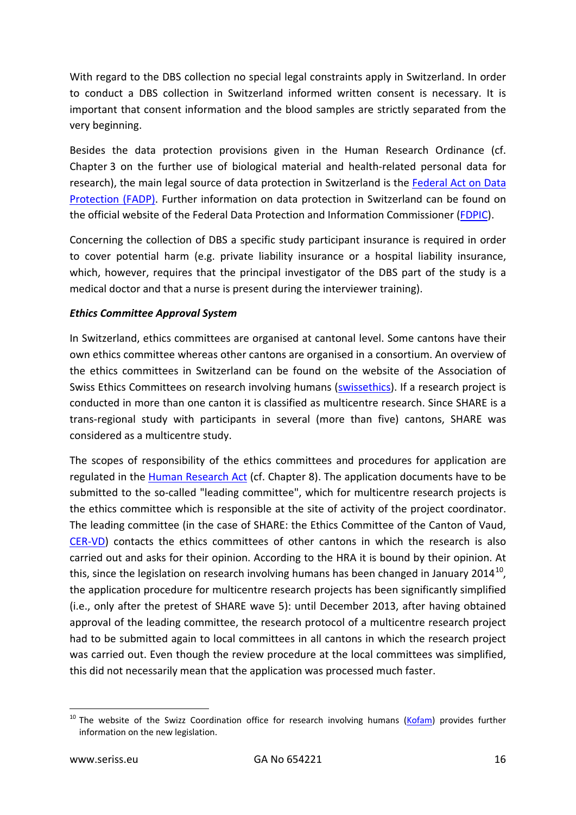With regard to the DBS collection no special legal constraints apply in Switzerland. In order to conduct a DBS collection in Switzerland informed written consent is necessary. It is important that consent information and the blood samples are strictly separated from the very beginning.

Besides the data protection provisions given in the Human Research Ordinance (cf. Chapter 3 on the further use of biological material and health-related personal data for research), the main legal source of data protection in Switzerland is the Federal Act on Data [Protection \(FADP\).](http://www.admin.ch/opc/en/classified-compilation/19920153/index.html) Further information on data protection in Switzerland can be found on the official website of the Federal Data Protection and Information Commissioner [\(FDPIC\)](http://www.edoeb.admin.ch/datenschutz/index.html?lang=en).

Concerning the collection of DBS a specific study participant insurance is required in order to cover potential harm (e.g. private liability insurance or a hospital liability insurance, which, however, requires that the principal investigator of the DBS part of the study is a medical doctor and that a nurse is present during the interviewer training).

#### *Ethics Committee Approval System*

In Switzerland, ethics committees are organised at cantonal level. Some cantons have their own ethics committee whereas other cantons are organised in a consortium. An overview of the ethics committees in Switzerland can be found on the website of the Association of Swiss Ethics Committees on research involving humans [\(swissethics\)](http://www.swissethics.ch/eks_e.html). If a research project is conducted in more than one canton it is classified as multicentre research. Since SHARE is a trans-regional study with participants in several (more than five) cantons, SHARE was considered as a multicentre study.

The scopes of responsibility of the ethics committees and procedures for application are regulated in the [Human Research Act](http://www.admin.ch/opc/en/classified-compilation/20061313/index.html) (cf. Chapter 8). The application documents have to be submitted to the so-called "leading committee", which for multicentre research projects is the ethics committee which is responsible at the site of activity of the project coordinator. The leading committee (in the case of SHARE: the Ethics Committee of the Canton of Vaud, [CER-VD\)](http://www.cer-vd.ch/) contacts the ethics committees of other cantons in which the research is also carried out and asks for their opinion. According to the HRA it is bound by their opinion. At this, since the legislation on research involving humans has been changed in January 2014<sup>[10](#page-15-0)</sup>, the application procedure for multicentre research projects has been significantly simplified (i.e., only after the pretest of SHARE wave 5): until December 2013, after having obtained approval of the leading committee, the research protocol of a multicentre research project had to be submitted again to local committees in all cantons in which the research project was carried out. Even though the review procedure at the local committees was simplified, this did not necessarily mean that the application was processed much faster.

<span id="page-15-0"></span><sup>&</sup>lt;sup>10</sup> The website of the Swizz Coordination office for research involving humans [\(Kofam\)](https://www.kofam.ch/en/research-on-humans/legislation/) provides further information on the new legislation.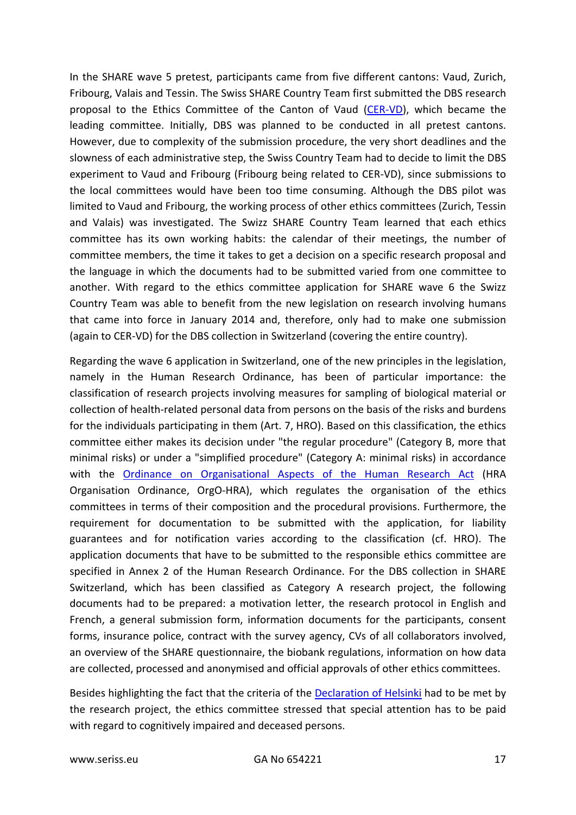In the SHARE wave 5 pretest, participants came from five different cantons: Vaud, Zurich, Fribourg, Valais and Tessin. The Swiss SHARE Country Team first submitted the DBS research proposal to the Ethics Committee of the Canton of Vaud [\(CER-VD\)](http://www.cer-vd.ch/), which became the leading committee. Initially, DBS was planned to be conducted in all pretest cantons. However, due to complexity of the submission procedure, the very short deadlines and the slowness of each administrative step, the Swiss Country Team had to decide to limit the DBS experiment to Vaud and Fribourg (Fribourg being related to CER-VD), since submissions to the local committees would have been too time consuming. Although the DBS pilot was limited to Vaud and Fribourg, the working process of other ethics committees (Zurich, Tessin and Valais) was investigated. The Swizz SHARE Country Team learned that each ethics committee has its own working habits: the calendar of their meetings, the number of committee members, the time it takes to get a decision on a specific research proposal and the language in which the documents had to be submitted varied from one committee to another. With regard to the ethics committee application for SHARE wave 6 the Swizz Country Team was able to benefit from the new legislation on research involving humans that came into force in January 2014 and, therefore, only had to make one submission (again to CER-VD) for the DBS collection in Switzerland (covering the entire country).

Regarding the wave 6 application in Switzerland, one of the new principles in the legislation, namely in the Human Research Ordinance, has been of particular importance: the classification of research projects involving measures for sampling of biological material or collection of health-related personal data from persons on the basis of the risks and burdens for the individuals participating in them (Art. 7, HRO). Based on this classification, the ethics committee either makes its decision under "the regular procedure" (Category B, more that minimal risks) or under a "simplified procedure" (Category A: minimal risks) in accordance with the [Ordinance on Organisational Aspects of the Human Research Act](http://www.admin.ch/opc/en/classified-compilation/20121179/index.html) (HRA Organisation Ordinance, OrgO-HRA), which regulates the organisation of the ethics committees in terms of their composition and the procedural provisions. Furthermore, the requirement for documentation to be submitted with the application, for liability guarantees and for notification varies according to the classification (cf. HRO). The application documents that have to be submitted to the responsible ethics committee are specified in Annex 2 of the Human Research Ordinance. For the DBS collection in SHARE Switzerland, which has been classified as Category A research project, the following documents had to be prepared: a motivation letter, the research protocol in English and French, a general submission form, information documents for the participants, consent forms, insurance police, contract with the survey agency, CVs of all collaborators involved, an overview of the SHARE questionnaire, the biobank regulations, information on how data are collected, processed and anonymised and official approvals of other ethics committees.

Besides highlighting the fact that the criteria of the [Declaration of Helsinki](http://www.wma.net/en/30publications/10policies/b3/17c.pdf) had to be met by the research project, the ethics committee stressed that special attention has to be paid with regard to cognitively impaired and deceased persons.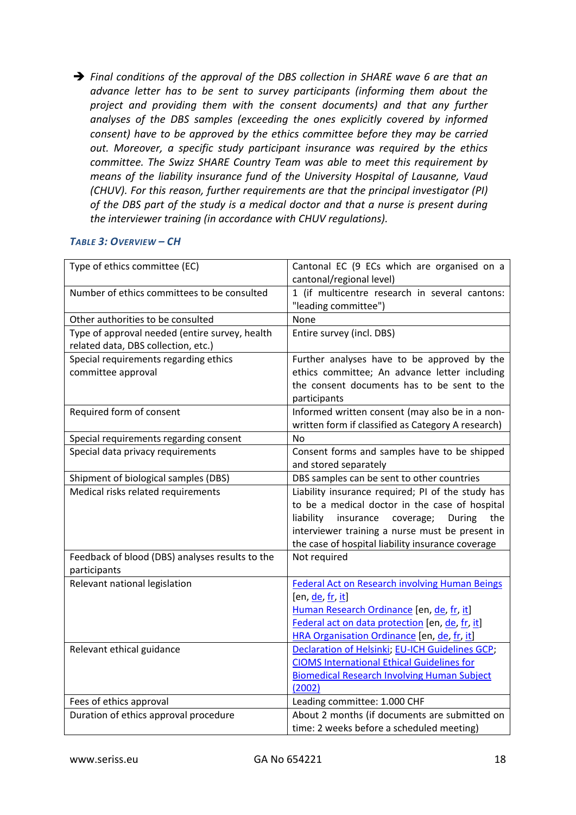*Final conditions of the approval of the DBS collection in SHARE wave 6 are that an advance letter has to be sent to survey participants (informing them about the project and providing them with the consent documents) and that any further analyses of the DBS samples (exceeding the ones explicitly covered by informed consent) have to be approved by the ethics committee before they may be carried out. Moreover, a specific study participant insurance was required by the ethics committee. The Swizz SHARE Country Team was able to meet this requirement by means of the liability insurance fund of the University Hospital of Lausanne, Vaud (CHUV). For this reason, further requirements are that the principal investigator (PI) of the DBS part of the study is a medical doctor and that a nurse is present during the interviewer training (in accordance with CHUV regulations).*

#### *TABLE 3: OVERVIEW – CH*

| Type of ethics committee (EC)                   | Cantonal EC (9 ECs which are organised on a                            |
|-------------------------------------------------|------------------------------------------------------------------------|
|                                                 | cantonal/regional level)                                               |
| Number of ethics committees to be consulted     | 1 (if multicentre research in several cantons:<br>"leading committee") |
| Other authorities to be consulted               | None                                                                   |
| Type of approval needed (entire survey, health  | Entire survey (incl. DBS)                                              |
| related data, DBS collection, etc.)             |                                                                        |
| Special requirements regarding ethics           | Further analyses have to be approved by the                            |
| committee approval                              | ethics committee; An advance letter including                          |
|                                                 | the consent documents has to be sent to the                            |
|                                                 | participants                                                           |
| Required form of consent                        | Informed written consent (may also be in a non-                        |
|                                                 | written form if classified as Category A research)                     |
| Special requirements regarding consent          | No                                                                     |
| Special data privacy requirements               | Consent forms and samples have to be shipped                           |
|                                                 | and stored separately                                                  |
| Shipment of biological samples (DBS)            | DBS samples can be sent to other countries                             |
| Medical risks related requirements              | Liability insurance required; PI of the study has                      |
|                                                 | to be a medical doctor in the case of hospital                         |
|                                                 | liability<br>insurance<br>coverage;<br>During<br>the                   |
|                                                 | interviewer training a nurse must be present in                        |
|                                                 | the case of hospital liability insurance coverage                      |
| Feedback of blood (DBS) analyses results to the | Not required                                                           |
| participants                                    |                                                                        |
| Relevant national legislation                   | <b>Federal Act on Research involving Human Beings</b>                  |
|                                                 | [en, de, fr, it]                                                       |
|                                                 | Human Research Ordinance [en, de, fr, it]                              |
|                                                 | Federal act on data protection [en, de, fr, it]                        |
|                                                 | HRA Organisation Ordinance [en, de, fr, it]                            |
| Relevant ethical guidance                       | Declaration of Helsinki; EU-ICH Guidelines GCP;                        |
|                                                 | <b>CIOMS International Ethical Guidelines for</b>                      |
|                                                 | <b>Biomedical Research Involving Human Subject</b>                     |
|                                                 | (2002)                                                                 |
| Fees of ethics approval                         | Leading committee: 1.000 CHF                                           |
| Duration of ethics approval procedure           | About 2 months (if documents are submitted on                          |
|                                                 | time: 2 weeks before a scheduled meeting)                              |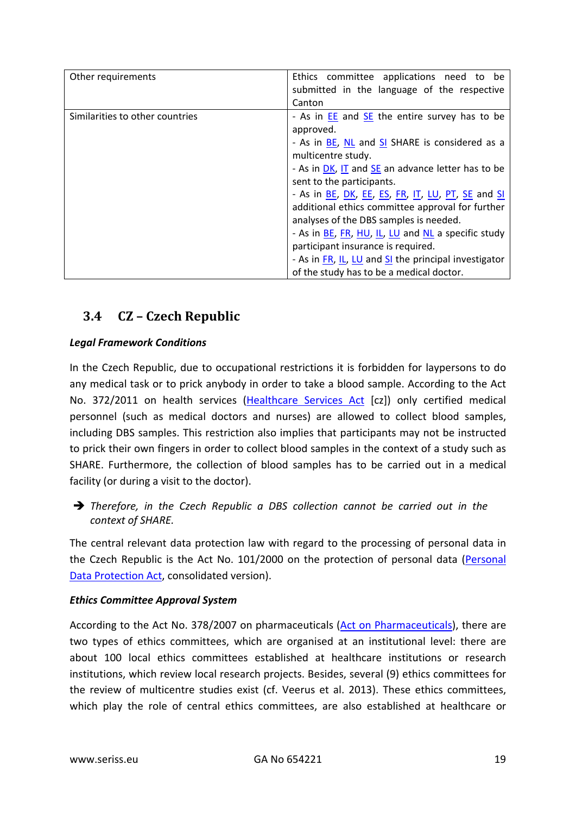| Other requirements              | Ethics committee applications need to be<br>submitted in the language of the respective |
|---------------------------------|-----------------------------------------------------------------------------------------|
|                                 | Canton                                                                                  |
| Similarities to other countries | - As in <b>EE</b> and <b>SE</b> the entire survey has to be<br>approved.                |
|                                 | - As in <b>BE, NL</b> and <b>SI</b> SHARE is considered as a<br>multicentre study.      |
|                                 | - As in DK, IT and SE an advance letter has to be                                       |
|                                 | sent to the participants.                                                               |
|                                 | - As in BE, DK, EE, ES, FR, IT, LU, PT, SE and SI                                       |
|                                 | additional ethics committee approval for further                                        |
|                                 | analyses of the DBS samples is needed.                                                  |
|                                 | - As in BE, FR, HU, IL, LU and NL a specific study                                      |
|                                 | participant insurance is required.                                                      |
|                                 | - As in FR, IL, LU and SI the principal investigator                                    |
|                                 | of the study has to be a medical doctor.                                                |

# <span id="page-18-0"></span>**3.4 CZ – Czech Republic**

#### *Legal Framework Conditions*

In the Czech Republic, due to occupational restrictions it is forbidden for laypersons to do any medical task or to prick anybody in order to take a blood sample. According to the Act No. 372/2011 on health services [\(Healthcare Services Act](http://portal.gov.cz/app/zakony/zakonPar.jsp?idBiblio=75500&fulltext=372%7E2F2011&rpp=15#local-content) [cz]) only certified medical personnel (such as medical doctors and nurses) are allowed to collect blood samples, including DBS samples. This restriction also implies that participants may not be instructed to prick their own fingers in order to collect blood samples in the context of a study such as SHARE. Furthermore, the collection of blood samples has to be carried out in a medical facility (or during a visit to the doctor).

 *Therefore, in the Czech Republic a DBS collection cannot be carried out in the context of SHARE.*

The central relevant data protection law with regard to the processing of personal data in the Czech Republic is the Act No. 101/2000 on the protection of personal data [\(Personal](https://www.uoou.cz/en/vismo/zobraz_dok.asp?id_org=200156&id_ktg=1107&archiv=0&p1=1105)  [Data Protection Act,](https://www.uoou.cz/en/vismo/zobraz_dok.asp?id_org=200156&id_ktg=1107&archiv=0&p1=1105) consolidated version).

#### *Ethics Committee Approval System*

According to the Act No. 378/2007 on pharmaceuticals [\(Act on Pharmaceuticals\)](http://www.sukl.eu/uploads/Legislativa/Zakon_o_lecivech_EN_corr_clean2.pdf), there are two types of ethics committees, which are organised at an institutional level: there are about 100 local ethics committees established at healthcare institutions or research institutions, which review local research projects. Besides, several (9) ethics committees for the review of multicentre studies exist (cf. Veerus et al. 2013). These ethics committees, which play the role of central ethics committees, are also established at healthcare or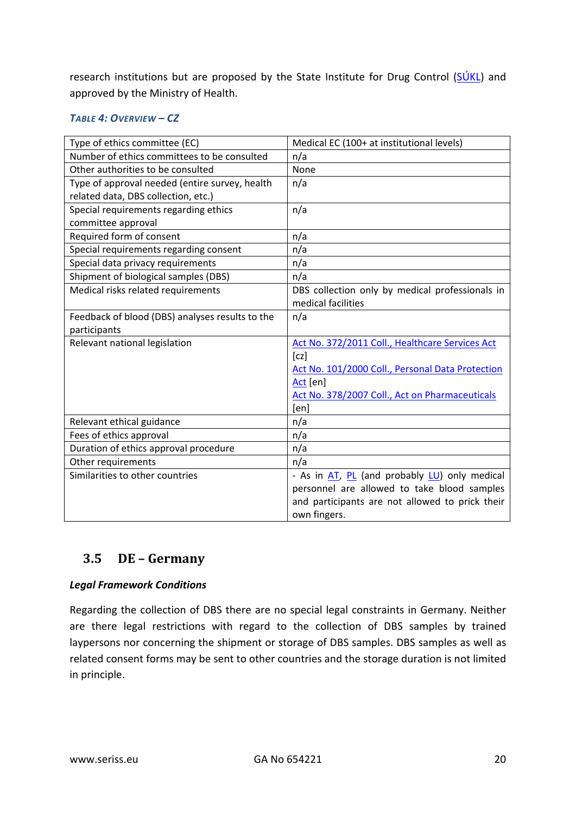research institutions but are proposed by the State Institute for Drug Control ( $SÚKL$ ) and approved by the Ministry of Health.

#### *TABLE 4: OVERVIEW – CZ*

| Type of ethics committee (EC)                   | Medical EC (100+ at institutional levels)        |
|-------------------------------------------------|--------------------------------------------------|
| Number of ethics committees to be consulted     | n/a                                              |
| Other authorities to be consulted               | None                                             |
| Type of approval needed (entire survey, health  | n/a                                              |
| related data, DBS collection, etc.)             |                                                  |
| Special requirements regarding ethics           | n/a                                              |
| committee approval                              |                                                  |
| Required form of consent                        | n/a                                              |
| Special requirements regarding consent          | n/a                                              |
| Special data privacy requirements               | n/a                                              |
| Shipment of biological samples (DBS)            | n/a                                              |
| Medical risks related requirements              | DBS collection only by medical professionals in  |
|                                                 | medical facilities                               |
| Feedback of blood (DBS) analyses results to the | n/a                                              |
| participants                                    |                                                  |
| Relevant national legislation                   | Act No. 372/2011 Coll., Healthcare Services Act  |
|                                                 | [cz]                                             |
|                                                 | Act No. 101/2000 Coll., Personal Data Protection |
|                                                 | Act [en]                                         |
|                                                 | Act No. 378/2007 Coll., Act on Pharmaceuticals   |
|                                                 | [en]                                             |
| Relevant ethical guidance                       | n/a                                              |
| Fees of ethics approval                         | n/a                                              |
| Duration of ethics approval procedure           | n/a                                              |
| Other requirements                              | n/a                                              |
| Similarities to other countries                 | - As in AT, PL (and probably LU) only medical    |
|                                                 | personnel are allowed to take blood samples      |
|                                                 | and participants are not allowed to prick their  |
|                                                 | own fingers.                                     |

### <span id="page-19-0"></span>**3.5 DE – Germany**

#### *Legal Framework Conditions*

Regarding the collection of DBS there are no special legal constraints in Germany. Neither are there legal restrictions with regard to the collection of DBS samples by trained laypersons nor concerning the shipment or storage of DBS samples. DBS samples as well as related consent forms may be sent to other countries and the storage duration is not limited in principle.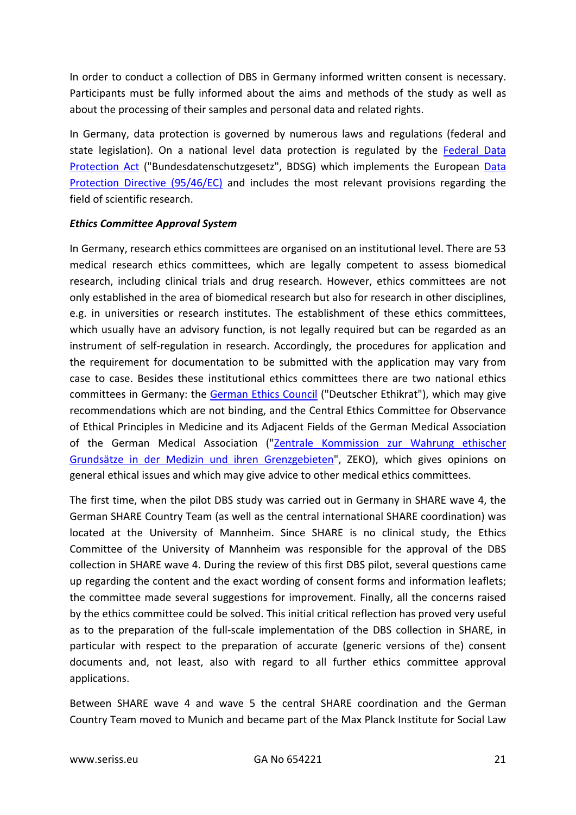In order to conduct a collection of DBS in Germany informed written consent is necessary. Participants must be fully informed about the aims and methods of the study as well as about the processing of their samples and personal data and related rights.

In Germany, data protection is governed by numerous laws and regulations (federal and state legislation). On a national level data protection is regulated by the [Federal Data](http://www.gesetze-im-internet.de/englisch_bdsg/englisch_bdsg.html)  [Protection Act](http://www.gesetze-im-internet.de/englisch_bdsg/englisch_bdsg.html) ("Bundesdatenschutzgesetz", BDSG) which implements the European [Data](http://eur-lex.europa.eu/LexUriServ/LexUriServ.do?uri=CELEX:31995L0046:en:HTML)  [Protection Directive \(95/46/EC\)](http://eur-lex.europa.eu/LexUriServ/LexUriServ.do?uri=CELEX:31995L0046:en:HTML) and includes the most relevant provisions regarding the field of scientific research.

#### *Ethics Committee Approval System*

In Germany, research ethics committees are organised on an institutional level. There are 53 medical research ethics committees, which are legally competent to assess biomedical research, including clinical trials and drug research. However, ethics committees are not only established in the area of biomedical research but also for research in other disciplines, e.g. in universities or research institutes. The establishment of these ethics committees, which usually have an advisory function, is not legally required but can be regarded as an instrument of self-regulation in research. Accordingly, the procedures for application and the requirement for documentation to be submitted with the application may vary from case to case. Besides these institutional ethics committees there are two national ethics committees in Germany: the [German Ethics Council](http://www.ethikrat.org/welcome?set_language=en) ("Deutscher Ethikrat"), which may give recommendations which are not binding, and the Central Ethics Committee for Observance of Ethical Principles in Medicine and its Adjacent Fields of the German Medical Association of the German Medical Association ("Zentrale Kommission zur Wahrung ethischer [Grundsätze in der Medizin und ihren Grenzgebieten"](http://www.zentrale-ethikkommission.de/), ZEKO), which gives opinions on general ethical issues and which may give advice to other medical ethics committees.

The first time, when the pilot DBS study was carried out in Germany in SHARE wave 4, the German SHARE Country Team (as well as the central international SHARE coordination) was located at the University of Mannheim. Since SHARE is no clinical study, the Ethics Committee of the University of Mannheim was responsible for the approval of the DBS collection in SHARE wave 4. During the review of this first DBS pilot, several questions came up regarding the content and the exact wording of consent forms and information leaflets; the committee made several suggestions for improvement. Finally, all the concerns raised by the ethics committee could be solved. This initial critical reflection has proved very useful as to the preparation of the full-scale implementation of the DBS collection in SHARE, in particular with respect to the preparation of accurate (generic versions of the) consent documents and, not least, also with regard to all further ethics committee approval applications.

Between SHARE wave 4 and wave 5 the central SHARE coordination and the German Country Team moved to Munich and became part of the Max Planck Institute for Social Law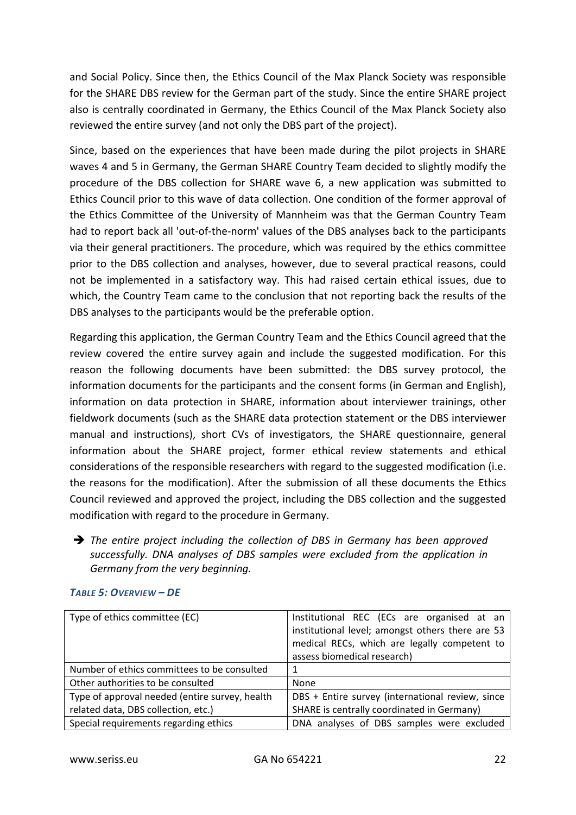and Social Policy. Since then, the Ethics Council of the Max Planck Society was responsible for the SHARE DBS review for the German part of the study. Since the entire SHARE project also is centrally coordinated in Germany, the Ethics Council of the Max Planck Society also reviewed the entire survey (and not only the DBS part of the project).

Since, based on the experiences that have been made during the pilot projects in SHARE waves 4 and 5 in Germany, the German SHARE Country Team decided to slightly modify the procedure of the DBS collection for SHARE wave 6, a new application was submitted to Ethics Council prior to this wave of data collection. One condition of the former approval of the Ethics Committee of the University of Mannheim was that the German Country Team had to report back all 'out-of-the-norm' values of the DBS analyses back to the participants via their general practitioners. The procedure, which was required by the ethics committee prior to the DBS collection and analyses, however, due to several practical reasons, could not be implemented in a satisfactory way. This had raised certain ethical issues, due to which, the Country Team came to the conclusion that not reporting back the results of the DBS analyses to the participants would be the preferable option.

Regarding this application, the German Country Team and the Ethics Council agreed that the review covered the entire survey again and include the suggested modification. For this reason the following documents have been submitted: the DBS survey protocol, the information documents for the participants and the consent forms (in German and English), information on data protection in SHARE, information about interviewer trainings, other fieldwork documents (such as the SHARE data protection statement or the DBS interviewer manual and instructions), short CVs of investigators, the SHARE questionnaire, general information about the SHARE project, former ethical review statements and ethical considerations of the responsible researchers with regard to the suggested modification (i.e. the reasons for the modification). After the submission of all these documents the Ethics Council reviewed and approved the project, including the DBS collection and the suggested modification with regard to the procedure in Germany.

 *The entire project including the collection of DBS in Germany has been approved successfully. DNA analyses of DBS samples were excluded from the application in Germany from the very beginning.*

| Type of ethics committee (EC)                  | Institutional REC (ECs are organised at an       |
|------------------------------------------------|--------------------------------------------------|
|                                                | institutional level; amongst others there are 53 |
|                                                | medical RECs, which are legally competent to     |
|                                                | assess biomedical research)                      |
| Number of ethics committees to be consulted    |                                                  |
| Other authorities to be consulted              | <b>None</b>                                      |
| Type of approval needed (entire survey, health | DBS + Entire survey (international review, since |
| related data, DBS collection, etc.)            | SHARE is centrally coordinated in Germany)       |
| Special requirements regarding ethics          | DNA analyses of DBS samples were excluded        |

#### *TABLE 5: OVERVIEW – DE*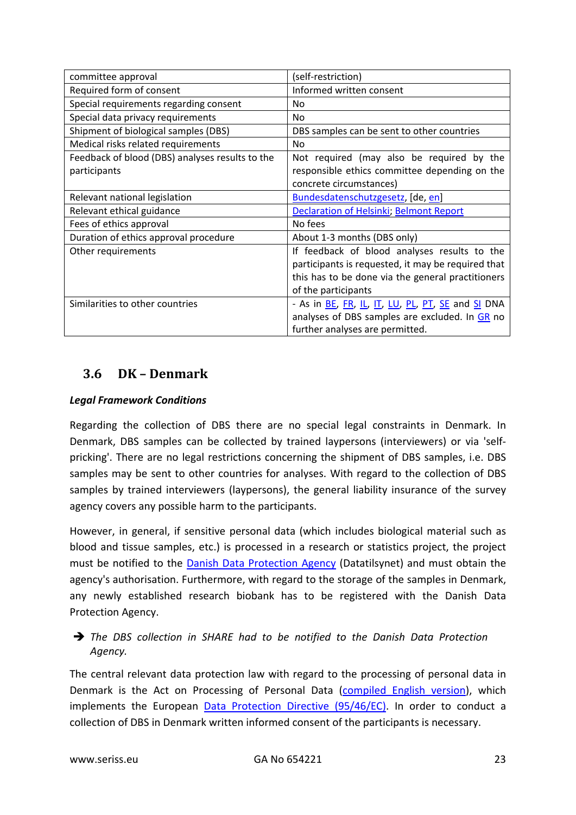| committee approval                              | (self-restriction)                                 |
|-------------------------------------------------|----------------------------------------------------|
| Required form of consent                        | Informed written consent                           |
| Special requirements regarding consent          | No.                                                |
| Special data privacy requirements               | No.                                                |
| Shipment of biological samples (DBS)            | DBS samples can be sent to other countries         |
| Medical risks related requirements              | N <sub>0</sub>                                     |
| Feedback of blood (DBS) analyses results to the | Not required (may also be required by the          |
| participants                                    | responsible ethics committee depending on the      |
|                                                 | concrete circumstances)                            |
| Relevant national legislation                   | Bundesdatenschutzgesetz, [de, en]                  |
| Relevant ethical guidance                       | Declaration of Helsinki; Belmont Report            |
| Fees of ethics approval                         | No fees                                            |
| Duration of ethics approval procedure           | About 1-3 months (DBS only)                        |
| Other requirements                              | If feedback of blood analyses results to the       |
|                                                 | participants is requested, it may be required that |
|                                                 | this has to be done via the general practitioners  |
|                                                 | of the participants                                |
| Similarities to other countries                 | - As in BE, FR, IL, IT, LU, PL, PT, SE and SI DNA  |
|                                                 | analyses of DBS samples are excluded. In GR no     |
|                                                 | further analyses are permitted.                    |

## <span id="page-22-0"></span>**3.6 DK – Denmark**

#### *Legal Framework Conditions*

Regarding the collection of DBS there are no special legal constraints in Denmark. In Denmark, DBS samples can be collected by trained laypersons (interviewers) or via 'selfpricking'. There are no legal restrictions concerning the shipment of DBS samples, i.e. DBS samples may be sent to other countries for analyses. With regard to the collection of DBS samples by trained interviewers (laypersons), the general liability insurance of the survey agency covers any possible harm to the participants.

However, in general, if sensitive personal data (which includes biological material such as blood and tissue samples, etc.) is processed in a research or statistics project, the project must be notified to the [Danish Data Protection Agency](http://www.datatilsynet.dk/english/) (Datatilsynet) and must obtain the agency's authorisation. Furthermore, with regard to the storage of the samples in Denmark, any newly established research biobank has to be registered with the Danish Data Protection Agency.

#### *The DBS collection in SHARE had to be notified to the Danish Data Protection Agency.*

The central relevant data protection law with regard to the processing of personal data in Denmark is the Act on Processing of Personal Data [\(compiled English version\)](http://www.datatilsynet.dk/english/the-act-on-processing-of-personal-data/read-the-act-on-processing-of-personal-data/compiled-version-of-the-act-on-processing-of-personal-data/), which implements the European [Data Protection Directive \(95/46/EC\).](http://eur-lex.europa.eu/LexUriServ/LexUriServ.do?uri=CELEX:31995L0046:en:HTML) In order to conduct a collection of DBS in Denmark written informed consent of the participants is necessary.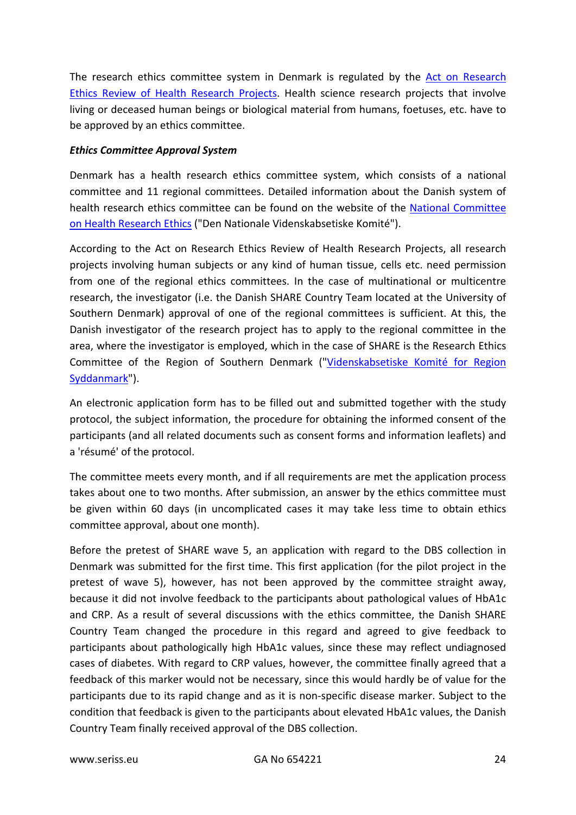The research ethics committee system in Denmark is regulated by the [Act on Research](http://www.dnvk.dk/English/actonabiomedicalresearch.aspx)  [Ethics Review of Health Research Projects.](http://www.dnvk.dk/English/actonabiomedicalresearch.aspx) Health science research projects that involve living or deceased human beings or biological material from humans, foetuses, etc. have to be approved by an ethics committee.

#### *Ethics Committee Approval System*

Denmark has a health research ethics committee system, which consists of a national committee and 11 regional committees. Detailed information about the Danish system of health research ethics committee can be found on the website of the [National Committee](http://www.dnvk.dk/)  [on Health Research Ethics](http://www.dnvk.dk/) ("Den Nationale Videnskabsetiske Komité").

According to the Act on Research Ethics Review of Health Research Projects, all research projects involving human subjects or any kind of human tissue, cells etc. need permission from one of the regional ethics committees. In the case of multinational or multicentre research, the investigator (i.e. the Danish SHARE Country Team located at the University of Southern Denmark) approval of one of the regional committees is sufficient. At this, the Danish investigator of the research project has to apply to the regional committee in the area, where the investigator is employed, which in the case of SHARE is the Research Ethics Committee of the Region of Southern Denmark (["Videnskabsetiske Komité for Region](http://komite.regionsyddanmark.dk/wm258128)  [Syddanmark"](http://komite.regionsyddanmark.dk/wm258128)).

An electronic application form has to be filled out and submitted together with the study protocol, the subject information, the procedure for obtaining the informed consent of the participants (and all related documents such as consent forms and information leaflets) and a 'résumé' of the protocol.

The committee meets every month, and if all requirements are met the application process takes about one to two months. After submission, an answer by the ethics committee must be given within 60 days (in uncomplicated cases it may take less time to obtain ethics committee approval, about one month).

Before the pretest of SHARE wave 5, an application with regard to the DBS collection in Denmark was submitted for the first time. This first application (for the pilot project in the pretest of wave 5), however, has not been approved by the committee straight away, because it did not involve feedback to the participants about pathological values of HbA1c and CRP. As a result of several discussions with the ethics committee, the Danish SHARE Country Team changed the procedure in this regard and agreed to give feedback to participants about pathologically high HbA1c values, since these may reflect undiagnosed cases of diabetes. With regard to CRP values, however, the committee finally agreed that a feedback of this marker would not be necessary, since this would hardly be of value for the participants due to its rapid change and as it is non-specific disease marker. Subject to the condition that feedback is given to the participants about elevated HbA1c values, the Danish Country Team finally received approval of the DBS collection.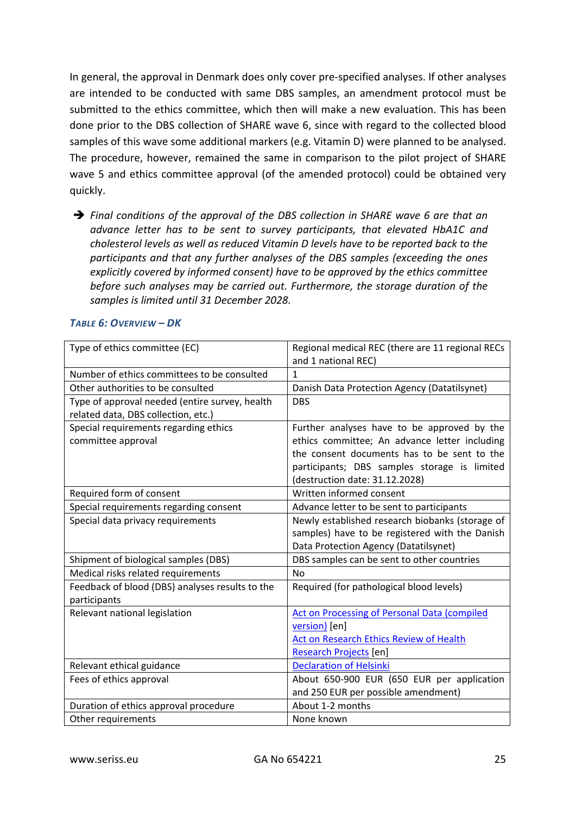In general, the approval in Denmark does only cover pre-specified analyses. If other analyses are intended to be conducted with same DBS samples, an amendment protocol must be submitted to the ethics committee, which then will make a new evaluation. This has been done prior to the DBS collection of SHARE wave 6, since with regard to the collected blood samples of this wave some additional markers (e.g. Vitamin D) were planned to be analysed. The procedure, however, remained the same in comparison to the pilot project of SHARE wave 5 and ethics committee approval (of the amended protocol) could be obtained very quickly.

 *Final conditions of the approval of the DBS collection in SHARE wave 6 are that an advance letter has to be sent to survey participants, that elevated HbA1C and cholesterol levels as well as reduced Vitamin D levels have to be reported back to the participants and that any further analyses of the DBS samples (exceeding the ones explicitly covered by informed consent) have to be approved by the ethics committee before such analyses may be carried out. Furthermore, the storage duration of the samples is limited until 31 December 2028.* 

| Type of ethics committee (EC)                   | Regional medical REC (there are 11 regional RECs |
|-------------------------------------------------|--------------------------------------------------|
|                                                 | and 1 national REC)                              |
| Number of ethics committees to be consulted     | 1                                                |
| Other authorities to be consulted               | Danish Data Protection Agency (Datatilsynet)     |
| Type of approval needed (entire survey, health  | <b>DBS</b>                                       |
| related data, DBS collection, etc.)             |                                                  |
| Special requirements regarding ethics           | Further analyses have to be approved by the      |
| committee approval                              | ethics committee; An advance letter including    |
|                                                 | the consent documents has to be sent to the      |
|                                                 | participants; DBS samples storage is limited     |
|                                                 | (destruction date: 31.12.2028)                   |
| Required form of consent                        | Written informed consent                         |
| Special requirements regarding consent          | Advance letter to be sent to participants        |
| Special data privacy requirements               | Newly established research biobanks (storage of  |
|                                                 | samples) have to be registered with the Danish   |
|                                                 | Data Protection Agency (Datatilsynet)            |
| Shipment of biological samples (DBS)            | DBS samples can be sent to other countries       |
| Medical risks related requirements              | <b>No</b>                                        |
| Feedback of blood (DBS) analyses results to the | Required (for pathological blood levels)         |
| participants                                    |                                                  |
| Relevant national legislation                   | Act on Processing of Personal Data (compiled     |
|                                                 | version) [en]                                    |
|                                                 | Act on Research Ethics Review of Health          |
|                                                 | <b>Research Projects [en]</b>                    |
| Relevant ethical guidance                       | <b>Declaration of Helsinki</b>                   |
| Fees of ethics approval                         | About 650-900 EUR (650 EUR per application       |
|                                                 | and 250 EUR per possible amendment)              |
| Duration of ethics approval procedure           | About 1-2 months                                 |
| Other requirements                              | None known                                       |

#### *TABLE 6: OVERVIEW – DK*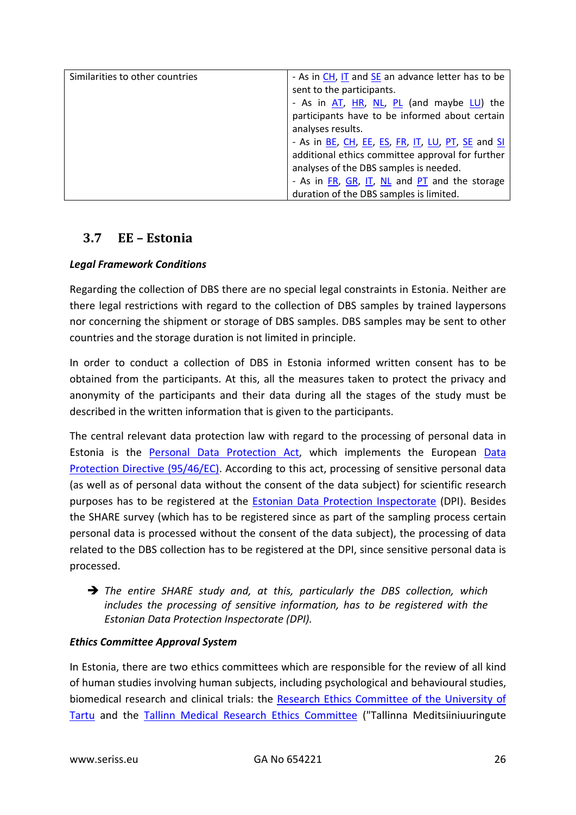| Similarities to other countries | - As in CH, IT and SE an advance letter has to be |
|---------------------------------|---------------------------------------------------|
|                                 |                                                   |
|                                 | sent to the participants.                         |
|                                 | - As in AT, HR, NL, PL (and maybe LU) the         |
|                                 | participants have to be informed about certain    |
|                                 | analyses results.                                 |
|                                 | - As in BE, CH, EE, ES, FR, IT, LU, PT, SE and SI |
|                                 | additional ethics committee approval for further  |
|                                 | analyses of the DBS samples is needed.            |
|                                 | - As in FR, GR, IT, NL and PT and the storage     |
|                                 | duration of the DBS samples is limited.           |

## <span id="page-25-0"></span>**3.7 EE – Estonia**

#### *Legal Framework Conditions*

Regarding the collection of DBS there are no special legal constraints in Estonia. Neither are there legal restrictions with regard to the collection of DBS samples by trained laypersons nor concerning the shipment or storage of DBS samples. DBS samples may be sent to other countries and the storage duration is not limited in principle.

In order to conduct a collection of DBS in Estonia informed written consent has to be obtained from the participants. At this, all the measures taken to protect the privacy and anonymity of the participants and their data during all the stages of the study must be described in the written information that is given to the participants.

The central relevant data protection law with regard to the processing of personal data in Estonia is the [Personal Data Protection Act,](https://www.riigiteataja.ee/en/eli/509072014018/consolide) which implements the European [Data](http://eur-lex.europa.eu/LexUriServ/LexUriServ.do?uri=CELEX:31995L0046:en:HTML)  [Protection Directive \(95/46/EC\).](http://eur-lex.europa.eu/LexUriServ/LexUriServ.do?uri=CELEX:31995L0046:en:HTML) According to this act, processing of sensitive personal data (as well as of personal data without the consent of the data subject) for scientific research purposes has to be registered at the **Estonian Data Protection Inspectorate** (DPI). Besides the SHARE survey (which has to be registered since as part of the sampling process certain personal data is processed without the consent of the data subject), the processing of data related to the DBS collection has to be registered at the DPI, since sensitive personal data is processed.

 *The entire SHARE study and, at this, particularly the DBS collection, which includes the processing of sensitive information, has to be registered with the Estonian Data Protection Inspectorate (DPI).*

#### *Ethics Committee Approval System*

In Estonia, there are two ethics committees which are responsible for the review of all kind of human studies involving human subjects, including psychological and behavioural studies, biomedical research and clinical trials: the Research Ethics Committee of the University of [Tartu](http://www.ut.ee/en/research-ethics-committee-university-tartu) and the [Tallinn Medical Research Ethics Committee](http://www.tai.ee/en/about-us/tallinn-medical-research-ethics-commitee) ("Tallinna Meditsiiniuuringute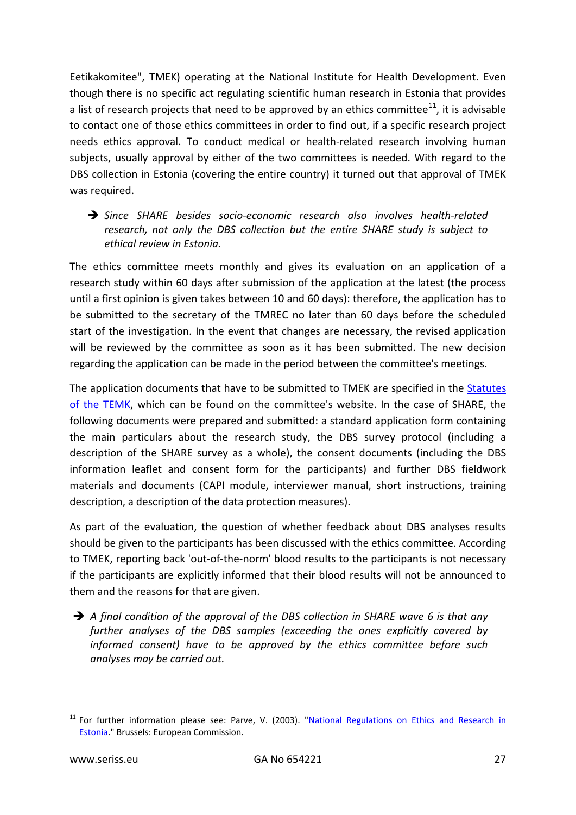Eetikakomitee", TMEK) operating at the National Institute for Health Development. Even though there is no specific act regulating scientific human research in Estonia that provides a list of research projects that need to be approved by an ethics committee<sup>[11](#page-26-0)</sup>, it is advisable to contact one of those ethics committees in order to find out, if a specific research project needs ethics approval. To conduct medical or health-related research involving human subjects, usually approval by either of the two committees is needed. With regard to the DBS collection in Estonia (covering the entire country) it turned out that approval of TMEK was required.

 *Since SHARE besides socio-economic research also involves health-related research, not only the DBS collection but the entire SHARE study is subject to ethical review in Estonia.*

The ethics committee meets monthly and gives its evaluation on an application of a research study within 60 days after submission of the application at the latest (the process until a first opinion is given takes between 10 and 60 days): therefore, the application has to be submitted to the secretary of the TMREC no later than 60 days before the scheduled start of the investigation. In the event that changes are necessary, the revised application will be reviewed by the committee as soon as it has been submitted. The new decision regarding the application can be made in the period between the committee's meetings.

The application documents that have to be submitted to TMEK are specified in the [Statutes](http://www.tai.ee/images/PDF/Tallinn_EC_Bylaws.pdf)  [of the TEMK,](http://www.tai.ee/images/PDF/Tallinn_EC_Bylaws.pdf) which can be found on the committee's website. In the case of SHARE, the following documents were prepared and submitted: a standard application form containing the main particulars about the research study, the DBS survey protocol (including a description of the SHARE survey as a whole), the consent documents (including the DBS information leaflet and consent form for the participants) and further DBS fieldwork materials and documents (CAPI module, interviewer manual, short instructions, training description, a description of the data protection measures).

As part of the evaluation, the question of whether feedback about DBS analyses results should be given to the participants has been discussed with the ethics committee. According to TMEK, reporting back 'out-of-the-norm' blood results to the participants is not necessary if the participants are explicitly informed that their blood results will not be announced to them and the reasons for that are given.

 *A final condition of the approval of the DBS collection in SHARE wave 6 is that any further analyses of the DBS samples (exceeding the ones explicitly covered by informed consent) have to be approved by the ethics committee before such analyses may be carried out.*

<span id="page-26-0"></span> $11$  For further information please see: Parve, V. (2003). "National Regulations on Ethics and Research in [Estonia.](http://ftp.infoeuropa.eurocid.pt/files/database/000036001-000037000/000036849.pdf)" Brussels: European Commission.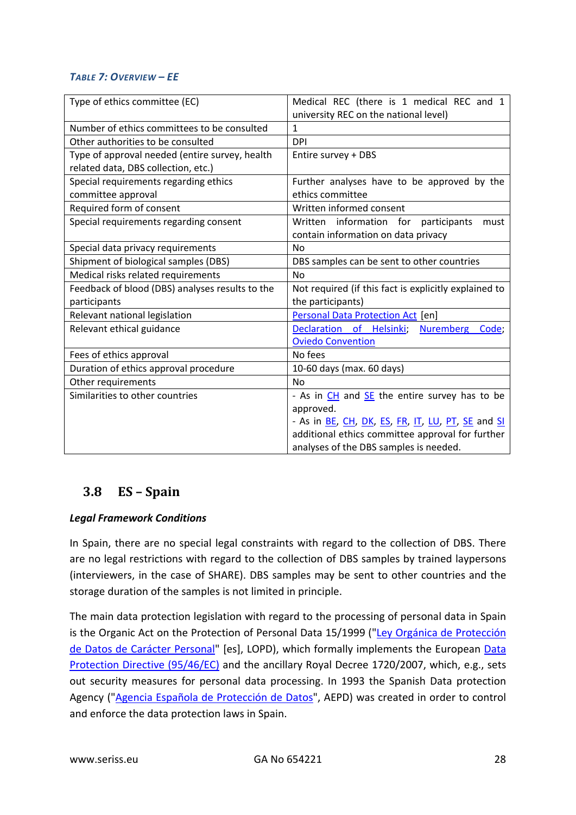#### *TABLE 7: OVERVIEW – EE*

| Type of ethics committee (EC)                   | Medical REC (there is 1 medical REC and 1             |
|-------------------------------------------------|-------------------------------------------------------|
| Number of ethics committees to be consulted     | university REC on the national level)<br>$\mathbf{1}$ |
|                                                 |                                                       |
| Other authorities to be consulted               | <b>DPI</b>                                            |
| Type of approval needed (entire survey, health  | Entire survey + DBS                                   |
| related data, DBS collection, etc.)             |                                                       |
| Special requirements regarding ethics           | Further analyses have to be approved by the           |
| committee approval                              | ethics committee                                      |
| Required form of consent                        | Written informed consent                              |
| Special requirements regarding consent          | Written information for<br>participants<br>must       |
|                                                 | contain information on data privacy                   |
| Special data privacy requirements               | N <sub>0</sub>                                        |
| Shipment of biological samples (DBS)            | DBS samples can be sent to other countries            |
| Medical risks related requirements              | <b>No</b>                                             |
| Feedback of blood (DBS) analyses results to the | Not required (if this fact is explicitly explained to |
| participants                                    | the participants)                                     |
| Relevant national legislation                   | <b>Personal Data Protection Act [en]</b>              |
| Relevant ethical guidance                       | Declaration of Helsinki;<br><b>Nuremberg</b><br>Code; |
|                                                 | <b>Oviedo Convention</b>                              |
| Fees of ethics approval                         | No fees                                               |
| Duration of ethics approval procedure           | 10-60 days (max. 60 days)                             |
| Other requirements                              | <b>No</b>                                             |
| Similarities to other countries                 | - As in CH and SE the entire survey has to be         |
|                                                 | approved.                                             |
|                                                 | - As in BE, CH, DK, ES, FR, IT, LU, PT, SE and SI     |
|                                                 | additional ethics committee approval for further      |
|                                                 | analyses of the DBS samples is needed.                |

# <span id="page-27-0"></span>**3.8 ES – Spain**

#### *Legal Framework Conditions*

In Spain, there are no special legal constraints with regard to the collection of DBS. There are no legal restrictions with regard to the collection of DBS samples by trained laypersons (interviewers, in the case of SHARE). DBS samples may be sent to other countries and the storage duration of the samples is not limited in principle.

The main data protection legislation with regard to the processing of personal data in Spain is the Organic Act on the Protection of Personal Data 15/1999 (["Ley Orgánica de Protección](http://noticias.juridicas.com/base_datos/Admin/lo15-1999.html)  [de Datos de Carácter Personal"](http://noticias.juridicas.com/base_datos/Admin/lo15-1999.html) [es], LOPD), which formally implements the European [Data](http://eur-lex.europa.eu/LexUriServ/LexUriServ.do?uri=CELEX:31995L0046:en:HTML)  [Protection Directive \(95/46/EC\)](http://eur-lex.europa.eu/LexUriServ/LexUriServ.do?uri=CELEX:31995L0046:en:HTML) and the ancillary Royal Decree 1720/2007, which, e.g., sets out security measures for personal data processing. In 1993 the Spanish Data protection Agency (["Agencia Española de](http://www.agpd.es/portalwebAGPD/index-ides-idphp.php) Protección de Datos", AEPD) was created in order to control and enforce the data protection laws in Spain.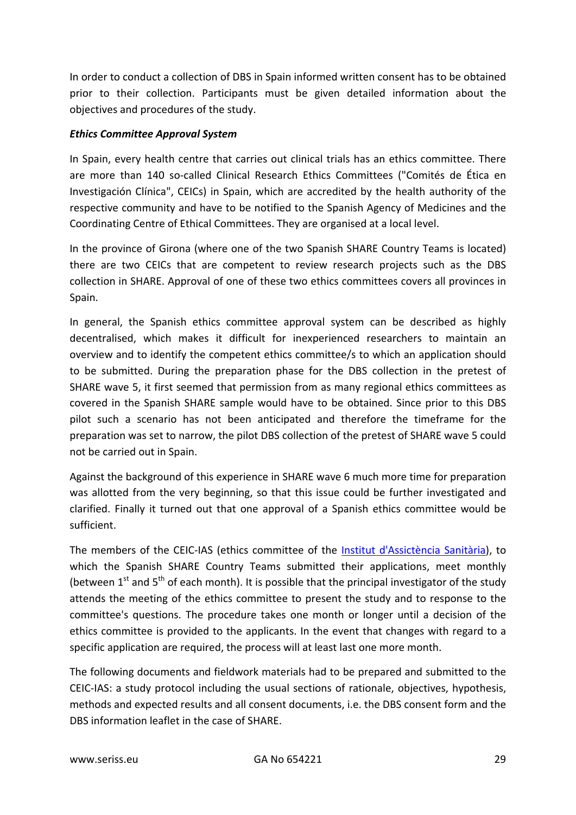In order to conduct a collection of DBS in Spain informed written consent has to be obtained prior to their collection. Participants must be given detailed information about the objectives and procedures of the study.

#### *Ethics Committee Approval System*

In Spain, every health centre that carries out clinical trials has an ethics committee. There are more than 140 so-called Clinical Research Ethics Committees ("Comités de Ética en Investigación Clínica", CEICs) in Spain, which are accredited by the health authority of the respective community and have to be notified to the Spanish Agency of Medicines and the Coordinating Centre of Ethical Committees. They are organised at a local level.

In the province of Girona (where one of the two Spanish SHARE Country Teams is located) there are two CEICs that are competent to review research projects such as the DBS collection in SHARE. Approval of one of these two ethics committees covers all provinces in Spain.

In general, the Spanish ethics committee approval system can be described as highly decentralised, which makes it difficult for inexperienced researchers to maintain an overview and to identify the competent ethics committee/s to which an application should to be submitted. During the preparation phase for the DBS collection in the pretest of SHARE wave 5, it first seemed that permission from as many regional ethics committees as covered in the Spanish SHARE sample would have to be obtained. Since prior to this DBS pilot such a scenario has not been anticipated and therefore the timeframe for the preparation was set to narrow, the pilot DBS collection of the pretest of SHARE wave 5 could not be carried out in Spain.

Against the background of this experience in SHARE wave 6 much more time for preparation was allotted from the very beginning, so that this issue could be further investigated and clarified. Finally it turned out that one approval of a Spanish ethics committee would be sufficient.

The members of the CEIC-IAS (ethics committee of the [Institut d'Assictència Sanitària\)](http://www.ias.cat/), to which the Spanish SHARE Country Teams submitted their applications, meet monthly (between  $1^{st}$  and  $5^{th}$  of each month). It is possible that the principal investigator of the study attends the meeting of the ethics committee to present the study and to response to the committee's questions. The procedure takes one month or longer until a decision of the ethics committee is provided to the applicants. In the event that changes with regard to a specific application are required, the process will at least last one more month.

The following documents and fieldwork materials had to be prepared and submitted to the CEIC-IAS: a study protocol including the usual sections of rationale, objectives, hypothesis, methods and expected results and all consent documents, i.e. the DBS consent form and the DBS information leaflet in the case of SHARE.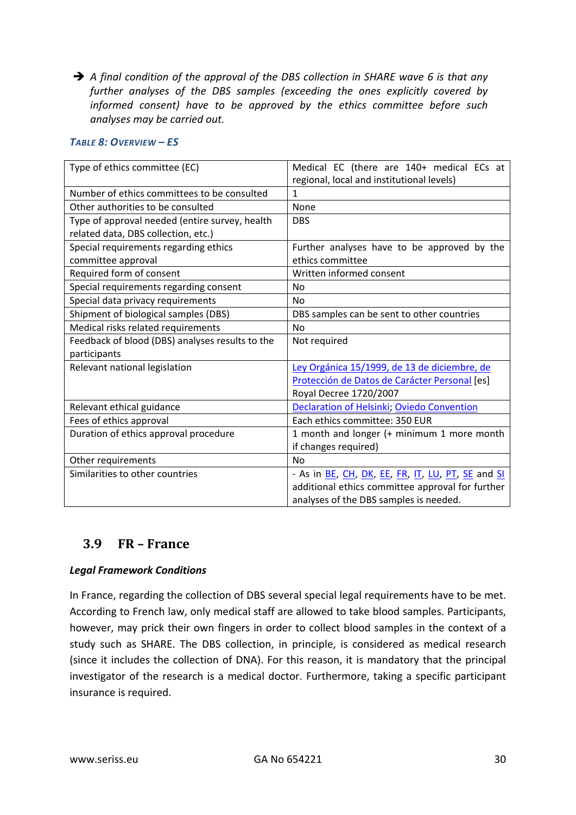*A final condition of the approval of the DBS collection in SHARE wave 6 is that any further analyses of the DBS samples (exceeding the ones explicitly covered by informed consent) have to be approved by the ethics committee before such analyses may be carried out.*

#### *TABLE 8: OVERVIEW – ES*

| Type of ethics committee (EC)                   | Medical EC (there are 140+ medical ECs at         |
|-------------------------------------------------|---------------------------------------------------|
|                                                 | regional, local and institutional levels)         |
| Number of ethics committees to be consulted     | 1                                                 |
| Other authorities to be consulted               | None                                              |
| Type of approval needed (entire survey, health  | <b>DBS</b>                                        |
| related data, DBS collection, etc.)             |                                                   |
| Special requirements regarding ethics           | Further analyses have to be approved by the       |
| committee approval                              | ethics committee                                  |
| Required form of consent                        | Written informed consent                          |
| Special requirements regarding consent          | N <sub>0</sub>                                    |
| Special data privacy requirements               | <b>No</b>                                         |
| Shipment of biological samples (DBS)            | DBS samples can be sent to other countries        |
| Medical risks related requirements              | N <sub>o</sub>                                    |
| Feedback of blood (DBS) analyses results to the | Not required                                      |
| participants                                    |                                                   |
| Relevant national legislation                   | Ley Orgánica 15/1999, de 13 de diciembre, de      |
|                                                 | Protección de Datos de Carácter Personal [es]     |
|                                                 | Royal Decree 1720/2007                            |
| Relevant ethical guidance                       | Declaration of Helsinki; Oviedo Convention        |
| Fees of ethics approval                         | Each ethics committee: 350 EUR                    |
| Duration of ethics approval procedure           | 1 month and longer (+ minimum 1 more month        |
|                                                 | if changes required)                              |
| Other requirements                              | <b>No</b>                                         |
| Similarities to other countries                 | - As in BE, CH, DK, EE, FR, IT, LU, PT, SE and SI |
|                                                 | additional ethics committee approval for further  |
|                                                 | analyses of the DBS samples is needed.            |

#### <span id="page-29-0"></span>**3.9 FR – France**

#### *Legal Framework Conditions*

In France, regarding the collection of DBS several special legal requirements have to be met. According to French law, only medical staff are allowed to take blood samples. Participants, however, may prick their own fingers in order to collect blood samples in the context of a study such as SHARE. The DBS collection, in principle, is considered as medical research (since it includes the collection of DNA). For this reason, it is mandatory that the principal investigator of the research is a medical doctor. Furthermore, taking a specific participant insurance is required.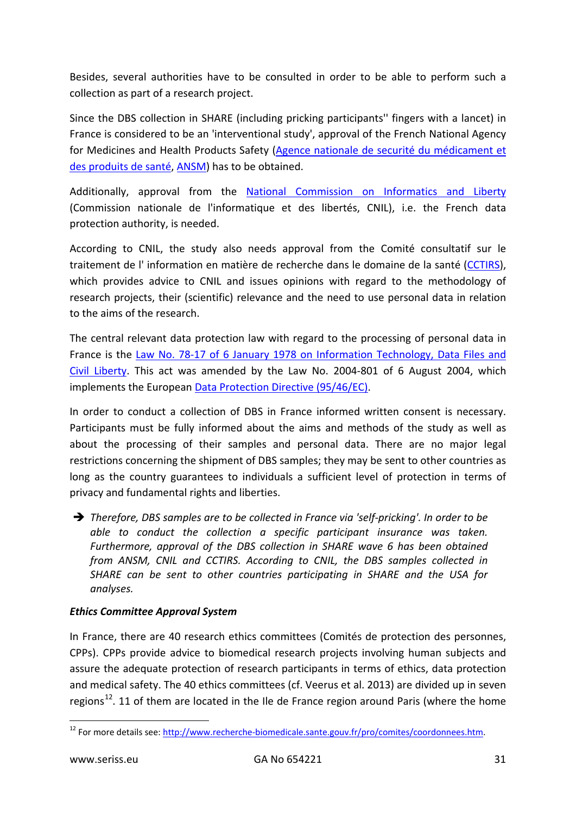Besides, several authorities have to be consulted in order to be able to perform such a collection as part of a research project.

Since the DBS collection in SHARE (including pricking participants'' fingers with a lancet) in France is considered to be an 'interventional study', approval of the French National Agency for Medicines and Health Products Safety [\(Agence nationale de securité du médicament et](http://ansm.sante.fr/)  [des produits de santé,](http://ansm.sante.fr/) [ANSM\)](http://ansm.sante.fr/var/ansm_site/storage/original/application/e202352c2deb2fa129d40191fffac4e2.pdf) has to be obtained.

Additionally, approval from the [National Commission on Informatics and Liberty](https://www.cnil.fr/en/home) (Commission nationale de l'informatique et des libertés, CNIL), i.e. the French data protection authority, is needed.

According to CNIL, the study also needs approval from the Comité consultatif sur le traitement de l'information en matière de recherche dans le domaine de la santé [\(CCTIRS\)](http://www.enseignementsup-recherche.gouv.fr/cid20537/cctirs.html), which provides advice to CNIL and issues opinions with regard to the methodology of research projects, their (scientific) relevance and the need to use personal data in relation to the aims of the research.

The central relevant data protection law with regard to the processing of personal data in France is the [Law No. 78-17 of 6 January 1978 on Information Technology, Data Files and](http://www.cnil.fr/fileadmin/documents/en/Act78-17VA.pdf)  Civil [Liberty.](http://www.cnil.fr/fileadmin/documents/en/Act78-17VA.pdf) This act was amended by the Law No. 2004-801 of 6 August 2004, which implements the European [Data Protection Directive \(95/46/EC\).](http://eur-lex.europa.eu/LexUriServ/LexUriServ.do?uri=CELEX:31995L0046:en:HTML)

In order to conduct a collection of DBS in France informed written consent is necessary. Participants must be fully informed about the aims and methods of the study as well as about the processing of their samples and personal data. There are no major legal restrictions concerning the shipment of DBS samples; they may be sent to other countries as long as the country guarantees to individuals a sufficient level of protection in terms of privacy and fundamental rights and liberties.

 *Therefore, DBS samples are to be collected in France via 'self-pricking'. In order to be able to conduct the collection a specific participant insurance was taken. Furthermore, approval of the DBS collection in SHARE wave 6 has been obtained from ANSM, CNIL and CCTIRS. According to CNIL, the DBS samples collected in SHARE can be sent to other countries participating in SHARE and the USA for analyses.*

#### *Ethics Committee Approval System*

In France, there are 40 research ethics committees (Comités de protection des personnes, CPPs). CPPs provide advice to biomedical research projects involving human subjects and assure the adequate protection of research participants in terms of ethics, data protection and medical safety. The 40 ethics committees (cf. Veerus et al. 2013) are divided up in seven regions<sup>[12](#page-30-0)</sup>. 11 of them are located in the Ile de France region around Paris (where the home

<span id="page-30-0"></span><sup>&</sup>lt;sup>12</sup> For more details see[: http://www.recherche-biomedicale.sante.gouv.fr/pro/comites/coordonnees.htm.](http://www.recherche-biomedicale.sante.gouv.fr/pro/comites/coordonnees.htm)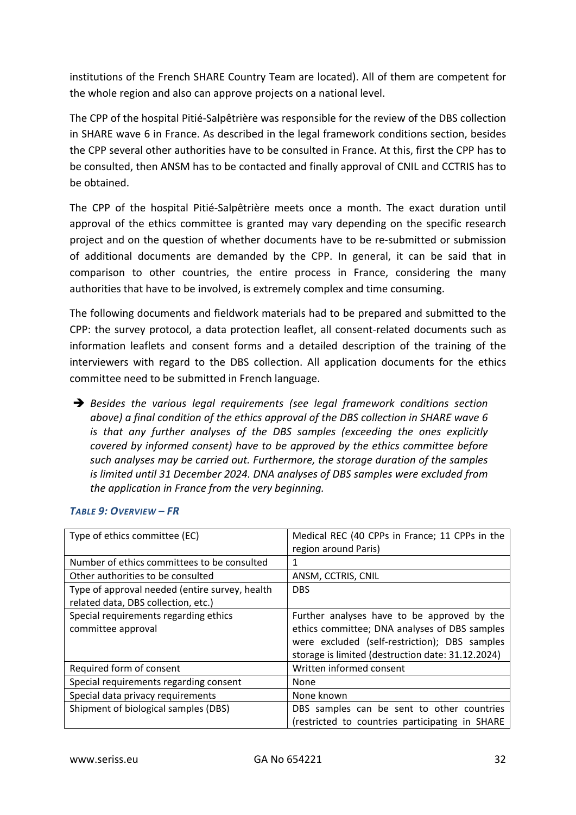institutions of the French SHARE Country Team are located). All of them are competent for the whole region and also can approve projects on a national level.

The CPP of the hospital Pitié-Salpêtrière was responsible for the review of the DBS collection in SHARE wave 6 in France. As described in the legal framework conditions section, besides the CPP several other authorities have to be consulted in France. At this, first the CPP has to be consulted, then ANSM has to be contacted and finally approval of CNIL and CCTRIS has to be obtained.

The CPP of the hospital Pitié-Salpêtrière meets once a month. The exact duration until approval of the ethics committee is granted may vary depending on the specific research project and on the question of whether documents have to be re-submitted or submission of additional documents are demanded by the CPP. In general, it can be said that in comparison to other countries, the entire process in France, considering the many authorities that have to be involved, is extremely complex and time consuming.

The following documents and fieldwork materials had to be prepared and submitted to the CPP: the survey protocol, a data protection leaflet, all consent-related documents such as information leaflets and consent forms and a detailed description of the training of the interviewers with regard to the DBS collection. All application documents for the ethics committee need to be submitted in French language.

 *Besides the various legal requirements (see legal framework conditions section above) a final condition of the ethics approval of the DBS collection in SHARE wave 6 is that any further analyses of the DBS samples (exceeding the ones explicitly covered by informed consent) have to be approved by the ethics committee before such analyses may be carried out. Furthermore, the storage duration of the samples is limited until 31 December 2024. DNA analyses of DBS samples were excluded from the application in France from the very beginning.*

| Type of ethics committee (EC)                               | Medical REC (40 CPPs in France; 11 CPPs in the<br>region around Paris)                                                                                                                             |
|-------------------------------------------------------------|----------------------------------------------------------------------------------------------------------------------------------------------------------------------------------------------------|
| Number of ethics committees to be consulted                 | 1                                                                                                                                                                                                  |
| Other authorities to be consulted                           | ANSM, CCTRIS, CNIL                                                                                                                                                                                 |
| Type of approval needed (entire survey, health              | <b>DBS</b>                                                                                                                                                                                         |
| related data, DBS collection, etc.)                         |                                                                                                                                                                                                    |
| Special requirements regarding ethics<br>committee approval | Further analyses have to be approved by the<br>ethics committee; DNA analyses of DBS samples<br>were excluded (self-restriction); DBS samples<br>storage is limited (destruction date: 31.12.2024) |
| Required form of consent                                    | Written informed consent                                                                                                                                                                           |
| Special requirements regarding consent                      | <b>None</b>                                                                                                                                                                                        |
| Special data privacy requirements                           | None known                                                                                                                                                                                         |
| Shipment of biological samples (DBS)                        | DBS samples can be sent to other countries<br>(restricted to countries participating in SHARE                                                                                                      |

#### *TABLE 9: OVERVIEW – FR*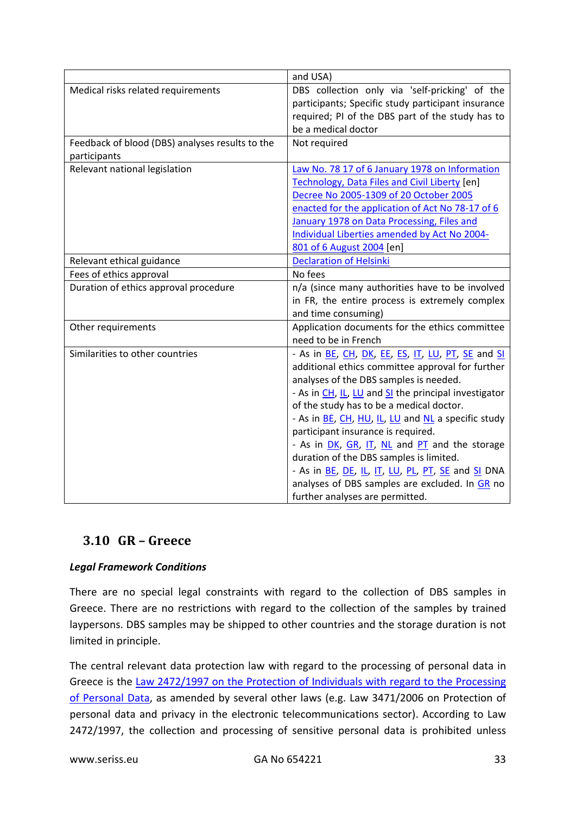|                                                 | and USA)                                             |
|-------------------------------------------------|------------------------------------------------------|
| Medical risks related requirements              | DBS collection only via 'self-pricking' of the       |
|                                                 | participants; Specific study participant insurance   |
|                                                 | required; PI of the DBS part of the study has to     |
|                                                 | be a medical doctor                                  |
| Feedback of blood (DBS) analyses results to the | Not required                                         |
| participants                                    |                                                      |
| Relevant national legislation                   | Law No. 78 17 of 6 January 1978 on Information       |
|                                                 | Technology, Data Files and Civil Liberty [en]        |
|                                                 | Decree No 2005-1309 of 20 October 2005               |
|                                                 | enacted for the application of Act No 78-17 of 6     |
|                                                 | January 1978 on Data Processing, Files and           |
|                                                 | Individual Liberties amended by Act No 2004-         |
|                                                 | 801 of 6 August 2004 [en]                            |
| Relevant ethical guidance                       | <b>Declaration of Helsinki</b>                       |
| Fees of ethics approval                         | No fees                                              |
| Duration of ethics approval procedure           | n/a (since many authorities have to be involved      |
|                                                 | in FR, the entire process is extremely complex       |
|                                                 | and time consuming)                                  |
| Other requirements                              | Application documents for the ethics committee       |
|                                                 | need to be in French                                 |
| Similarities to other countries                 | - As in BE, CH, DK, EE, ES, IT, LU, PT, SE and SI    |
|                                                 | additional ethics committee approval for further     |
|                                                 | analyses of the DBS samples is needed.               |
|                                                 | - As in CH, IL, LU and SI the principal investigator |
|                                                 | of the study has to be a medical doctor.             |
|                                                 | - As in BE, CH, HU, IL, LU and NL a specific study   |
|                                                 | participant insurance is required.                   |
|                                                 | - As in DK, GR, IT, NL and PT and the storage        |
|                                                 | duration of the DBS samples is limited.              |
|                                                 | - As in BE, DE, IL, IT, LU, PL, PT, SE and SI DNA    |
|                                                 | analyses of DBS samples are excluded. In GR no       |
|                                                 | further analyses are permitted.                      |

### <span id="page-32-0"></span>**3.10 GR – Greece**

#### *Legal Framework Conditions*

There are no special legal constraints with regard to the collection of DBS samples in Greece. There are no restrictions with regard to the collection of the samples by trained laypersons. DBS samples may be shipped to other countries and the storage duration is not limited in principle.

The central relevant data protection law with regard to the processing of personal data in Greece is the [Law 2472/1997 on the Protection of Individuals with regard to the Processing](http://www.dpa.gr/pls/portal/docs/PAGE/APDPX/ENGLISH_INDEX/LEGAL%20FRAMEWORK/LAW%202472-97-NOV2013-EN.PDF)  [of Personal Data,](http://www.dpa.gr/pls/portal/docs/PAGE/APDPX/ENGLISH_INDEX/LEGAL%20FRAMEWORK/LAW%202472-97-NOV2013-EN.PDF) as amended by several other laws (e.g. Law 3471/2006 on Protection of personal data and privacy in the electronic telecommunications sector). According to Law 2472/1997, the collection and processing of sensitive personal data is prohibited unless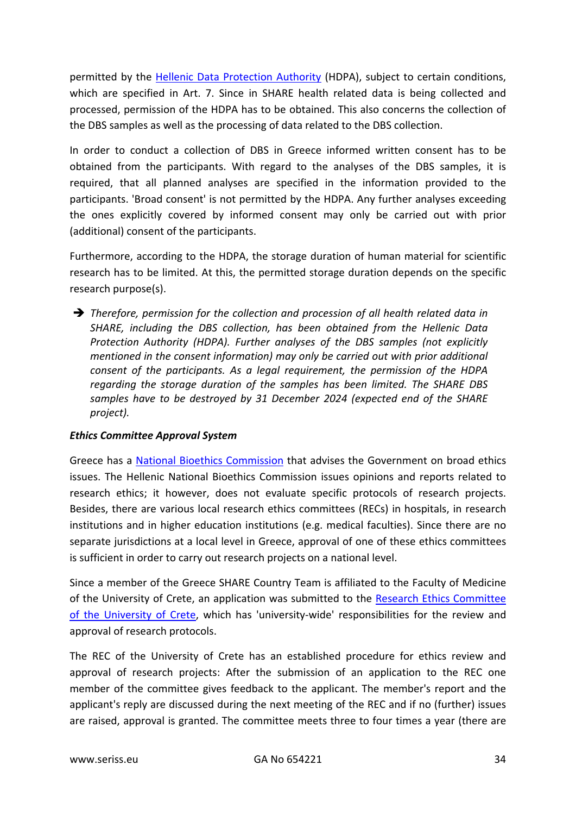permitted by the Hellenic [Data Protection Authority](http://www.dpa.gr/portal/page?_pageid=33,40911&_dad=portal&_schema=PORTAL) (HDPA), subject to certain conditions, which are specified in Art. 7. Since in SHARE health related data is being collected and processed, permission of the HDPA has to be obtained. This also concerns the collection of the DBS samples as well as the processing of data related to the DBS collection.

In order to conduct a collection of DBS in Greece informed written consent has to be obtained from the participants. With regard to the analyses of the DBS samples, it is required, that all planned analyses are specified in the information provided to the participants. 'Broad consent' is not permitted by the HDPA. Any further analyses exceeding the ones explicitly covered by informed consent may only be carried out with prior (additional) consent of the participants.

Furthermore, according to the HDPA, the storage duration of human material for scientific research has to be limited. At this, the permitted storage duration depends on the specific research purpose(s).

 *Therefore, permission for the collection and procession of all health related data in SHARE, including the DBS collection, has been obtained from the Hellenic Data Protection Authority (HDPA). Further analyses of the DBS samples (not explicitly mentioned in the consent information) may only be carried out with prior additional consent of the participants. As a legal requirement, the permission of the HDPA regarding the storage duration of the samples has been limited. The SHARE DBS samples have to be destroyed by 31 December 2024 (expected end of the SHARE project).*

#### *Ethics Committee Approval System*

Greece has a [National Bioethics Commission](http://www.bioethics.gr/index.php?category_id=3) that advises the Government on broad ethics issues. The Hellenic National Bioethics Commission issues opinions and reports related to research ethics; it however, does not evaluate specific protocols of research projects. Besides, there are various local research ethics committees (RECs) in hospitals, in research institutions and in higher education institutions (e.g. medical faculties). Since there are no separate jurisdictions at a local level in Greece, approval of one of these ethics committees is sufficient in order to carry out research projects on a national level.

Since a member of the Greece SHARE Country Team is affiliated to the Faculty of Medicine of the University of Crete, an application was submitted to the [Research Ethics Committee](http://www.en.uoc.gr/research-at-uni/eth/ethi.html)  [of the University of Crete,](http://www.en.uoc.gr/research-at-uni/eth/ethi.html) which has 'university-wide' responsibilities for the review and approval of research protocols.

The REC of the University of Crete has an established procedure for ethics review and approval of research projects: After the submission of an application to the REC one member of the committee gives feedback to the applicant. The member's report and the applicant's reply are discussed during the next meeting of the REC and if no (further) issues are raised, approval is granted. The committee meets three to four times a year (there are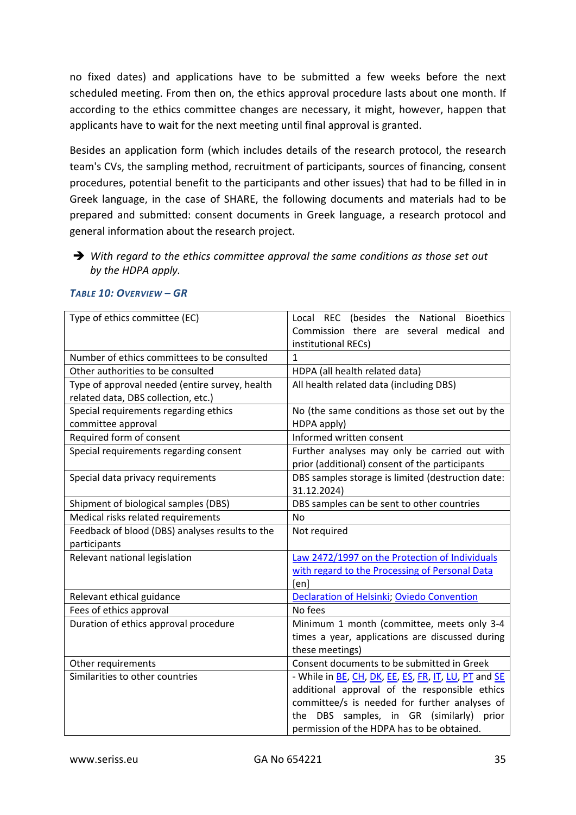no fixed dates) and applications have to be submitted a few weeks before the next scheduled meeting. From then on, the ethics approval procedure lasts about one month. If according to the ethics committee changes are necessary, it might, however, happen that applicants have to wait for the next meeting until final approval is granted.

Besides an application form (which includes details of the research protocol, the research team's CVs, the sampling method, recruitment of participants, sources of financing, consent procedures, potential benefit to the participants and other issues) that had to be filled in in Greek language, in the case of SHARE, the following documents and materials had to be prepared and submitted: consent documents in Greek language, a research protocol and general information about the research project.

 *With regard to the ethics committee approval the same conditions as those set out by the HDPA apply.*

| Type of ethics committee (EC)                   | Local REC (besides the National Bioethics                    |
|-------------------------------------------------|--------------------------------------------------------------|
|                                                 | Commission there are several medical and                     |
|                                                 | institutional RECs)                                          |
| Number of ethics committees to be consulted     | $\mathbf{1}$                                                 |
| Other authorities to be consulted               | HDPA (all health related data)                               |
| Type of approval needed (entire survey, health  | All health related data (including DBS)                      |
| related data, DBS collection, etc.)             |                                                              |
| Special requirements regarding ethics           | No (the same conditions as those set out by the              |
| committee approval                              | HDPA apply)                                                  |
| Required form of consent                        | Informed written consent                                     |
| Special requirements regarding consent          | Further analyses may only be carried out with                |
|                                                 | prior (additional) consent of the participants               |
| Special data privacy requirements               | DBS samples storage is limited (destruction date:            |
|                                                 | 31.12.2024)                                                  |
| Shipment of biological samples (DBS)            | DBS samples can be sent to other countries                   |
| Medical risks related requirements              | <b>No</b>                                                    |
| Feedback of blood (DBS) analyses results to the | Not required                                                 |
|                                                 |                                                              |
| participants                                    |                                                              |
| Relevant national legislation                   | Law 2472/1997 on the Protection of Individuals               |
|                                                 | with regard to the Processing of Personal Data               |
|                                                 | [en]                                                         |
| Relevant ethical guidance                       | Declaration of Helsinki; Oviedo Convention                   |
| Fees of ethics approval                         | No fees                                                      |
| Duration of ethics approval procedure           | Minimum 1 month (committee, meets only 3-4                   |
|                                                 | times a year, applications are discussed during              |
|                                                 | these meetings)                                              |
| Other requirements                              | Consent documents to be submitted in Greek                   |
| Similarities to other countries                 | - While in <b>BE</b> , CH, DK, EE, ES, FR, IT, LU, PT and SE |
|                                                 | additional approval of the responsible ethics                |
|                                                 | committee/s is needed for further analyses of                |
|                                                 | DBS samples, in GR (similarly) prior<br>the                  |

#### *TABLE 10: OVERVIEW – GR*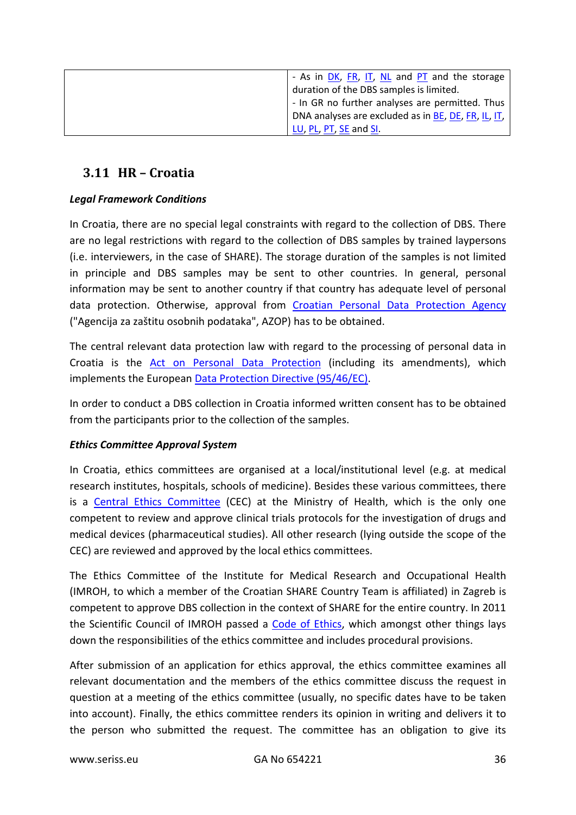| - As in DK, FR, IT, NL and PT and the storage                       |
|---------------------------------------------------------------------|
| duration of the DBS samples is limited.                             |
| - In GR no further analyses are permitted. Thus                     |
| DNA analyses are excluded as in <b>BE</b> , <b>DE</b> , FR, IL, IT, |
| LU, PL, PT, SE and SI.                                              |

# <span id="page-35-0"></span>**3.11 HR – Croatia**

#### *Legal Framework Conditions*

In Croatia, there are no special legal constraints with regard to the collection of DBS. There are no legal restrictions with regard to the collection of DBS samples by trained laypersons (i.e. interviewers, in the case of SHARE). The storage duration of the samples is not limited in principle and DBS samples may be sent to other countries. In general, personal information may be sent to another country if that country has adequate level of personal data protection. Otherwise, approval from [Croatian Personal Data Protection Agency](http://www.azop.hr/) ("Agencija za zaštitu osobnih podataka", AZOP) has to be obtained.

The central relevant data protection law with regard to the processing of personal data in Croatia is the [Act on Personal Data Protection](http://www.azop.hr/download.aspx%3Ff%3Ddokumenti/Razno/Croatian_Act_on_Personal_Data_Protection.pdf) (including its amendments), which implements the European [Data Protection Directive \(95/46/EC\).](http://www.azop.hr/download.aspx?f=dokumenti/Razno/Croatian_Act_on_Personal_Data_Protection.pdf)

In order to conduct a DBS collection in Croatia informed written consent has to be obtained from the participants prior to the collection of the samples.

#### *Ethics Committee Approval System*

In Croatia, ethics committees are organised at a local/institutional level (e.g. at medical research institutes, hospitals, schools of medicine). Besides these various committees, there is a [Central Ethics Committee](http://www.halmed.hr/en/O-HALMED-u/Sredisnje-eticko-povjerenstvo-SEP/) (CEC) at the Ministry of Health, which is the only one competent to review and approve clinical trials protocols for the investigation of drugs and medical devices (pharmaceutical studies). All other research (lying outside the scope of the CEC) are reviewed and approved by the local ethics committees.

The Ethics Committee of the Institute for Medical Research and Occupational Health (IMROH, to which a member of the Croatian SHARE Country Team is affiliated) in Zagreb is competent to approve DBS collection in the context of SHARE for the entire country. In 2011 the Scientific Council of IMROH passed a [Code of Ethics,](http://imi.hr/file_download.php?fileID=380) which amongst other things lays down the responsibilities of the ethics committee and includes procedural provisions.

After submission of an application for ethics approval, the ethics committee examines all relevant documentation and the members of the ethics committee discuss the request in question at a meeting of the ethics committee (usually, no specific dates have to be taken into account). Finally, the ethics committee renders its opinion in writing and delivers it to the person who submitted the request. The committee has an obligation to give its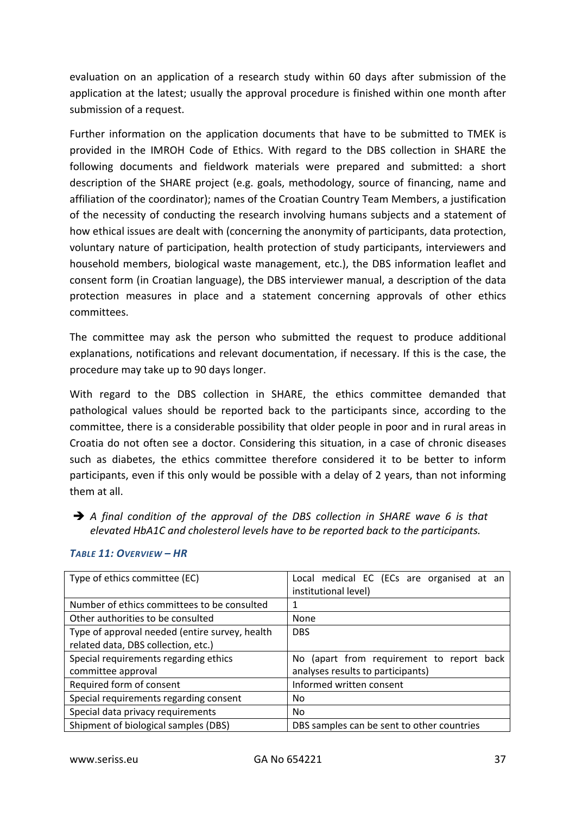evaluation on an application of a research study within 60 days after submission of the application at the latest; usually the approval procedure is finished within one month after submission of a request.

Further information on the application documents that have to be submitted to TMEK is provided in the IMROH Code of Ethics. With regard to the DBS collection in SHARE the following documents and fieldwork materials were prepared and submitted: a short description of the SHARE project (e.g. goals, methodology, source of financing, name and affiliation of the coordinator); names of the Croatian Country Team Members, a justification of the necessity of conducting the research involving humans subjects and a statement of how ethical issues are dealt with (concerning the anonymity of participants, data protection, voluntary nature of participation, health protection of study participants, interviewers and household members, biological waste management, etc.), the DBS information leaflet and consent form (in Croatian language), the DBS interviewer manual, a description of the data protection measures in place and a statement concerning approvals of other ethics committees.

The committee may ask the person who submitted the request to produce additional explanations, notifications and relevant documentation, if necessary. If this is the case, the procedure may take up to 90 days longer.

With regard to the DBS collection in SHARE, the ethics committee demanded that pathological values should be reported back to the participants since, according to the committee, there is a considerable possibility that older people in poor and in rural areas in Croatia do not often see a doctor. Considering this situation, in a case of chronic diseases such as diabetes, the ethics committee therefore considered it to be better to inform participants, even if this only would be possible with a delay of 2 years, than not informing them at all.

 *A final condition of the approval of the DBS collection in SHARE wave 6 is that elevated HbA1C and cholesterol levels have to be reported back to the participants.*

| Type of ethics committee (EC)                  | Local medical EC (ECs are organised at an<br>institutional level) |
|------------------------------------------------|-------------------------------------------------------------------|
| Number of ethics committees to be consulted    | 1                                                                 |
| Other authorities to be consulted              | None                                                              |
| Type of approval needed (entire survey, health | <b>DBS</b>                                                        |
| related data, DBS collection, etc.)            |                                                                   |
| Special requirements regarding ethics          | No (apart from requirement to report back                         |
| committee approval                             | analyses results to participants)                                 |
| Required form of consent                       | Informed written consent                                          |
| Special requirements regarding consent         | No.                                                               |
| Special data privacy requirements              | N <sub>0</sub>                                                    |
| Shipment of biological samples (DBS)           | DBS samples can be sent to other countries                        |

#### *TABLE 11: OVERVIEW – HR*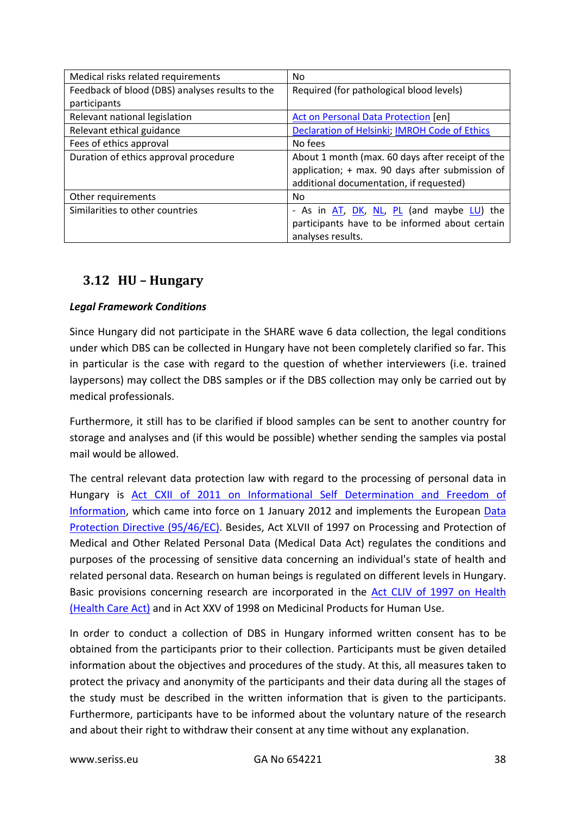| Medical risks related requirements              | No                                               |
|-------------------------------------------------|--------------------------------------------------|
| Feedback of blood (DBS) analyses results to the | Required (for pathological blood levels)         |
| participants                                    |                                                  |
| Relevant national legislation                   | Act on Personal Data Protection [en]             |
| Relevant ethical guidance                       | Declaration of Helsinki; IMROH Code of Ethics    |
| Fees of ethics approval                         | No fees                                          |
| Duration of ethics approval procedure           | About 1 month (max. 60 days after receipt of the |
|                                                 | application; + max. 90 days after submission of  |
|                                                 | additional documentation, if requested)          |
| Other requirements                              | No.                                              |
| Similarities to other countries                 | - As in AT, DK, NL, PL (and maybe LU) the        |
|                                                 | participants have to be informed about certain   |
|                                                 | analyses results.                                |

# <span id="page-37-0"></span>**3.12 HU – Hungary**

## *Legal Framework Conditions*

Since Hungary did not participate in the SHARE wave 6 data collection, the legal conditions under which DBS can be collected in Hungary have not been completely clarified so far. This in particular is the case with regard to the question of whether interviewers (i.e. trained laypersons) may collect the DBS samples or if the DBS collection may only be carried out by medical professionals.

Furthermore, it still has to be clarified if blood samples can be sent to another country for storage and analyses and (if this would be possible) whether sending the samples via postal mail would be allowed.

The central relevant data protection law with regard to the processing of personal data in Hungary is [Act CXII of 2011 on Informational Self Determination and Freedom of](http://www.naih.hu/files/Privacy_Act-CXII-of-2011_EN_201310.pdf)  [Information,](http://www.naih.hu/files/Privacy_Act-CXII-of-2011_EN_201310.pdf) which came into force on 1 January 2012 and implements the European Data [Protection Directive \(95/46/EC\).](http://eur-lex.europa.eu/LexUriServ/LexUriServ.do?uri=CELEX:31995L0046:en:HTML) Besides, Act XLVII of 1997 on Processing and Protection of Medical and Other Related Personal Data (Medical Data Act) regulates the conditions and purposes of the processing of sensitive data concerning an individual's state of health and related personal data. Research on human beings is regulated on different levels in Hungary. Basic provisions concerning research are incorporated in the [Act CLIV of 1997 on Health](http://www.patientsrights.hu/dokumentumletoltes.php?tip=letoltesek_eng&kod=1&file=1997_cliv_tv_eng.pdf)  [\(Health Care Act\)](http://www.patientsrights.hu/dokumentumletoltes.php?tip=letoltesek_eng&kod=1&file=1997_cliv_tv_eng.pdf) and in Act XXV of 1998 on Medicinal Products for Human Use.

In order to conduct a collection of DBS in Hungary informed written consent has to be obtained from the participants prior to their collection. Participants must be given detailed information about the objectives and procedures of the study. At this, all measures taken to protect the privacy and anonymity of the participants and their data during all the stages of the study must be described in the written information that is given to the participants. Furthermore, participants have to be informed about the voluntary nature of the research and about their right to withdraw their consent at any time without any explanation.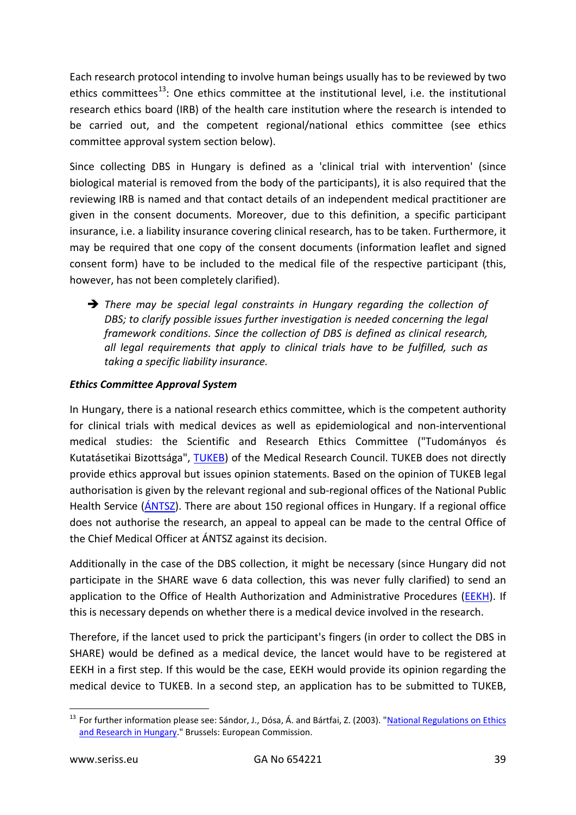Each research protocol intending to involve human beings usually has to be reviewed by two ethics committees<sup>[13](#page-38-0)</sup>: One ethics committee at the institutional level, i.e. the institutional research ethics board (IRB) of the health care institution where the research is intended to be carried out, and the competent regional/national ethics committee (see ethics committee approval system section below).

Since collecting DBS in Hungary is defined as a 'clinical trial with intervention' (since biological material is removed from the body of the participants), it is also required that the reviewing IRB is named and that contact details of an independent medical practitioner are given in the consent documents. Moreover, due to this definition, a specific participant insurance, i.e. a liability insurance covering clinical research, has to be taken. Furthermore, it may be required that one copy of the consent documents (information leaflet and signed consent form) have to be included to the medical file of the respective participant (this, however, has not been completely clarified).

 *There may be special legal constraints in Hungary regarding the collection of DBS; to clarify possible issues further investigation is needed concerning the legal framework conditions. Since the collection of DBS is defined as clinical research, all legal requirements that apply to clinical trials have to be fulfilled, such as taking a specific liability insurance.*

## *Ethics Committee Approval System*

In Hungary, there is a national research ethics committee, which is the competent authority for clinical trials with medical devices as well as epidemiological and non-interventional medical studies: the Scientific and Research Ethics Committee ("Tudományos és Kutatásetikai Bizottsága", [TUKEB\)](http://www.ett.hu/tukeb.htm) of the Medical Research Council. TUKEB does not directly provide ethics approval but issues opinion statements. Based on the opinion of TUKEB legal authorisation is given by the relevant regional and sub-regional offices of the National Public Health Service (ANTSZ). There are about 150 regional offices in Hungary. If a regional office does not authorise the research, an appeal to appeal can be made to the central Office of the Chief Medical Officer at ÁNTSZ against its decision.

Additionally in the case of the DBS collection, it might be necessary (since Hungary did not participate in the SHARE wave 6 data collection, this was never fully clarified) to send an application to the Office of Health Authorization and Administrative Procedures ( $EEKH$ ). If this is necessary depends on whether there is a medical device involved in the research.

Therefore, if the lancet used to prick the participant's fingers (in order to collect the DBS in SHARE) would be defined as a medical device, the lancet would have to be registered at EEKH in a first step. If this would be the case, EEKH would provide its opinion regarding the medical device to TUKEB. In a second step, an application has to be submitted to TUKEB,

<span id="page-38-0"></span><sup>&</sup>lt;sup>13</sup> For further information please see: Sándor, J., Dósa, Á. and Bártfai, Z. (2003). "National Regulations on Ethics [and Research in Hungary.](http://www.aaalac.org/intlRefs/IntRegs/Hungary/Natl%20Regs%20on%20Ethics%20and%20Research.pdf)" Brussels: European Commission.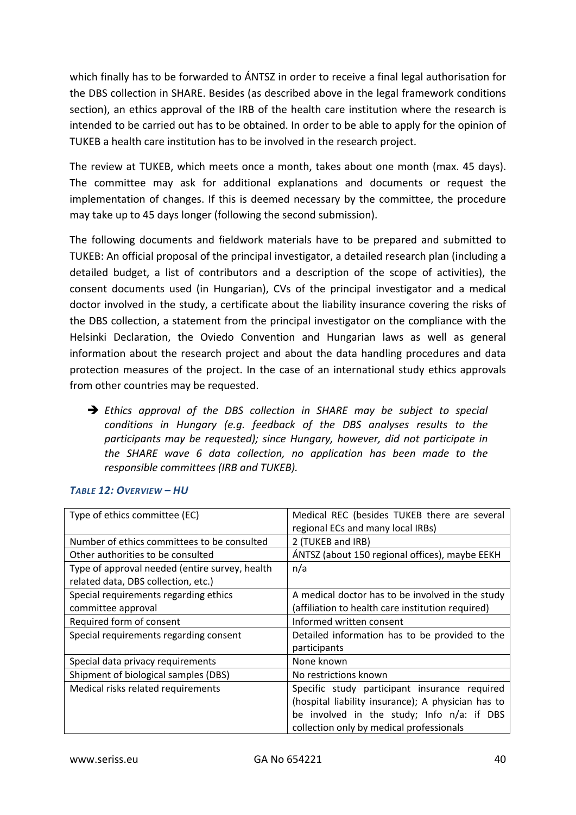which finally has to be forwarded to ÁNTSZ in order to receive a final legal authorisation for the DBS collection in SHARE. Besides (as described above in the legal framework conditions section), an ethics approval of the IRB of the health care institution where the research is intended to be carried out has to be obtained. In order to be able to apply for the opinion of TUKEB a health care institution has to be involved in the research project.

The review at TUKEB, which meets once a month, takes about one month (max. 45 days). The committee may ask for additional explanations and documents or request the implementation of changes. If this is deemed necessary by the committee, the procedure may take up to 45 days longer (following the second submission).

The following documents and fieldwork materials have to be prepared and submitted to TUKEB: An official proposal of the principal investigator, a detailed research plan (including a detailed budget, a list of contributors and a description of the scope of activities), the consent documents used (in Hungarian), CVs of the principal investigator and a medical doctor involved in the study, a certificate about the liability insurance covering the risks of the DBS collection, a statement from the principal investigator on the compliance with the Helsinki Declaration, the Oviedo Convention and Hungarian laws as well as general information about the research project and about the data handling procedures and data protection measures of the project. In the case of an international study ethics approvals from other countries may be requested.

 *Ethics approval of the DBS collection in SHARE may be subject to special conditions in Hungary (e.g. feedback of the DBS analyses results to the participants may be requested); since Hungary, however, did not participate in the SHARE wave 6 data collection, no application has been made to the responsible committees (IRB and TUKEB).*

| Type of ethics committee (EC)                  | Medical REC (besides TUKEB there are several       |
|------------------------------------------------|----------------------------------------------------|
|                                                | regional ECs and many local IRBs)                  |
| Number of ethics committees to be consulted    | 2 (TUKEB and IRB)                                  |
| Other authorities to be consulted              | ÁNTSZ (about 150 regional offices), maybe EEKH     |
| Type of approval needed (entire survey, health | n/a                                                |
| related data, DBS collection, etc.)            |                                                    |
| Special requirements regarding ethics          | A medical doctor has to be involved in the study   |
| committee approval                             | (affiliation to health care institution required)  |
| Required form of consent                       | Informed written consent                           |
| Special requirements regarding consent         | Detailed information has to be provided to the     |
|                                                | participants                                       |
| Special data privacy requirements              | None known                                         |
| Shipment of biological samples (DBS)           | No restrictions known                              |
| Medical risks related requirements             | Specific study participant insurance required      |
|                                                | (hospital liability insurance); A physician has to |
|                                                | be involved in the study; Info n/a: if DBS         |
|                                                | collection only by medical professionals           |

#### *TABLE 12: OVERVIEW – HU*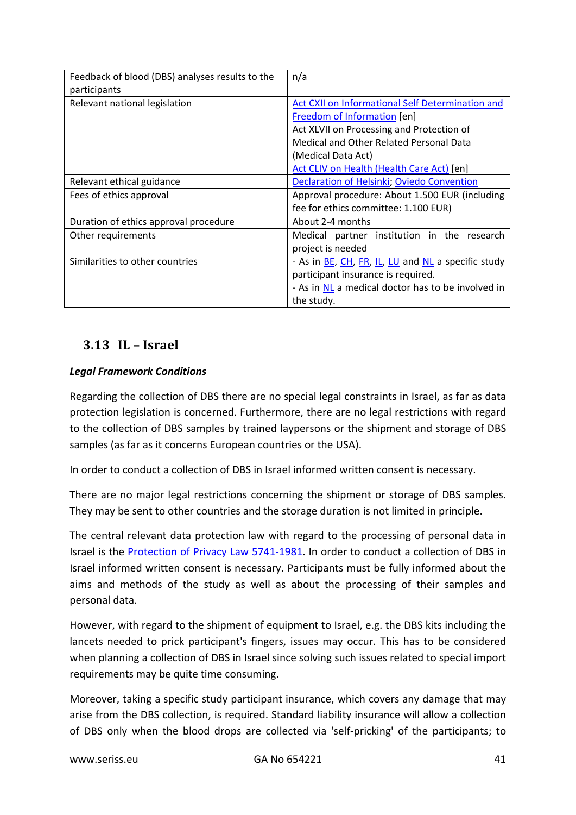| Feedback of blood (DBS) analyses results to the<br>participants | n/a                                                              |
|-----------------------------------------------------------------|------------------------------------------------------------------|
|                                                                 |                                                                  |
| Relevant national legislation                                   | Act CXII on Informational Self Determination and                 |
|                                                                 | Freedom of Information [en]                                      |
|                                                                 | Act XLVII on Processing and Protection of                        |
|                                                                 | Medical and Other Related Personal Data                          |
|                                                                 | (Medical Data Act)                                               |
|                                                                 | Act CLIV on Health (Health Care Act) [en]                        |
| Relevant ethical guidance                                       | Declaration of Helsinki, Oviedo Convention                       |
| Fees of ethics approval                                         | Approval procedure: About 1.500 EUR (including                   |
|                                                                 | fee for ethics committee: 1.100 EUR)                             |
| Duration of ethics approval procedure                           | About 2-4 months                                                 |
| Other requirements                                              | Medical partner institution in the research                      |
|                                                                 | project is needed                                                |
| Similarities to other countries                                 | - As in <b>BE, CH, FR, IL, LU</b> and <b>NL</b> a specific study |
|                                                                 | participant insurance is required.                               |
|                                                                 | - As in NL a medical doctor has to be involved in                |
|                                                                 | the study.                                                       |

# <span id="page-40-0"></span>**3.13 IL – Israel**

# *Legal Framework Conditions*

Regarding the collection of DBS there are no special legal constraints in Israel, as far as data protection legislation is concerned. Furthermore, there are no legal restrictions with regard to the collection of DBS samples by trained laypersons or the shipment and storage of DBS samples (as far as it concerns European countries or the USA).

In order to conduct a collection of DBS in Israel informed written consent is necessary.

There are no major legal restrictions concerning the shipment or storage of DBS samples. They may be sent to other countries and the storage duration is not limited in principle.

The central relevant data protection law with regard to the processing of personal data in Israel is the [Protection of Privacy Law 5741-1981.](http://www.financeisrael.mof.gov.il/FinanceIsrael/Docs/En/legislation/LaborSocialPolicy/5741-1981_Protection_of_Privacy_Law.pdf) In order to conduct a collection of DBS in Israel informed written consent is necessary. Participants must be fully informed about the aims and methods of the study as well as about the processing of their samples and personal data.

However, with regard to the shipment of equipment to Israel, e.g. the DBS kits including the lancets needed to prick participant's fingers, issues may occur. This has to be considered when planning a collection of DBS in Israel since solving such issues related to special import requirements may be quite time consuming.

Moreover, taking a specific study participant insurance, which covers any damage that may arise from the DBS collection, is required. Standard liability insurance will allow a collection of DBS only when the blood drops are collected via 'self-pricking' of the participants; to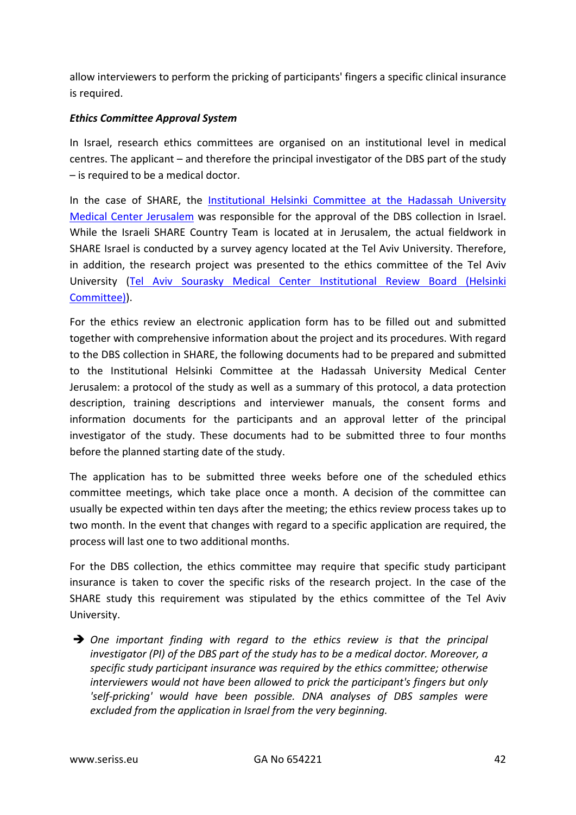allow interviewers to perform the pricking of participants' fingers a specific clinical insurance is required.

## *Ethics Committee Approval System*

In Israel, research ethics committees are organised on an institutional level in medical centres. The applicant – and therefore the principal investigator of the DBS part of the study – is required to be a medical doctor.

In the case of SHARE, the [Institutional Helsinki Committee at the Hadassah University](http://www.hadassah-med.com/medical-research/members-of-the-helsinki-committee.aspx)  [Medical Center](http://www.hadassah-med.com/medical-research/members-of-the-helsinki-committee.aspx) Jerusalem was responsible for the approval of the DBS collection in Israel. While the Israeli SHARE Country Team is located at in Jerusalem, the actual fieldwork in SHARE Israel is conducted by a survey agency located at the Tel Aviv University. Therefore, in addition, the research project was presented to the ethics committee of the Tel Aviv University [\(Tel Aviv Sourasky Medical Center Institutional Review Board \(Helsinki](http://www.tasmc.org.il/sites/en/Research/Clinical-Trials/Pages/Helsinki.aspx)  [Committee\)\)](http://www.tasmc.org.il/sites/en/Research/Clinical-Trials/Pages/Helsinki.aspx).

For the ethics review an electronic application form has to be filled out and submitted together with comprehensive information about the project and its procedures. With regard to the DBS collection in SHARE, the following documents had to be prepared and submitted to the Institutional Helsinki Committee at the Hadassah University Medical Center Jerusalem: a protocol of the study as well as a summary of this protocol, a data protection description, training descriptions and interviewer manuals, the consent forms and information documents for the participants and an approval letter of the principal investigator of the study. These documents had to be submitted three to four months before the planned starting date of the study.

The application has to be submitted three weeks before one of the scheduled ethics committee meetings, which take place once a month. A decision of the committee can usually be expected within ten days after the meeting; the ethics review process takes up to two month. In the event that changes with regard to a specific application are required, the process will last one to two additional months.

For the DBS collection, the ethics committee may require that specific study participant insurance is taken to cover the specific risks of the research project. In the case of the SHARE study this requirement was stipulated by the ethics committee of the Tel Aviv University.

 *One important finding with regard to the ethics review is that the principal investigator (PI) of the DBS part of the study has to be a medical doctor. Moreover, a specific study participant insurance was required by the ethics committee; otherwise interviewers would not have been allowed to prick the participant's fingers but only 'self-pricking' would have been possible. DNA analyses of DBS samples were excluded from the application in Israel from the very beginning.*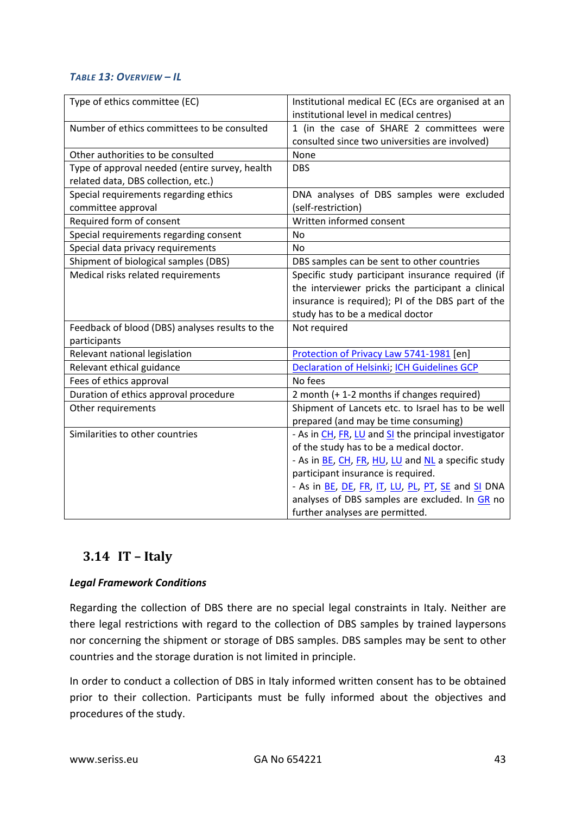### *TABLE 13: OVERVIEW – IL*

| Type of ethics committee (EC)                   | Institutional medical EC (ECs are organised at an<br>institutional level in medical centres) |
|-------------------------------------------------|----------------------------------------------------------------------------------------------|
| Number of ethics committees to be consulted     | 1 (in the case of SHARE 2 committees were<br>consulted since two universities are involved)  |
|                                                 |                                                                                              |
| Other authorities to be consulted               | None                                                                                         |
| Type of approval needed (entire survey, health  | <b>DBS</b>                                                                                   |
| related data, DBS collection, etc.)             |                                                                                              |
| Special requirements regarding ethics           | DNA analyses of DBS samples were excluded                                                    |
| committee approval                              | (self-restriction)                                                                           |
| Required form of consent                        | Written informed consent                                                                     |
| Special requirements regarding consent          | <b>No</b>                                                                                    |
| Special data privacy requirements               | <b>No</b>                                                                                    |
| Shipment of biological samples (DBS)            | DBS samples can be sent to other countries                                                   |
| Medical risks related requirements              | Specific study participant insurance required (if                                            |
|                                                 | the interviewer pricks the participant a clinical                                            |
|                                                 | insurance is required); PI of the DBS part of the                                            |
|                                                 | study has to be a medical doctor                                                             |
| Feedback of blood (DBS) analyses results to the | Not required                                                                                 |
| participants                                    |                                                                                              |
| Relevant national legislation                   | Protection of Privacy Law 5741-1981 [en]                                                     |
| Relevant ethical guidance                       | <b>Declaration of Helsinki, ICH Guidelines GCP</b>                                           |
| Fees of ethics approval                         | No fees                                                                                      |
| Duration of ethics approval procedure           | 2 month (+ 1-2 months if changes required)                                                   |
| Other requirements                              | Shipment of Lancets etc. to Israel has to be well                                            |
|                                                 | prepared (and may be time consuming)                                                         |
| Similarities to other countries                 | - As in CH, FR, LU and SI the principal investigator                                         |
|                                                 | of the study has to be a medical doctor.                                                     |
|                                                 | - As in BE, CH, FR, HU, LU and NL a specific study                                           |
|                                                 | participant insurance is required.                                                           |
|                                                 | - As in BE, DE, FR, IT, LU, PL, PT, SE and SI DNA                                            |
|                                                 | analyses of DBS samples are excluded. In GR no                                               |
|                                                 | further analyses are permitted.                                                              |

# <span id="page-42-0"></span>**3.14 IT – Italy**

# *Legal Framework Conditions*

Regarding the collection of DBS there are no special legal constraints in Italy. Neither are there legal restrictions with regard to the collection of DBS samples by trained laypersons nor concerning the shipment or storage of DBS samples. DBS samples may be sent to other countries and the storage duration is not limited in principle.

In order to conduct a collection of DBS in Italy informed written consent has to be obtained prior to their collection. Participants must be fully informed about the objectives and procedures of the study.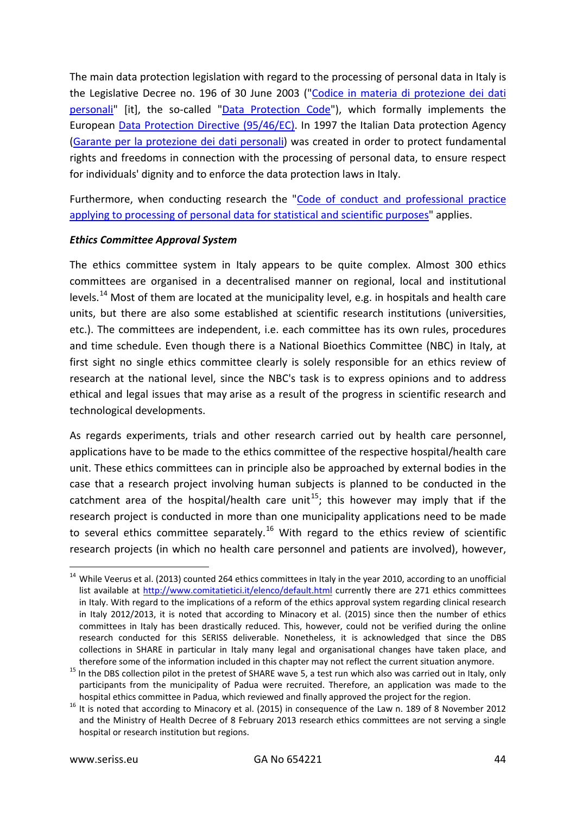The main data protection legislation with regard to the processing of personal data in Italy is the Legislative Decree no. 196 of 30 June 2003 (["Codice in materia di protezione dei dati](http://www.garanteprivacy.it/web/guest/home/docweb/-/docweb-display/docweb/1311248)  [personali"](http://www.garanteprivacy.it/web/guest/home/docweb/-/docweb-display/docweb/1311248) [it], the so-called ["Data Protection](http://www.privacy.it/privacycode-en.html) Code"), which formally implements the European [Data Protection Directive \(95/46/EC\).](http://eur-lex.europa.eu/LexUriServ/LexUriServ.do?uri=CELEX:31995L0046:en:HTML) In 1997 the Italian Data protection Agency [\(Garante per la protezione dei dati personali\)](http://www.garanteprivacy.it/web/guest/home) was created in order to protect fundamental rights and freedoms in connection with the processing of personal data, to ensure respect for individuals' dignity and to enforce the data protection laws in Italy.

Furthermore, when conducting research the ["Code of conduct and professional practice](http://www.garanteprivacy.it/web/guest/home/docweb/-/docweb-display/docweb/1115480)  [applying to processing of personal data for statistical and scientific purposes"](http://www.garanteprivacy.it/web/guest/home/docweb/-/docweb-display/docweb/1115480) applies.

#### *Ethics Committee Approval System*

The ethics committee system in Italy appears to be quite complex. Almost 300 ethics committees are organised in a decentralised manner on regional, local and institutional levels.<sup>[14](#page-43-0)</sup> Most of them are located at the municipality level, e.g. in hospitals and health care units, but there are also some established at scientific research institutions (universities, etc.). The committees are independent, i.e. each committee has its own rules, procedures and time schedule. Even though there is a National Bioethics Committee (NBC) in Italy, at first sight no single ethics committee clearly is solely responsible for an ethics review of research at the national level, since the NBC's task is to express opinions and to address ethical and legal issues that may arise as a result of the progress in scientific research and technological developments.

As regards experiments, trials and other research carried out by health care personnel, applications have to be made to the ethics committee of the respective hospital/health care unit. These ethics committees can in principle also be approached by external bodies in the case that a research project involving human subjects is planned to be conducted in the catchment area of the hospital/health care unit<sup>15</sup>; this however may imply that if the research project is conducted in more than one municipality applications need to be made to several ethics committee separately.<sup>[16](#page-43-2)</sup> With regard to the ethics review of scientific research projects (in which no health care personnel and patients are involved), however,

<span id="page-43-0"></span><sup>&</sup>lt;sup>14</sup> While Veerus et al. (2013) counted 264 ethics committees in Italy in the year 2010, according to an unofficial list available at<http://www.comitatietici.it/elenco/default.html> currently there are 271 ethics committees in Italy. With regard to the implications of a reform of the ethics approval system regarding clinical research in Italy 2012/2013, it is noted that according to Minacory et al. (2015) since then the number of ethics committees in Italy has been drastically reduced. This, however, could not be verified during the online research conducted for this SERISS deliverable. Nonetheless, it is acknowledged that since the DBS collections in SHARE in particular in Italy many legal and organisational changes have taken place, and

<span id="page-43-1"></span>therefore some of the information included in this chapter may not reflect the current situation anymore.<br><sup>15</sup> In the DBS collection pilot in the pretest of SHARE wave 5, a test run which also was carried out in Italy, onl participants from the municipality of Padua were recruited. Therefore, an application was made to the

<span id="page-43-2"></span>hospital ethics committee in Padua, which reviewed and finally approved the project for the region.<br><sup>16</sup> It is noted that according to Minacory et al. (2015) in consequence of the Law n. 189 of 8 November 2012 and the Ministry of Health Decree of 8 February 2013 research ethics committees are not serving a single hospital or research institution but regions.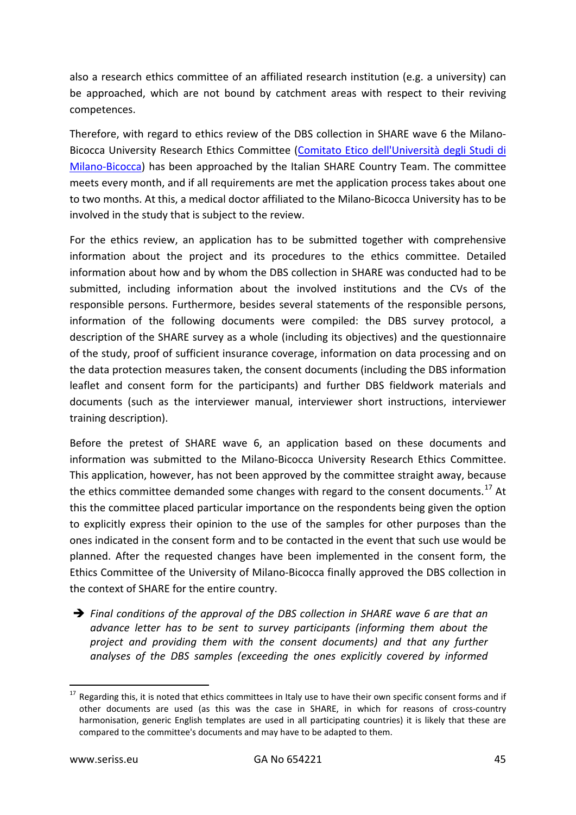also a research ethics committee of an affiliated research institution (e.g. a university) can be approached, which are not bound by catchment areas with respect to their reviving competences.

Therefore, with regard to ethics review of the DBS collection in SHARE wave 6 the Milano-Bicocca University Research Ethics Committee [\(Comitato Etico dell'Università degli Studi di](http://www.unimib.it/go/218413488/Home/Italiano/Ateneo/Organi/Comitato-Etico)  [Milano-Bicocca\)](http://www.unimib.it/go/218413488/Home/Italiano/Ateneo/Organi/Comitato-Etico) has been approached by the Italian SHARE Country Team. The committee meets every month, and if all requirements are met the application process takes about one to two months. At this, a medical doctor affiliated to the Milano-Bicocca University has to be involved in the study that is subject to the review.

For the ethics review, an application has to be submitted together with comprehensive information about the project and its procedures to the ethics committee. Detailed information about how and by whom the DBS collection in SHARE was conducted had to be submitted, including information about the involved institutions and the CVs of the responsible persons. Furthermore, besides several statements of the responsible persons, information of the following documents were compiled: the DBS survey protocol, a description of the SHARE survey as a whole (including its objectives) and the questionnaire of the study, proof of sufficient insurance coverage, information on data processing and on the data protection measures taken, the consent documents (including the DBS information leaflet and consent form for the participants) and further DBS fieldwork materials and documents (such as the interviewer manual, interviewer short instructions, interviewer training description).

Before the pretest of SHARE wave 6, an application based on these documents and information was submitted to the Milano-Bicocca University Research Ethics Committee. This application, however, has not been approved by the committee straight away, because the ethics committee demanded some changes with regard to the consent documents.<sup>[17](#page-44-0)</sup> At this the committee placed particular importance on the respondents being given the option to explicitly express their opinion to the use of the samples for other purposes than the ones indicated in the consent form and to be contacted in the event that such use would be planned. After the requested changes have been implemented in the consent form, the Ethics Committee of the University of Milano-Bicocca finally approved the DBS collection in the context of SHARE for the entire country.

 *Final conditions of the approval of the DBS collection in SHARE wave 6 are that an advance letter has to be sent to survey participants (informing them about the project and providing them with the consent documents) and that any further analyses of the DBS samples (exceeding the ones explicitly covered by informed* 

<span id="page-44-0"></span><sup>&</sup>lt;sup>17</sup> Regarding this, it is noted that ethics committees in Italy use to have their own specific consent forms and if other documents are used (as this was the case in SHARE, in which for reasons of cross-country harmonisation, generic English templates are used in all participating countries) it is likely that these are compared to the committee's documents and may have to be adapted to them.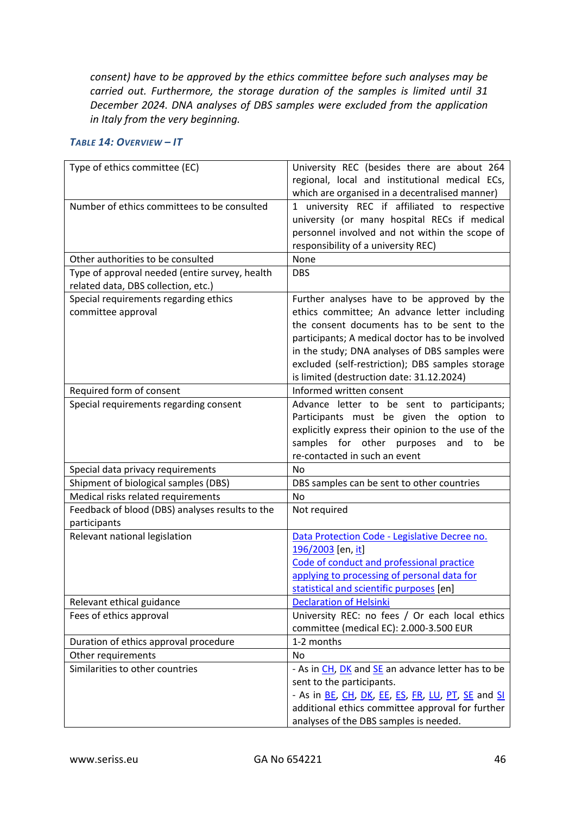*consent) have to be approved by the ethics committee before such analyses may be carried out. Furthermore, the storage duration of the samples is limited until 31 December 2024. DNA analyses of DBS samples were excluded from the application in Italy from the very beginning.*

#### *TABLE 14: OVERVIEW – IT*

| Type of ethics committee (EC)                                                         | University REC (besides there are about 264<br>regional, local and institutional medical ECs,<br>which are organised in a decentralised manner)                                                                                                                                                                                                     |
|---------------------------------------------------------------------------------------|-----------------------------------------------------------------------------------------------------------------------------------------------------------------------------------------------------------------------------------------------------------------------------------------------------------------------------------------------------|
| Number of ethics committees to be consulted                                           | 1 university REC if affiliated to respective<br>university (or many hospital RECs if medical<br>personnel involved and not within the scope of<br>responsibility of a university REC)                                                                                                                                                               |
| Other authorities to be consulted                                                     | None                                                                                                                                                                                                                                                                                                                                                |
| Type of approval needed (entire survey, health<br>related data, DBS collection, etc.) | <b>DBS</b>                                                                                                                                                                                                                                                                                                                                          |
| Special requirements regarding ethics<br>committee approval                           | Further analyses have to be approved by the<br>ethics committee; An advance letter including<br>the consent documents has to be sent to the<br>participants; A medical doctor has to be involved<br>in the study; DNA analyses of DBS samples were<br>excluded (self-restriction); DBS samples storage<br>is limited (destruction date: 31.12.2024) |
| Required form of consent                                                              | Informed written consent                                                                                                                                                                                                                                                                                                                            |
| Special requirements regarding consent                                                | Advance letter to be sent to participants;<br>Participants must be given the option to<br>explicitly express their opinion to the use of the<br>samples for other purposes and<br>to<br>be<br>re-contacted in such an event                                                                                                                         |
| Special data privacy requirements                                                     | No                                                                                                                                                                                                                                                                                                                                                  |
| Shipment of biological samples (DBS)                                                  | DBS samples can be sent to other countries                                                                                                                                                                                                                                                                                                          |
| Medical risks related requirements                                                    | <b>No</b>                                                                                                                                                                                                                                                                                                                                           |
| Feedback of blood (DBS) analyses results to the<br>participants                       | Not required                                                                                                                                                                                                                                                                                                                                        |
| Relevant national legislation                                                         | Data Protection Code - Legislative Decree no.<br>196/2003 [en, it]<br>Code of conduct and professional practice<br>applying to processing of personal data for<br>statistical and scientific purposes [en]                                                                                                                                          |
| Relevant ethical guidance                                                             | <b>Declaration of Helsinki</b>                                                                                                                                                                                                                                                                                                                      |
| Fees of ethics approval                                                               | University REC: no fees / Or each local ethics<br>committee (medical EC): 2.000-3.500 EUR                                                                                                                                                                                                                                                           |
| Duration of ethics approval procedure                                                 | 1-2 months                                                                                                                                                                                                                                                                                                                                          |
| Other requirements                                                                    | <b>No</b>                                                                                                                                                                                                                                                                                                                                           |
| Similarities to other countries                                                       | - As in CH, DK and SE an advance letter has to be<br>sent to the participants.<br>- As in <u>BE</u> , CH, DK, EE, ES, FR, LU, PT, SE and SI<br>additional ethics committee approval for further<br>analyses of the DBS samples is needed.                                                                                                           |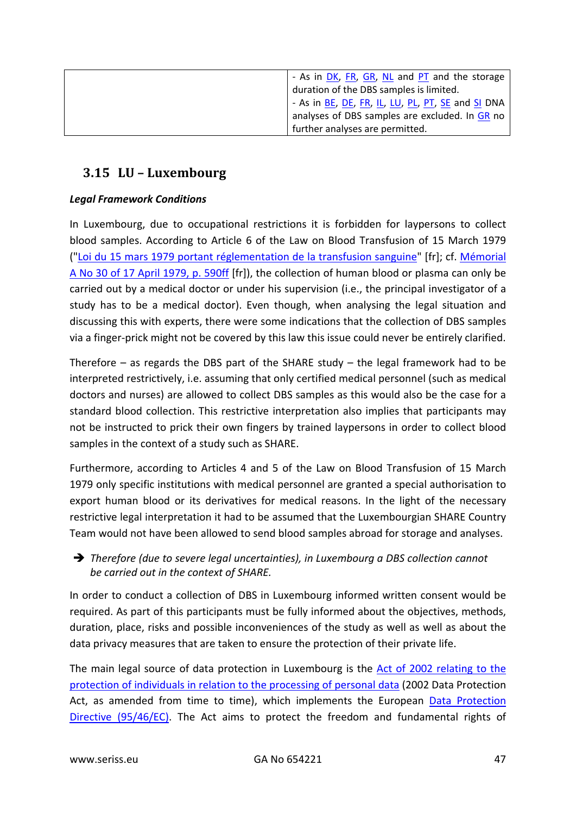| - As in DK, FR, GR, NL and PT and the storage            |
|----------------------------------------------------------|
| duration of the DBS samples is limited.                  |
| - As in <u>BE, DE, FR, IL, LU, PL, PT, SE</u> and SI DNA |
| analyses of DBS samples are excluded. In GR no           |
| further analyses are permitted.                          |

# <span id="page-46-0"></span>**3.15 LU – Luxembourg**

# *Legal Framework Conditions*

In Luxembourg, due to occupational restrictions it is forbidden for laypersons to collect blood samples. According to Article 6 of the Law on Blood Transfusion of 15 March 1979 (["Loi du 15 mars 1979 portant réglementation de la transfusion sanguine"](http://www.legilux.public.lu/rgl/1979/A/0590/1.pdf) [fr]; cf. [Mémorial](http://www.legilux.public.lu/leg/a/archives/1979/0030/a030.pdf)  [A No 30 of 17 April 1979, p. 590ff](http://www.legilux.public.lu/leg/a/archives/1979/0030/a030.pdf) [fr]), the collection of human blood or plasma can only be carried out by a medical doctor or under his supervision (i.e., the principal investigator of a study has to be a medical doctor). Even though, when analysing the legal situation and discussing this with experts, there were some indications that the collection of DBS samples via a finger-prick might not be covered by this law this issue could never be entirely clarified.

Therefore  $-$  as regards the DBS part of the SHARE study  $-$  the legal framework had to be interpreted restrictively, i.e. assuming that only certified medical personnel (such as medical doctors and nurses) are allowed to collect DBS samples as this would also be the case for a standard blood collection. This restrictive interpretation also implies that participants may not be instructed to prick their own fingers by trained laypersons in order to collect blood samples in the context of a study such as SHARE.

Furthermore, according to Articles 4 and 5 of the Law on Blood Transfusion of 15 March 1979 only specific institutions with medical personnel are granted a special authorisation to export human blood or its derivatives for medical reasons. In the light of the necessary restrictive legal interpretation it had to be assumed that the Luxembourgian SHARE Country Team would not have been allowed to send blood samples abroad for storage and analyses.

# *Therefore (due to severe legal uncertainties), in Luxembourg a DBS collection cannot be carried out in the context of SHARE.*

In order to conduct a collection of DBS in Luxembourg informed written consent would be required. As part of this participants must be fully informed about the objectives, methods, duration, place, risks and possible inconveniences of the study as well as well as about the data privacy measures that are taken to ensure the protection of their private life.

The main legal source of data protection in Luxembourg is the Act of 2002 relating to the [protection of individuals in relation to the processing of personal data](http://www.cnpd.public.lu/fr/legislation/droit-lux/doc_loi02082002_en.pdf) (2002 Data Protection Act, as amended from time to time), which implements the European [Data Protection](http://eur-lex.europa.eu/LexUriServ/LexUriServ.do?uri=CELEX:31995L0046:en:HTML)  [Directive \(95/46/EC\).](http://eur-lex.europa.eu/LexUriServ/LexUriServ.do?uri=CELEX:31995L0046:en:HTML) The Act aims to protect the freedom and fundamental rights of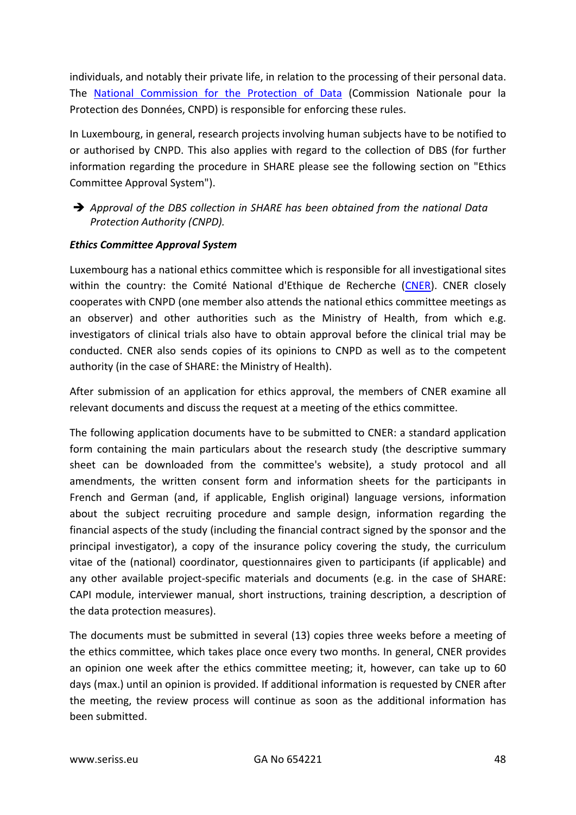individuals, and notably their private life, in relation to the processing of their personal data. The [National Commission for the Protection of Data](https://cnpd.public.lu/en/index.html) (Commission Nationale pour la Protection des Données, CNPD) is responsible for enforcing these rules.

In Luxembourg, in general, research projects involving human subjects have to be notified to or authorised by CNPD. This also applies with regard to the collection of DBS (for further information regarding the procedure in SHARE please see the following section on "Ethics Committee Approval System").

 *Approval of the DBS collection in SHARE has been obtained from the national Data Protection Authority (CNPD).*

## *Ethics Committee Approval System*

Luxembourg has a national ethics committee which is responsible for all investigational sites within the country: the Comité National d'Ethique de Recherche [\(CNER\)](http://www.cner.lu/en-gb/home.aspx). CNER closely cooperates with CNPD (one member also attends the national ethics committee meetings as an observer) and other authorities such as the Ministry of Health, from which e.g. investigators of clinical trials also have to obtain approval before the clinical trial may be conducted. CNER also sends copies of its opinions to CNPD as well as to the competent authority (in the case of SHARE: the Ministry of Health).

After submission of an application for ethics approval, the members of CNER examine all relevant documents and discuss the request at a meeting of the ethics committee.

The following application documents have to be submitted to CNER: a standard application form containing the main particulars about the research study (the descriptive summary sheet can be downloaded from the committee's website), a study protocol and all amendments, the written consent form and information sheets for the participants in French and German (and, if applicable, English original) language versions, information about the subject recruiting procedure and sample design, information regarding the financial aspects of the study (including the financial contract signed by the sponsor and the principal investigator), a copy of the insurance policy covering the study, the curriculum vitae of the (national) coordinator, questionnaires given to participants (if applicable) and any other available project-specific materials and documents (e.g. in the case of SHARE: CAPI module, interviewer manual, short instructions, training description, a description of the data protection measures).

The documents must be submitted in several (13) copies three weeks before a meeting of the ethics committee, which takes place once every two months. In general, CNER provides an opinion one week after the ethics committee meeting; it, however, can take up to 60 days (max.) until an opinion is provided. If additional information is requested by CNER after the meeting, the review process will continue as soon as the additional information has been submitted.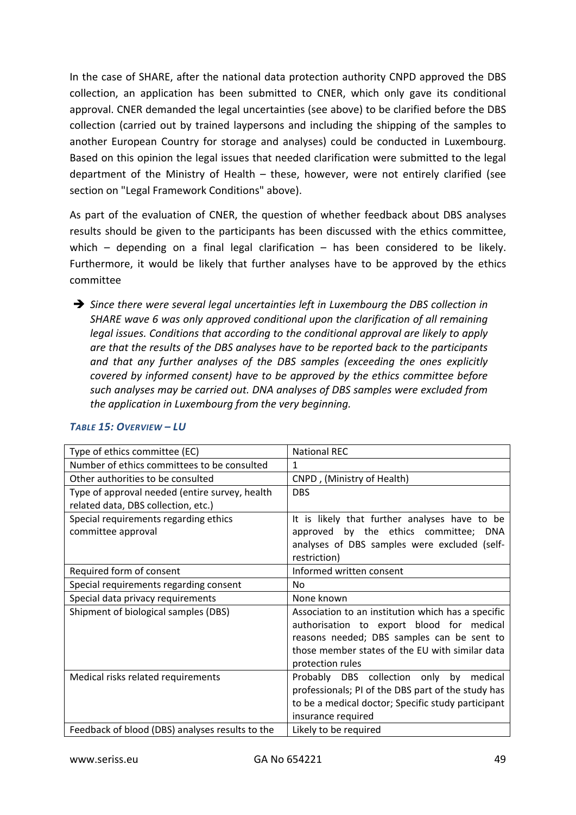In the case of SHARE, after the national data protection authority CNPD approved the DBS collection, an application has been submitted to CNER, which only gave its conditional approval. CNER demanded the legal uncertainties (see above) to be clarified before the DBS collection (carried out by trained laypersons and including the shipping of the samples to another European Country for storage and analyses) could be conducted in Luxembourg. Based on this opinion the legal issues that needed clarification were submitted to the legal department of the Ministry of Health – these, however, were not entirely clarified (see section on "Legal Framework Conditions" above).

As part of the evaluation of CNER, the question of whether feedback about DBS analyses results should be given to the participants has been discussed with the ethics committee, which – depending on a final legal clarification – has been considered to be likely. Furthermore, it would be likely that further analyses have to be approved by the ethics committee

 *Since there were several legal uncertainties left in Luxembourg the DBS collection in SHARE wave 6 was only approved conditional upon the clarification of all remaining legal issues. Conditions that according to the conditional approval are likely to apply are that the results of the DBS analyses have to be reported back to the participants and that any further analyses of the DBS samples (exceeding the ones explicitly covered by informed consent) have to be approved by the ethics committee before such analyses may be carried out. DNA analyses of DBS samples were excluded from the application in Luxembourg from the very beginning.*

| Type of ethics committee (EC)                   | <b>National REC</b>                                |
|-------------------------------------------------|----------------------------------------------------|
| Number of ethics committees to be consulted     | 1                                                  |
| Other authorities to be consulted               | CNPD, (Ministry of Health)                         |
| Type of approval needed (entire survey, health  | <b>DBS</b>                                         |
| related data, DBS collection, etc.)             |                                                    |
| Special requirements regarding ethics           | It is likely that further analyses have to be      |
| committee approval                              | approved by the ethics committee;<br><b>DNA</b>    |
|                                                 | analyses of DBS samples were excluded (self-       |
|                                                 | restriction)                                       |
| Required form of consent                        | Informed written consent                           |
| Special requirements regarding consent          | No                                                 |
| Special data privacy requirements               | None known                                         |
| Shipment of biological samples (DBS)            | Association to an institution which has a specific |
|                                                 | authorisation to export blood for medical          |
|                                                 | reasons needed; DBS samples can be sent to         |
|                                                 | those member states of the EU with similar data    |
|                                                 | protection rules                                   |
| Medical risks related requirements              | Probably DBS collection only by medical            |
|                                                 | professionals; PI of the DBS part of the study has |
|                                                 | to be a medical doctor; Specific study participant |
|                                                 | insurance required                                 |
| Feedback of blood (DBS) analyses results to the | Likely to be required                              |

#### *TABLE 15: OVERVIEW – LU*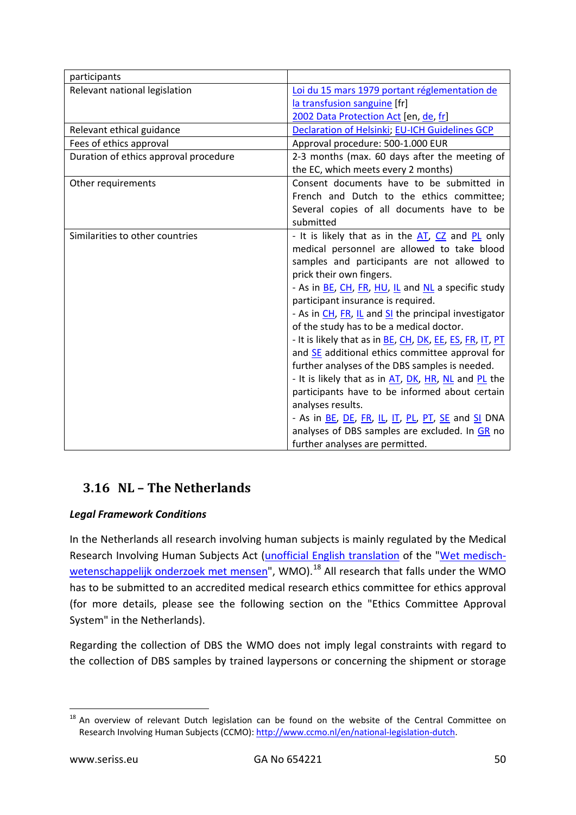| participants                          |                                                           |
|---------------------------------------|-----------------------------------------------------------|
| Relevant national legislation         | Loi du 15 mars 1979 portant réglementation de             |
|                                       | la transfusion sanguine [fr]                              |
|                                       | 2002 Data Protection Act [en, de, fr]                     |
| Relevant ethical guidance             | <b>Declaration of Helsinki; EU-ICH Guidelines GCP</b>     |
| Fees of ethics approval               | Approval procedure: 500-1.000 EUR                         |
| Duration of ethics approval procedure | 2-3 months (max. 60 days after the meeting of             |
|                                       | the EC, which meets every 2 months)                       |
| Other requirements                    | Consent documents have to be submitted in                 |
|                                       | French and Dutch to the ethics committee;                 |
|                                       | Several copies of all documents have to be                |
|                                       | submitted                                                 |
| Similarities to other countries       | - It is likely that as in the AT, CZ and PL only          |
|                                       | medical personnel are allowed to take blood               |
|                                       | samples and participants are not allowed to               |
|                                       | prick their own fingers.                                  |
|                                       | - As in BE, CH, FR, HU, IL and NL a specific study        |
|                                       | participant insurance is required.                        |
|                                       | - As in CH, FR, IL and SI the principal investigator      |
|                                       | of the study has to be a medical doctor.                  |
|                                       | - It is likely that as in BE, CH, DK, EE, ES, FR, IT, PT  |
|                                       | and SE additional ethics committee approval for           |
|                                       | further analyses of the DBS samples is needed.            |
|                                       | - It is likely that as in AT, DK, HR, NL and PL the       |
|                                       | participants have to be informed about certain            |
|                                       | analyses results.                                         |
|                                       | - As in <u>BE</u> , DE, FR, IL, IT, PL, PT, SE and SI DNA |
|                                       | analyses of DBS samples are excluded. In GR no            |
|                                       | further analyses are permitted.                           |

# <span id="page-49-0"></span>**3.16 NL – The Netherlands**

# *Legal Framework Conditions*

In the Netherlands all research involving human subjects is mainly regulated by the Medical Research Involving Human Subjects Act [\(unofficial English translation](http://www.ccmo.nl/attachments/files/wmo-engelse-vertaling-29-7-2013-afkomstig-van-vws.pdf) of the ["Wet medisch](http://wetten.overheid.nl/BWBR0009408/2016-08-01)[wetenschappelijk onderzoek met mensen"](http://wetten.overheid.nl/BWBR0009408/2016-08-01), WMO).<sup>[18](#page-49-1)</sup> All research that falls under the WMO has to be submitted to an accredited medical research ethics committee for ethics approval (for more details, please see the following section on the "Ethics Committee Approval System" in the Netherlands).

Regarding the collection of DBS the WMO does not imply legal constraints with regard to the collection of DBS samples by trained laypersons or concerning the shipment or storage

<span id="page-49-1"></span><sup>&</sup>lt;sup>18</sup> An overview of relevant Dutch legislation can be found on the website of the Central Committee on Research Involving Human Subjects (CCMO): [http://www.ccmo.nl/en/national-legislation-dutch.](http://www.ccmo.nl/en/national-legislation-dutch)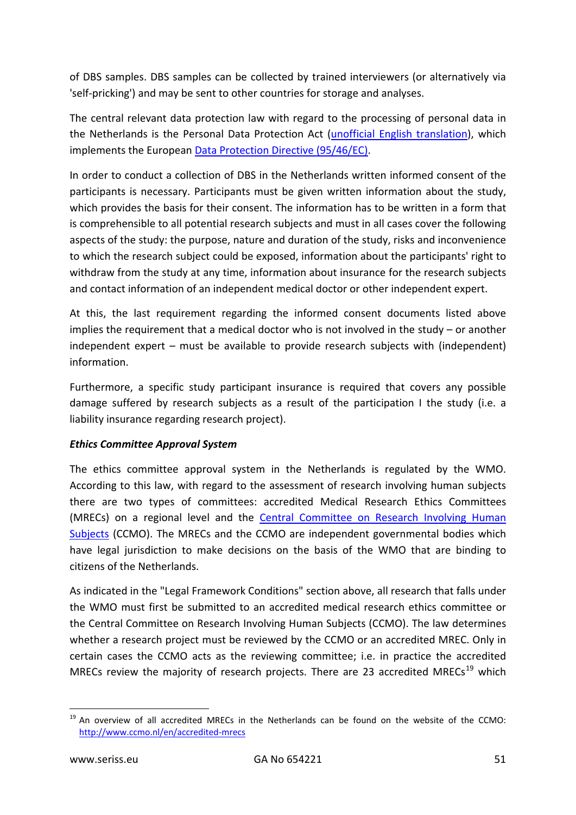of DBS samples. DBS samples can be collected by trained interviewers (or alternatively via 'self-pricking') and may be sent to other countries for storage and analyses.

The central relevant data protection law with regard to the processing of personal data in the Netherlands is the Personal Data Protection Act [\(unofficial English translation\)](http://www.coe.int/t/dghl/standardsetting/dataprotection/national%20laws/NL_DP_LAW.pdf), which implements the European [Data Protection Directive \(95/46/EC\).](http://eur-lex.europa.eu/LexUriServ/LexUriServ.do?uri=CELEX:31995L0046:en:HTML)

In order to conduct a collection of DBS in the Netherlands written informed consent of the participants is necessary. Participants must be given written information about the study, which provides the basis for their consent. The information has to be written in a form that is comprehensible to all potential research subjects and must in all cases cover the following aspects of the study: the purpose, nature and duration of the study, risks and inconvenience to which the research subject could be exposed, information about the participants' right to withdraw from the study at any time, information about insurance for the research subjects and contact information of an independent medical doctor or other independent expert.

At this, the last requirement regarding the informed consent documents listed above implies the requirement that a medical doctor who is not involved in the study – or another independent expert – must be available to provide research subjects with (independent) information.

Furthermore, a specific study participant insurance is required that covers any possible damage suffered by research subjects as a result of the participation I the study (i.e. a liability insurance regarding research project).

# *Ethics Committee Approval System*

The ethics committee approval system in the Netherlands is regulated by the WMO. According to this law, with regard to the assessment of research involving human subjects there are two types of committees: accredited Medical Research Ethics Committees (MRECs) on a regional level and the Central [Committee](http://www.ccmo.nl/en/) on Research Involving Human [Subjects](http://www.ccmo.nl/en/) (CCMO). The MRECs and the CCMO are independent governmental bodies which have legal jurisdiction to make decisions on the basis of the WMO that are binding to citizens of the Netherlands.

As indicated in the "Legal Framework Conditions" section above, all research that falls under the WMO must first be submitted to an accredited medical research ethics committee or the Central Committee on Research Involving Human Subjects (CCMO). The law determines whether a research project must be reviewed by the CCMO or an accredited MREC. Only in certain cases the CCMO acts as the reviewing committee; i.e. in practice the accredited MRECs review the majority of research projects. There are 23 accredited MRECs<sup>[19](#page-50-0)</sup> which

<span id="page-50-0"></span> $19$  An overview of all accredited MRECs in the Netherlands can be found on the website of the CCMO: <http://www.ccmo.nl/en/accredited-mrecs>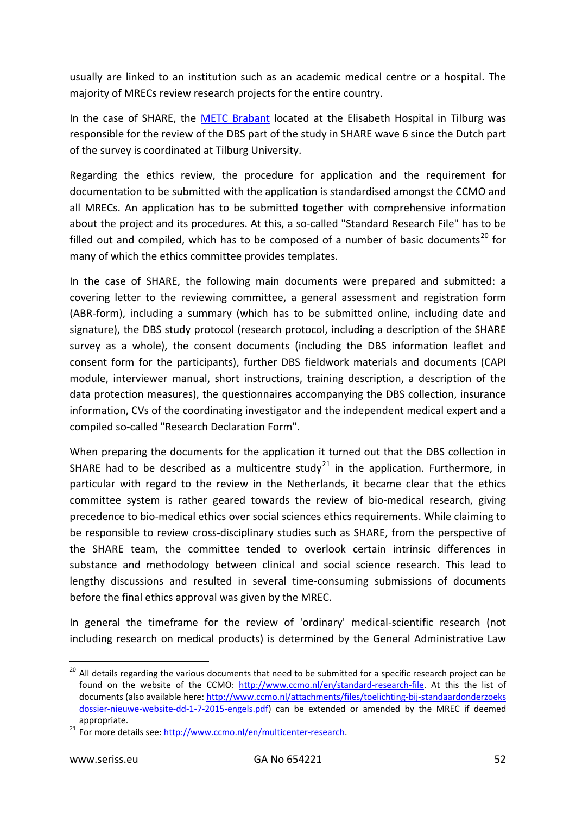usually are linked to an institution such as an academic medical centre or a hospital. The majority of MRECs review research projects for the entire country.

In the case of SHARE, the [METC Brabant](http://metcbrabant.nl/) located at the Elisabeth Hospital in Tilburg was responsible for the review of the DBS part of the study in SHARE wave 6 since the Dutch part of the survey is coordinated at Tilburg University.

Regarding the ethics review, the procedure for application and the requirement for documentation to be submitted with the application is standardised amongst the CCMO and all MRECs. An application has to be submitted together with comprehensive information about the project and its procedures. At this, a so-called "Standard Research File" has to be filled out and compiled, which has to be composed of a number of basic documents<sup>[20](#page-51-0)</sup> for many of which the ethics committee provides templates.

In the case of SHARE, the following main documents were prepared and submitted: a covering letter to the reviewing committee, a general assessment and registration form (ABR-form), including a summary (which has to be submitted online, including date and signature), the DBS study protocol (research protocol, including a description of the SHARE survey as a whole), the consent documents (including the DBS information leaflet and consent form for the participants), further DBS fieldwork materials and documents (CAPI module, interviewer manual, short instructions, training description, a description of the data protection measures), the questionnaires accompanying the DBS collection, insurance information, CVs of the coordinating investigator and the independent medical expert and a compiled so-called "Research Declaration Form".

When preparing the documents for the application it turned out that the DBS collection in SHARE had to be described as a multicentre study<sup>[21](#page-51-1)</sup> in the application. Furthermore, in particular with regard to the review in the Netherlands, it became clear that the ethics committee system is rather geared towards the review of bio-medical research, giving precedence to bio-medical ethics over social sciences ethics requirements. While claiming to be responsible to review cross-disciplinary studies such as SHARE, from the perspective of the SHARE team, the committee tended to overlook certain intrinsic differences in substance and methodology between clinical and social science research. This lead to lengthy discussions and resulted in several time-consuming submissions of documents before the final ethics approval was given by the MREC.

In general the timeframe for the review of 'ordinary' medical-scientific research (not including research on medical products) is determined by the General Administrative Law

<span id="page-51-0"></span><sup>&</sup>lt;sup>20</sup> All details regarding the various documents that need to be submitted for a specific research project can be found on the website of the CCMO: [http://www.ccmo.nl/en/standard-research-file.](http://www.ccmo.nl/en/standard-research-file) At this the list of documents (also available here[: http://www.ccmo.nl/attachments/files/toelichting-bij-standaardonderzoeks](http://www.ccmo.nl/attachments/files/toelichting-bij-standaardonderzoeksdossier-nieuwe-website-dd-1-7-2015-engels.pdf)  [dossier-nieuwe-website-dd-1-7-2015-engels.pdf\)](http://www.ccmo.nl/attachments/files/toelichting-bij-standaardonderzoeksdossier-nieuwe-website-dd-1-7-2015-engels.pdf) can be extended or amended by the MREC if deemed

<span id="page-51-1"></span>appropriate.<br><sup>21</sup> For more details see: http://www.ccmo.nl/en/multicenter-research.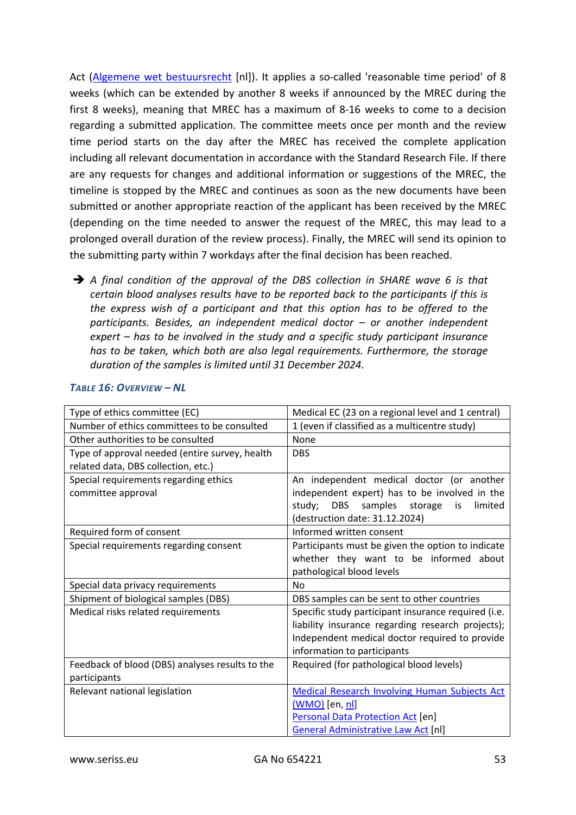Act [\(Algemene wet bestuursrecht](http://wetten.overheid.nl/BWBR0005537/2016-07-01) [nl]). It applies a so-called 'reasonable time period' of 8 weeks (which can be extended by another 8 weeks if announced by the MREC during the first 8 weeks), meaning that MREC has a maximum of 8-16 weeks to come to a decision regarding a submitted application. The committee meets once per month and the review time period starts on the day after the MREC has received the complete application including all relevant documentation in accordance with the Standard Research File. If there are any requests for changes and additional information or suggestions of the MREC, the timeline is stopped by the MREC and continues as soon as the new documents have been submitted or another appropriate reaction of the applicant has been received by the MREC (depending on the time needed to answer the request of the MREC, this may lead to a prolonged overall duration of the review process). Finally, the MREC will send its opinion to the submitting party within 7 workdays after the final decision has been reached.

→ A final condition of the approval of the DBS collection in SHARE wave 6 is that *certain blood analyses results have to be reported back to the participants if this is the express wish of a participant and that this option has to be offered to the participants. Besides, an independent medical doctor – or another independent expert – has to be involved in the study and a specific study participant insurance has to be taken, which both are also legal requirements. Furthermore, the storage duration of the samples is limited until 31 December 2024.*

| Type of ethics committee (EC)                   | Medical EC (23 on a regional level and 1 central)           |
|-------------------------------------------------|-------------------------------------------------------------|
| Number of ethics committees to be consulted     | 1 (even if classified as a multicentre study)               |
| Other authorities to be consulted               | None                                                        |
| Type of approval needed (entire survey, health  | <b>DBS</b>                                                  |
| related data, DBS collection, etc.)             |                                                             |
| Special requirements regarding ethics           | An independent medical doctor (or another                   |
| committee approval                              | independent expert) has to be involved in the               |
|                                                 | <b>DBS</b><br>samples<br>storage<br>limited<br>study;<br>is |
|                                                 | destruction date: 31.12.2024)                               |
| Required form of consent                        | Informed written consent                                    |
| Special requirements regarding consent          | Participants must be given the option to indicate           |
|                                                 | whether they want to be informed about                      |
|                                                 | pathological blood levels                                   |
| Special data privacy requirements               | No.                                                         |
| Shipment of biological samples (DBS)            | DBS samples can be sent to other countries                  |
| Medical risks related requirements              | Specific study participant insurance required (i.e.         |
|                                                 | liability insurance regarding research projects);           |
|                                                 | Independent medical doctor required to provide              |
|                                                 | information to participants                                 |
| Feedback of blood (DBS) analyses results to the | Required (for pathological blood levels)                    |
| participants                                    |                                                             |
| Relevant national legislation                   | <b>Medical Research Involving Human Subjects Act</b>        |
|                                                 | (WMO) [en, nl]                                              |
|                                                 | Personal Data Protection Act [en]                           |
|                                                 | <b>General Administrative Law Act [nl]</b>                  |

#### *TABLE 16: OVERVIEW – NL*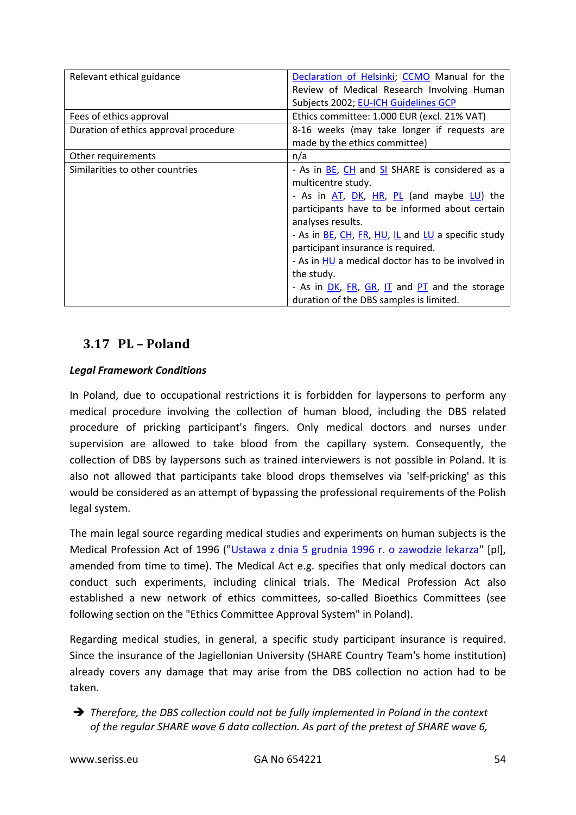| Relevant ethical guidance             | Declaration of Helsinki; CCMO Manual for the       |
|---------------------------------------|----------------------------------------------------|
|                                       | Review of Medical Research Involving Human         |
|                                       | Subjects 2002; EU-ICH Guidelines GCP               |
| Fees of ethics approval               | Ethics committee: 1.000 EUR (excl. 21% VAT)        |
| Duration of ethics approval procedure | 8-16 weeks (may take longer if requests are        |
|                                       | made by the ethics committee)                      |
| Other requirements                    | n/a                                                |
| Similarities to other countries       | - As in BE, CH and SI SHARE is considered as a     |
|                                       | multicentre study.                                 |
|                                       | - As in AT, DK, HR, PL (and maybe LU) the          |
|                                       | participants have to be informed about certain     |
|                                       | analyses results.                                  |
|                                       | - As in BE, CH, FR, HU, IL and LU a specific study |
|                                       | participant insurance is required.                 |
|                                       | - As in HU a medical doctor has to be involved in  |
|                                       | the study.                                         |
|                                       | - As in DK, FR, GR, IT and PT and the storage      |
|                                       | duration of the DBS samples is limited.            |

# <span id="page-53-0"></span>**3.17 PL – Poland**

# *Legal Framework Conditions*

In Poland, due to occupational restrictions it is forbidden for laypersons to perform any medical procedure involving the collection of human blood, including the DBS related procedure of pricking participant's fingers. Only medical doctors and nurses under supervision are allowed to take blood from the capillary system. Consequently, the collection of DBS by laypersons such as trained interviewers is not possible in Poland. It is also not allowed that participants take blood drops themselves via 'self-pricking' as this would be considered as an attempt of bypassing the professional requirements of the Polish legal system.

The main legal source regarding medical studies and experiments on human subjects is the Medical Profession Act of 1996 (["Ustawa z dnia 5 grudnia 1996 r. o zawodzie lekarza"](http://isap.sejm.gov.pl/DetailsServlet?id=WDU20030900845) [pl], amended from time to time). The Medical Act e.g. specifies that only medical doctors can conduct such experiments, including clinical trials. The Medical Profession Act also established a new network of ethics committees, so-called Bioethics Committees (see following section on the "Ethics Committee Approval System" in Poland).

Regarding medical studies, in general, a specific study participant insurance is required. Since the insurance of the Jagiellonian University (SHARE Country Team's home institution) already covers any damage that may arise from the DBS collection no action had to be taken.

 *Therefore, the DBS collection could not be fully implemented in Poland in the context of the regular SHARE wave 6 data collection. As part of the pretest of SHARE wave 6,*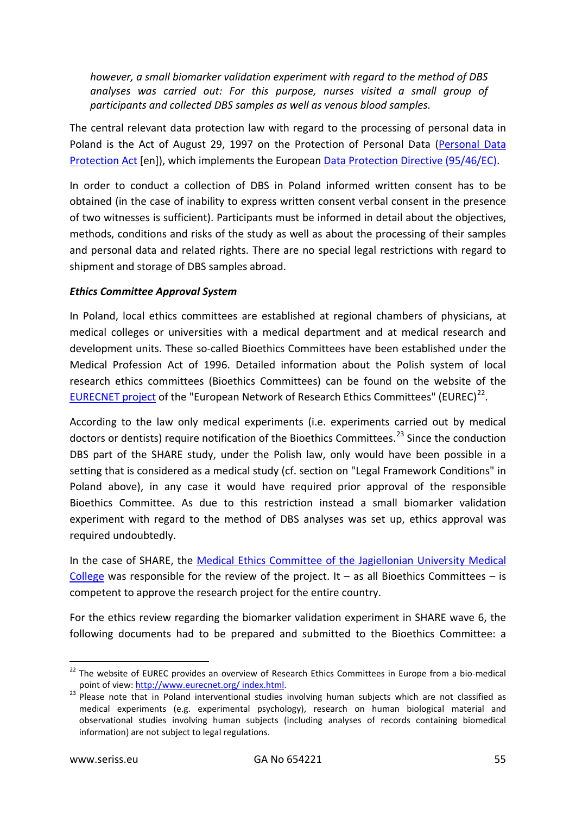*however, a small biomarker validation experiment with regard to the method of DBS analyses was carried out: For this purpose, nurses visited a small group of participants and collected DBS samples as well as venous blood samples.*

The central relevant data protection law with regard to the processing of personal data in Poland is the Act of August 29, 1997 on the Protection of Personal Data [\(Personal Data](http://ec.europa.eu/justice/data-protection/law/files/implementation/poland_en.pdf)  [Protection Act](http://ec.europa.eu/justice/data-protection/law/files/implementation/poland_en.pdf) [en]), which implements the Europea[n Data Protection Directive \(95/46/EC\).](http://eur-lex.europa.eu/LexUriServ/LexUriServ.do?uri=CELEX:31995L0046:en:HTML)

In order to conduct a collection of DBS in Poland informed written consent has to be obtained (in the case of inability to express written consent verbal consent in the presence of two witnesses is sufficient). Participants must be informed in detail about the objectives, methods, conditions and risks of the study as well as about the processing of their samples and personal data and related rights. There are no special legal restrictions with regard to shipment and storage of DBS samples abroad.

## *Ethics Committee Approval System*

In Poland, local ethics committees are established at regional chambers of physicians, at medical colleges or universities with a medical department and at medical research and development units. These so-called Bioethics Committees have been established under the Medical Profession Act of 1996. Detailed information about the Polish system of local research ethics committees (Bioethics Committees) can be found on the website of the [EURECNET project](http://www.eurecnet.org/information/poland.html) of the "European Network of Research Ethics Committees" (EUREC) $^{22}$  $^{22}$  $^{22}$ .

According to the law only medical experiments (i.e. experiments carried out by medical doctors or dentists) require notification of the Bioethics Committees.<sup>[23](#page-54-1)</sup> Since the conduction DBS part of the SHARE study, under the Polish law, only would have been possible in a setting that is considered as a medical study (cf. section on "Legal Framework Conditions" in Poland above), in any case it would have required prior approval of the responsible Bioethics Committee. As due to this restriction instead a small biomarker validation experiment with regard to the method of DBS analyses was set up, ethics approval was required undoubtedly.

In the case of SHARE, the [Medical Ethics Committee of the Jagiellonian University Medical](http://www.kbet.cm-uj.krakow.pl/))  [College](http://www.kbet.cm-uj.krakow.pl/)) was responsible for the review of the project. It – as all Bioethics Committees – is competent to approve the research project for the entire country.

For the ethics review regarding the biomarker validation experiment in SHARE wave 6, the following documents had to be prepared and submitted to the Bioethics Committee: a

<span id="page-54-0"></span><sup>&</sup>lt;sup>22</sup> The website of EUREC provides an overview of Research Ethics Committees in Europe from a bio-medical point of view: http://www.eurecnet.org/ index.html.

<span id="page-54-1"></span>point of view: [http://www.eurecnet.org/ index.html.](http://www.eurecnet.org/index.html) 23 Please note that in Poland interventional studies involving human subjects which are not classified as medical experiments (e.g. experimental psychology), research on human biological material and observational studies involving human subjects (including analyses of records containing biomedical information) are not subject to legal regulations.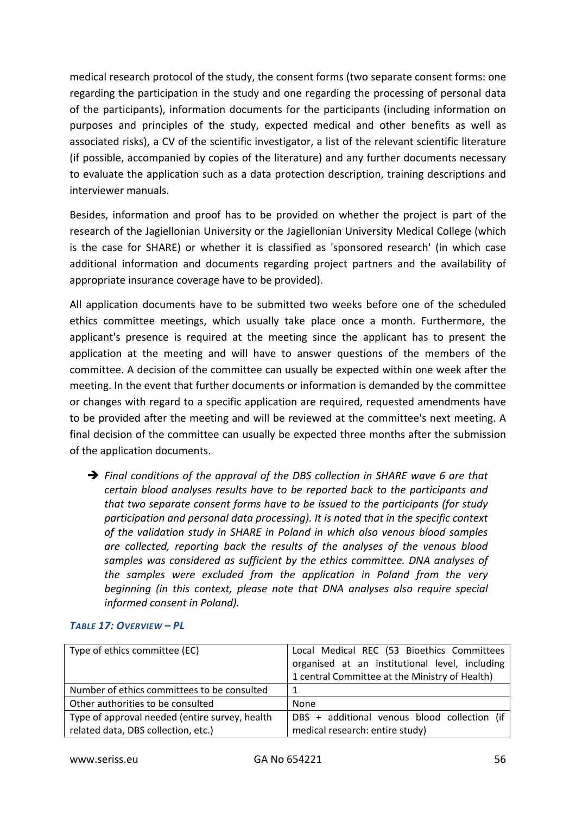medical research protocol of the study, the consent forms (two separate consent forms: one regarding the participation in the study and one regarding the processing of personal data of the participants), information documents for the participants (including information on purposes and principles of the study, expected medical and other benefits as well as associated risks), a CV of the scientific investigator, a list of the relevant scientific literature (if possible, accompanied by copies of the literature) and any further documents necessary to evaluate the application such as a data protection description, training descriptions and interviewer manuals.

Besides, information and proof has to be provided on whether the project is part of the research of the Jagiellonian University or the Jagiellonian University Medical College (which is the case for SHARE) or whether it is classified as 'sponsored research' (in which case additional information and documents regarding project partners and the availability of appropriate insurance coverage have to be provided).

All application documents have to be submitted two weeks before one of the scheduled ethics committee meetings, which usually take place once a month. Furthermore, the applicant's presence is required at the meeting since the applicant has to present the application at the meeting and will have to answer questions of the members of the committee. A decision of the committee can usually be expected within one week after the meeting. In the event that further documents or information is demanded by the committee or changes with regard to a specific application are required, requested amendments have to be provided after the meeting and will be reviewed at the committee's next meeting. A final decision of the committee can usually be expected three months after the submission of the application documents.

 *Final conditions of the approval of the DBS collection in SHARE wave 6 are that certain blood analyses results have to be reported back to the participants and that two separate consent forms have to be issued to the participants (for study participation and personal data processing). It is noted that in the specific context of the validation study in SHARE in Poland in which also venous blood samples are collected, reporting back the results of the analyses of the venous blood samples was considered as sufficient by the ethics committee. DNA analyses of the samples were excluded from the application in Poland from the very beginning (in this context, please note that DNA analyses also require special informed consent in Poland).*

| Type of ethics committee (EC)                  | Local Medical REC (53 Bioethics Committees     |
|------------------------------------------------|------------------------------------------------|
|                                                | organised at an institutional level, including |
|                                                | 1 central Committee at the Ministry of Health) |
| Number of ethics committees to be consulted    |                                                |
| Other authorities to be consulted              | None                                           |
| Type of approval needed (entire survey, health | DBS + additional venous blood collection (if   |
| related data, DBS collection, etc.)            | medical research: entire study)                |

#### *TABLE 17: OVERVIEW – PL*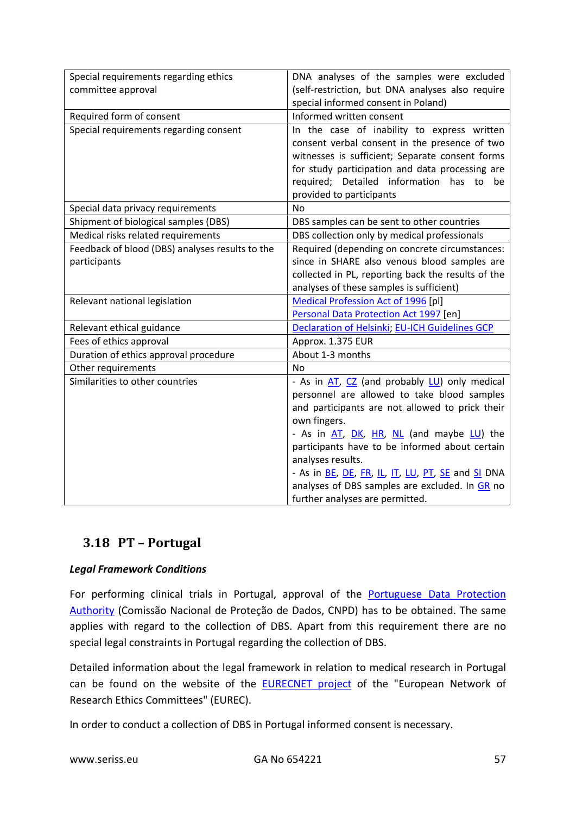| Special requirements regarding ethics           | DNA analyses of the samples were excluded          |  |  |
|-------------------------------------------------|----------------------------------------------------|--|--|
| committee approval                              | (self-restriction, but DNA analyses also require   |  |  |
|                                                 | special informed consent in Poland)                |  |  |
| Required form of consent                        | Informed written consent                           |  |  |
| Special requirements regarding consent          | In the case of inability to express written        |  |  |
|                                                 | consent verbal consent in the presence of two      |  |  |
|                                                 | witnesses is sufficient; Separate consent forms    |  |  |
|                                                 | for study participation and data processing are    |  |  |
|                                                 | required; Detailed information has to be           |  |  |
|                                                 | provided to participants                           |  |  |
| Special data privacy requirements               | No                                                 |  |  |
| Shipment of biological samples (DBS)            | DBS samples can be sent to other countries         |  |  |
| Medical risks related requirements              | DBS collection only by medical professionals       |  |  |
| Feedback of blood (DBS) analyses results to the | Required (depending on concrete circumstances:     |  |  |
| participants                                    | since in SHARE also venous blood samples are       |  |  |
|                                                 | collected in PL, reporting back the results of the |  |  |
|                                                 | analyses of these samples is sufficient)           |  |  |
| Relevant national legislation                   | Medical Profession Act of 1996 [pl]                |  |  |
|                                                 | Personal Data Protection Act 1997 [en]             |  |  |
| Relevant ethical guidance                       | Declaration of Helsinki; EU-ICH Guidelines GCP     |  |  |
| Fees of ethics approval                         | Approx. 1.375 EUR                                  |  |  |
| Duration of ethics approval procedure           | About 1-3 months                                   |  |  |
| Other requirements                              | No                                                 |  |  |
| Similarities to other countries                 | - As in AT, CZ (and probably LU) only medical      |  |  |
|                                                 | personnel are allowed to take blood samples        |  |  |
|                                                 | and participants are not allowed to prick their    |  |  |
|                                                 | own fingers.                                       |  |  |
|                                                 | - As in AT, DK, HR, NL (and maybe LU) the          |  |  |
|                                                 | participants have to be informed about certain     |  |  |
|                                                 | analyses results.                                  |  |  |
|                                                 | - As in BE, DE, FR, IL, IT, LU, PT, SE and SI DNA  |  |  |
|                                                 | analyses of DBS samples are excluded. In GR no     |  |  |
|                                                 | further analyses are permitted.                    |  |  |

# <span id="page-56-0"></span>**3.18 PT – Portugal**

# *Legal Framework Conditions*

For performing clinical trials in Portugal, approval of the **Portuguese Data Protection** [Authority](https://www.cnpd.pt/english/index_en.htm) (Comissão Nacional de Proteção de Dados, CNPD) has to be obtained. The same applies with regard to the collection of DBS. Apart from this requirement there are no special legal constraints in Portugal regarding the collection of DBS.

Detailed information about the legal framework in relation to medical research in Portugal can be found on the website of the **EURECNET** project of the "European Network of Research Ethics Committees" (EUREC).

In order to conduct a collection of DBS in Portugal informed consent is necessary.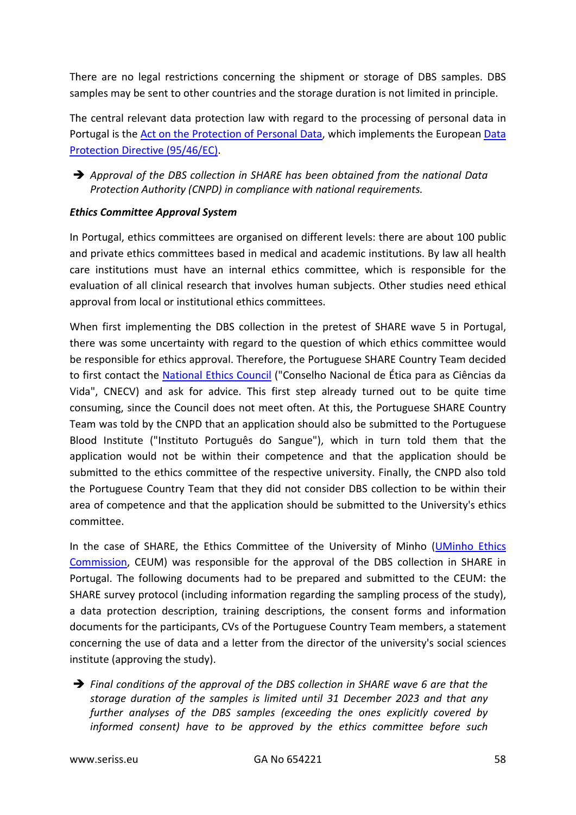There are no legal restrictions concerning the shipment or storage of DBS samples. DBS samples may be sent to other countries and the storage duration is not limited in principle.

The central relevant data protection law with regard to the processing of personal data in Portugal is the [Act on the Protection of Personal Data,](https://www.cnpd.pt/english/bin/legislation/Law6798EN.HTM) which implements the European [Data](http://eur-lex.europa.eu/LexUriServ/LexUriServ.do?uri=CELEX:31995L0046:en:HTML)  [Protection Directive \(95/46/EC\).](http://eur-lex.europa.eu/LexUriServ/LexUriServ.do?uri=CELEX:31995L0046:en:HTML)

 *Approval of the DBS collection in SHARE has been obtained from the national Data Protection Authority (CNPD) in compliance with national requirements.*

## *Ethics Committee Approval System*

In Portugal, ethics committees are organised on different levels: there are about 100 public and private ethics committees based in medical and academic institutions. By law all health care institutions must have an internal ethics committee, which is responsible for the evaluation of all clinical research that involves human subjects. Other studies need ethical approval from local or institutional ethics committees.

When first implementing the DBS collection in the pretest of SHARE wave 5 in Portugal, there was some uncertainty with regard to the question of which ethics committee would be responsible for ethics approval. Therefore, the Portuguese SHARE Country Team decided to first contact the [National Ethics Council](http://www.cnecv.pt/?locale=en) ("Conselho Nacional de Ética para as Ciências da Vida", CNECV) and ask for advice. This first step already turned out to be quite time consuming, since the Council does not meet often. At this, the Portuguese SHARE Country Team was told by the CNPD that an application should also be submitted to the Portuguese Blood Institute ("Instituto Português do Sangue"), which in turn told them that the application would not be within their competence and that the application should be submitted to the ethics committee of the respective university. Finally, the CNPD also told the Portuguese Country Team that they did not consider DBS collection to be within their area of competence and that the application should be submitted to the University's ethics committee.

In the case of SHARE, the Ethics Committee of the University of Minho [\(UMinho Ethics](https://www.uminho.pt/EN/uminho/Ethics/ethics-commission)  [Commission,](https://www.uminho.pt/EN/uminho/Ethics/ethics-commission) CEUM) was responsible for the approval of the DBS collection in SHARE in Portugal. The following documents had to be prepared and submitted to the CEUM: the SHARE survey protocol (including information regarding the sampling process of the study), a data protection description, training descriptions, the consent forms and information documents for the participants, CVs of the Portuguese Country Team members, a statement concerning the use of data and a letter from the director of the university's social sciences institute (approving the study).

 *Final conditions of the approval of the DBS collection in SHARE wave 6 are that the storage duration of the samples is limited until 31 December 2023 and that any further analyses of the DBS samples (exceeding the ones explicitly covered by informed consent) have to be approved by the ethics committee before such*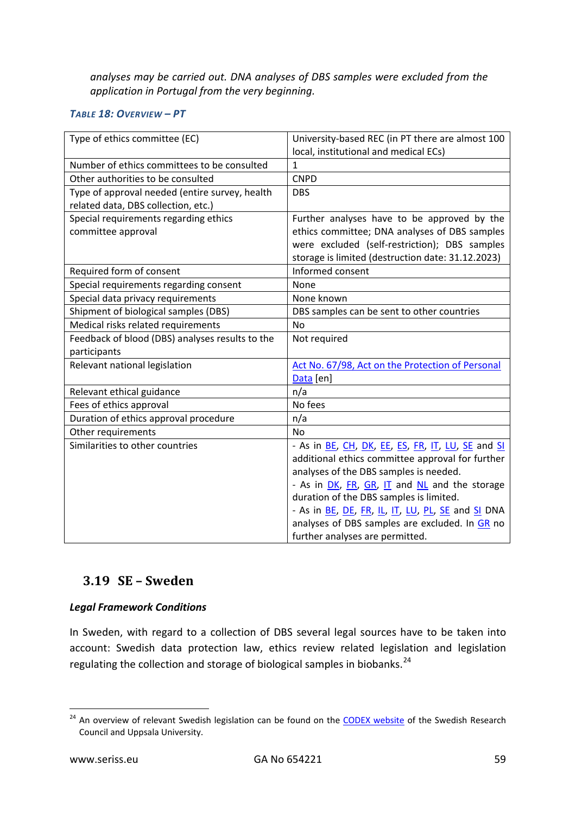*analyses may be carried out. DNA analyses of DBS samples were excluded from the application in Portugal from the very beginning.*

## *TABLE 18: OVERVIEW – PT*

| Type of ethics committee (EC)                   | University-based REC (in PT there are almost 100  |  |  |
|-------------------------------------------------|---------------------------------------------------|--|--|
|                                                 | local, institutional and medical ECs)             |  |  |
| Number of ethics committees to be consulted     | 1                                                 |  |  |
| Other authorities to be consulted               | <b>CNPD</b>                                       |  |  |
| Type of approval needed (entire survey, health  | <b>DBS</b>                                        |  |  |
| related data, DBS collection, etc.)             |                                                   |  |  |
| Special requirements regarding ethics           | Further analyses have to be approved by the       |  |  |
| committee approval                              | ethics committee; DNA analyses of DBS samples     |  |  |
|                                                 | were excluded (self-restriction); DBS samples     |  |  |
|                                                 | storage is limited (destruction date: 31.12.2023) |  |  |
| Required form of consent                        | Informed consent                                  |  |  |
| Special requirements regarding consent          | None                                              |  |  |
| Special data privacy requirements               | None known                                        |  |  |
| Shipment of biological samples (DBS)            | DBS samples can be sent to other countries        |  |  |
| Medical risks related requirements              | <b>No</b>                                         |  |  |
| Feedback of blood (DBS) analyses results to the | Not required                                      |  |  |
| participants                                    |                                                   |  |  |
| Relevant national legislation                   | Act No. 67/98, Act on the Protection of Personal  |  |  |
|                                                 | Data [en]                                         |  |  |
| Relevant ethical guidance                       | n/a                                               |  |  |
| Fees of ethics approval                         | No fees                                           |  |  |
| Duration of ethics approval procedure           | n/a                                               |  |  |
| Other requirements                              | <b>No</b>                                         |  |  |
| Similarities to other countries                 | - As in BE, CH, DK, EE, ES, FR, IT, LU, SE and SI |  |  |
|                                                 | additional ethics committee approval for further  |  |  |
|                                                 | analyses of the DBS samples is needed.            |  |  |
|                                                 | - As in DK, FR, GR, IT and NL and the storage     |  |  |
|                                                 | duration of the DBS samples is limited.           |  |  |
|                                                 | - As in BE, DE, FR, IL, IT, LU, PL, SE and SI DNA |  |  |
|                                                 | analyses of DBS samples are excluded. In GR no    |  |  |
|                                                 | further analyses are permitted.                   |  |  |

# <span id="page-58-0"></span>**3.19 SE – Sweden**

# *Legal Framework Conditions*

In Sweden, with regard to a collection of DBS several legal sources have to be taken into account: Swedish data protection law, ethics review related legislation and legislation regulating the collection and storage of biological samples in biobanks.<sup>[24](#page-58-1)</sup>

<span id="page-58-1"></span><sup>&</sup>lt;sup>24</sup> An overview of relevant Swedish legislation can be found on the **CODEX website** of the Swedish Research Council and Uppsala University.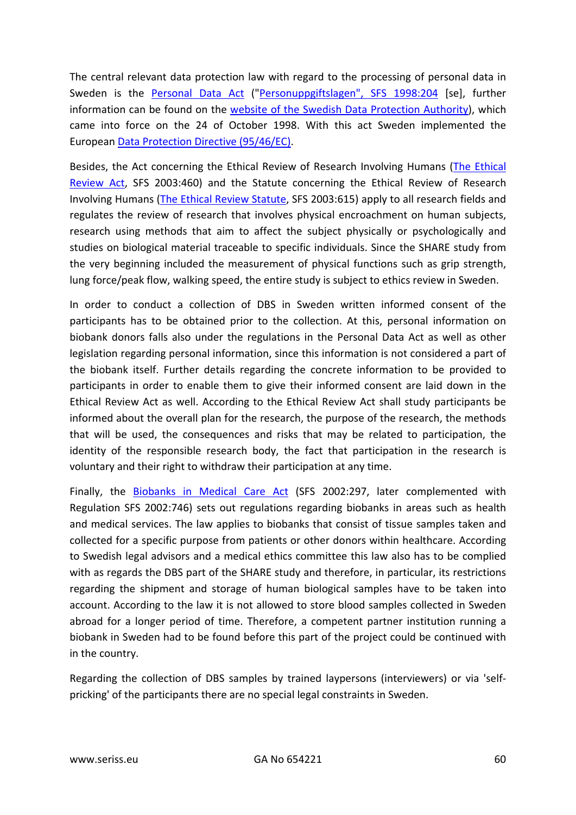The central relevant data protection law with regard to the processing of personal data in Sweden is the [Personal Data Act](http://www.wipo.int/edocs/lexdocs/laws/en/se/se097en.pdf) (["Personuppgiftslagen", SFS 1998:204](http://www.riksdagen.se/sv/dokument-lagar/dokument/svensk-forfattningssamling/personuppgiftslag-1998204_sfs-1998-204) [se], further information can be found on the [website of the Swedish Data Protection Authority\)](http://www.regeringen.se/contentassets/87382a7887764e9995db186244b557e4/personal-data-protection), which came into force on the 24 of October 1998. With this act Sweden implemented the Europea[n Data Protection Directive \(95/46/EC\).](http://eur-lex.europa.eu/LexUriServ/LexUriServ.do?uri=CELEX:31995L0046:en:HTML)

Besides, the Act concerning the Ethical Review of Research Involving Humans [\(The Ethical](http://www.epn.se/media/2348/the_ethical_review_act.pdf)  [Review Act,](http://www.epn.se/media/2348/the_ethical_review_act.pdf) SFS 2003:460) and the Statute concerning the Ethical Review of Research Involving Humans [\(The Ethical Review Statute,](http://www.epn.se/media/1204/2003_615.pdf) SFS 2003:615) apply to all research fields and regulates the review of research that involves physical encroachment on human subjects, research using methods that aim to affect the subject physically or psychologically and studies on biological material traceable to specific individuals. Since the SHARE study from the very beginning included the measurement of physical functions such as grip strength, lung force/peak flow, walking speed, the entire study is subject to ethics review in Sweden.

In order to conduct a collection of DBS in Sweden written informed consent of the participants has to be obtained prior to the collection. At this, personal information on biobank donors falls also under the regulations in the Personal Data Act as well as other legislation regarding personal information, since this information is not considered a part of the biobank itself. Further details regarding the concrete information to be provided to participants in order to enable them to give their informed consent are laid down in the Ethical Review Act as well. According to the Ethical Review Act shall study participants be informed about the overall plan for the research, the purpose of the research, the methods that will be used, the consequences and risks that may be related to participation, the identity of the responsible research body, the fact that participation in the research is voluntary and their right to withdraw their participation at any time.

Finally, the [Biobanks in Medical Care Act](http://vavnad.se/files/live/sites/Biobanken/files/biobanksverige/9.%20Documetns%20in%20English/Biobanks%20in%20medical%20care%20act%20(2002-297).pdf) (SFS 2002:297, later complemented with Regulation SFS 2002:746) sets out regulations regarding biobanks in areas such as health and medical services. The law applies to biobanks that consist of tissue samples taken and collected for a specific purpose from patients or other donors within healthcare. According to Swedish legal advisors and a medical ethics committee this law also has to be complied with as regards the DBS part of the SHARE study and therefore, in particular, its restrictions regarding the shipment and storage of human biological samples have to be taken into account. According to the law it is not allowed to store blood samples collected in Sweden abroad for a longer period of time. Therefore, a competent partner institution running a biobank in Sweden had to be found before this part of the project could be continued with in the country.

Regarding the collection of DBS samples by trained laypersons (interviewers) or via 'selfpricking' of the participants there are no special legal constraints in Sweden.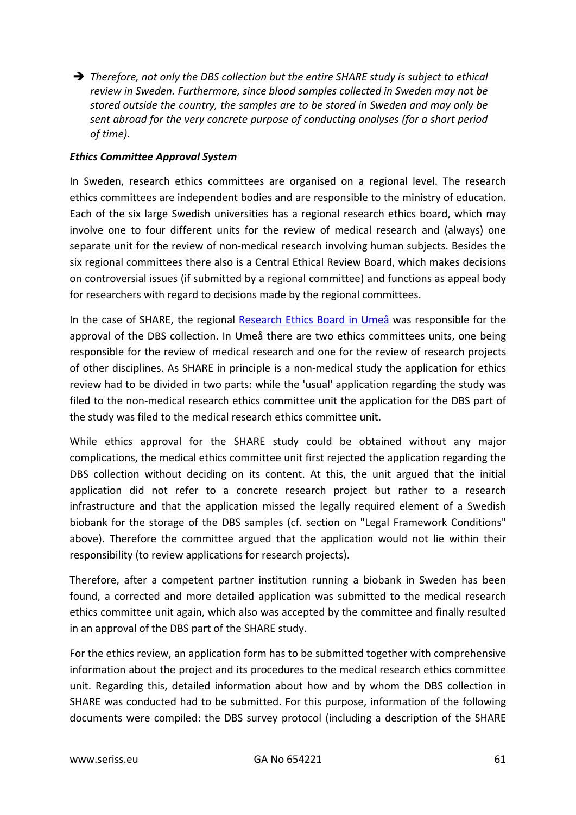*Therefore, not only the DBS collection but the entire SHARE study is subject to ethical review in Sweden. Furthermore, since blood samples collected in Sweden may not be stored outside the country, the samples are to be stored in Sweden and may only be sent abroad for the very concrete purpose of conducting analyses (for a short period of time).*

#### *Ethics Committee Approval System*

In Sweden, research ethics committees are organised on a regional level. The research ethics committees are independent bodies and are responsible to the ministry of education. Each of the six large Swedish universities has a regional research ethics board, which may involve one to four different units for the review of medical research and (always) one separate unit for the review of non-medical research involving human subjects. Besides the six regional committees there also is a Central Ethical Review Board, which makes decisions on controversial issues (if submitted by a regional committee) and functions as appeal body for researchers with regard to decisions made by the regional committees.

In the case of SHARE, the regional [Research Ethics Board](http://www.epn.se/umeaa/om-naemnden/) in Umeå was responsible for the approval of the DBS collection. In Umeå there are two ethics committees units, one being responsible for the review of medical research and one for the review of research projects of other disciplines. As SHARE in principle is a non-medical study the application for ethics review had to be divided in two parts: while the 'usual' application regarding the study was filed to the non-medical research ethics committee unit the application for the DBS part of the study was filed to the medical research ethics committee unit.

While ethics approval for the SHARE study could be obtained without any major complications, the medical ethics committee unit first rejected the application regarding the DBS collection without deciding on its content. At this, the unit argued that the initial application did not refer to a concrete research project but rather to a research infrastructure and that the application missed the legally required element of a Swedish biobank for the storage of the DBS samples (cf. section on "Legal Framework Conditions" above). Therefore the committee argued that the application would not lie within their responsibility (to review applications for research projects).

Therefore, after a competent partner institution running a biobank in Sweden has been found, a corrected and more detailed application was submitted to the medical research ethics committee unit again, which also was accepted by the committee and finally resulted in an approval of the DBS part of the SHARE study.

For the ethics review, an application form has to be submitted together with comprehensive information about the project and its procedures to the medical research ethics committee unit. Regarding this, detailed information about how and by whom the DBS collection in SHARE was conducted had to be submitted. For this purpose, information of the following documents were compiled: the DBS survey protocol (including a description of the SHARE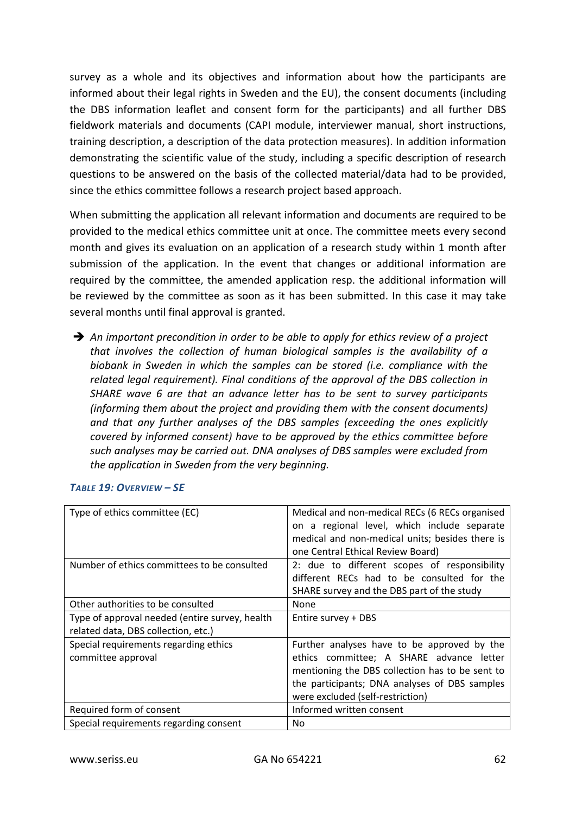survey as a whole and its objectives and information about how the participants are informed about their legal rights in Sweden and the EU), the consent documents (including the DBS information leaflet and consent form for the participants) and all further DBS fieldwork materials and documents (CAPI module, interviewer manual, short instructions, training description, a description of the data protection measures). In addition information demonstrating the scientific value of the study, including a specific description of research questions to be answered on the basis of the collected material/data had to be provided, since the ethics committee follows a research project based approach.

When submitting the application all relevant information and documents are required to be provided to the medical ethics committee unit at once. The committee meets every second month and gives its evaluation on an application of a research study within 1 month after submission of the application. In the event that changes or additional information are required by the committee, the amended application resp. the additional information will be reviewed by the committee as soon as it has been submitted. In this case it may take several months until final approval is granted.

 *An important precondition in order to be able to apply for ethics review of a project that involves the collection of human biological samples is the availability of a biobank in Sweden in which the samples can be stored (i.e. compliance with the related legal requirement). Final conditions of the approval of the DBS collection in SHARE wave 6 are that an advance letter has to be sent to survey participants (informing them about the project and providing them with the consent documents) and that any further analyses of the DBS samples (exceeding the ones explicitly covered by informed consent) have to be approved by the ethics committee before such analyses may be carried out. DNA analyses of DBS samples were excluded from the application in Sweden from the very beginning.*

| Type of ethics committee (EC)                  | Medical and non-medical RECs (6 RECs organised  |  |  |
|------------------------------------------------|-------------------------------------------------|--|--|
|                                                | on a regional level, which include separate     |  |  |
|                                                | medical and non-medical units; besides there is |  |  |
|                                                | one Central Ethical Review Board)               |  |  |
| Number of ethics committees to be consulted    | 2: due to different scopes of responsibility    |  |  |
|                                                | different RECs had to be consulted for the      |  |  |
|                                                | SHARE survey and the DBS part of the study      |  |  |
| Other authorities to be consulted              | <b>None</b>                                     |  |  |
| Type of approval needed (entire survey, health | Entire survey + DBS                             |  |  |
| related data, DBS collection, etc.)            |                                                 |  |  |
| Special requirements regarding ethics          | Further analyses have to be approved by the     |  |  |
| committee approval                             | ethics committee; A SHARE advance letter        |  |  |
|                                                | mentioning the DBS collection has to be sent to |  |  |
|                                                | the participants; DNA analyses of DBS samples   |  |  |
|                                                | were excluded (self-restriction)                |  |  |
| Required form of consent                       | Informed written consent                        |  |  |
| Special requirements regarding consent         | No                                              |  |  |

#### *TABLE 19: OVERVIEW – SE*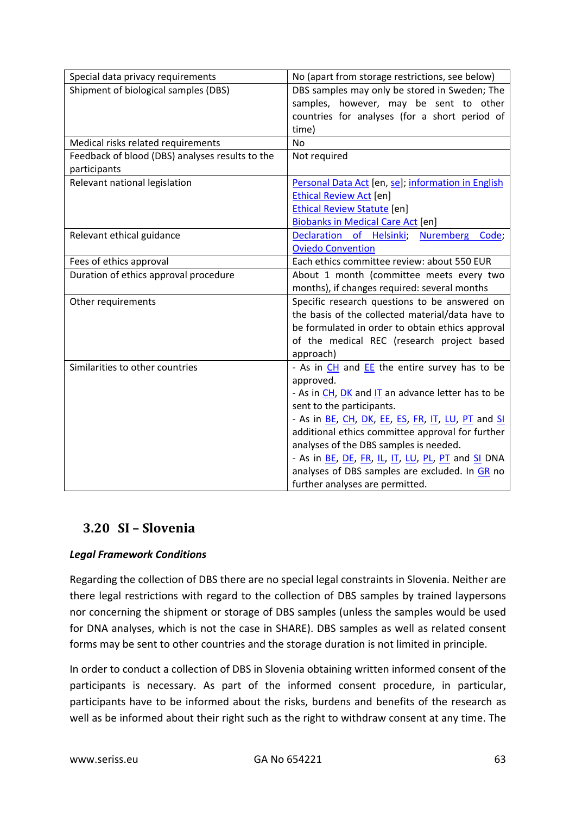| Special data privacy requirements               | No (apart from storage restrictions, see below)                                                       |  |  |  |
|-------------------------------------------------|-------------------------------------------------------------------------------------------------------|--|--|--|
| Shipment of biological samples (DBS)            | DBS samples may only be stored in Sweden; The                                                         |  |  |  |
|                                                 | samples, however, may be sent to other                                                                |  |  |  |
|                                                 | countries for analyses (for a short period of                                                         |  |  |  |
|                                                 | time)                                                                                                 |  |  |  |
| Medical risks related requirements              | <b>No</b>                                                                                             |  |  |  |
| Feedback of blood (DBS) analyses results to the | Not required                                                                                          |  |  |  |
| participants                                    |                                                                                                       |  |  |  |
| Relevant national legislation                   | Personal Data Act [en, se]; information in English                                                    |  |  |  |
|                                                 | <b>Ethical Review Act [en]</b>                                                                        |  |  |  |
|                                                 | <b>Ethical Review Statute [en]</b>                                                                    |  |  |  |
|                                                 | <b>Biobanks in Medical Care Act [en]</b>                                                              |  |  |  |
| Relevant ethical guidance                       | Declaration of Helsinki;<br>Nuremberg Code;                                                           |  |  |  |
|                                                 | <b>Oviedo Convention</b>                                                                              |  |  |  |
| Fees of ethics approval                         | Each ethics committee review: about 550 EUR                                                           |  |  |  |
| Duration of ethics approval procedure           | About 1 month (committee meets every two                                                              |  |  |  |
|                                                 | months), if changes required: several months                                                          |  |  |  |
| Other requirements                              | Specific research questions to be answered on                                                         |  |  |  |
|                                                 | the basis of the collected material/data have to                                                      |  |  |  |
|                                                 | be formulated in order to obtain ethics approval                                                      |  |  |  |
|                                                 | of the medical REC (research project based                                                            |  |  |  |
|                                                 | approach)                                                                                             |  |  |  |
| Similarities to other countries                 | - As in CH and EE the entire survey has to be                                                         |  |  |  |
|                                                 | approved.                                                                                             |  |  |  |
|                                                 | - As in CH, DK and IT an advance letter has to be                                                     |  |  |  |
|                                                 | sent to the participants.                                                                             |  |  |  |
|                                                 | - As in BE, CH, DK, EE, ES, FR, IT, LU, PT and SI<br>additional ethics committee approval for further |  |  |  |
|                                                 |                                                                                                       |  |  |  |
|                                                 | analyses of the DBS samples is needed.                                                                |  |  |  |
|                                                 | - As in BE, DE, FR, IL, IT, LU, PL, PT and SI DNA                                                     |  |  |  |
|                                                 | analyses of DBS samples are excluded. In GR no                                                        |  |  |  |
|                                                 | further analyses are permitted.                                                                       |  |  |  |

# <span id="page-62-0"></span>**3.20 SI – Slovenia**

# *Legal Framework Conditions*

Regarding the collection of DBS there are no special legal constraints in Slovenia. Neither are there legal restrictions with regard to the collection of DBS samples by trained laypersons nor concerning the shipment or storage of DBS samples (unless the samples would be used for DNA analyses, which is not the case in SHARE). DBS samples as well as related consent forms may be sent to other countries and the storage duration is not limited in principle.

In order to conduct a collection of DBS in Slovenia obtaining written informed consent of the participants is necessary. As part of the informed consent procedure, in particular, participants have to be informed about the risks, burdens and benefits of the research as well as be informed about their right such as the right to withdraw consent at any time. The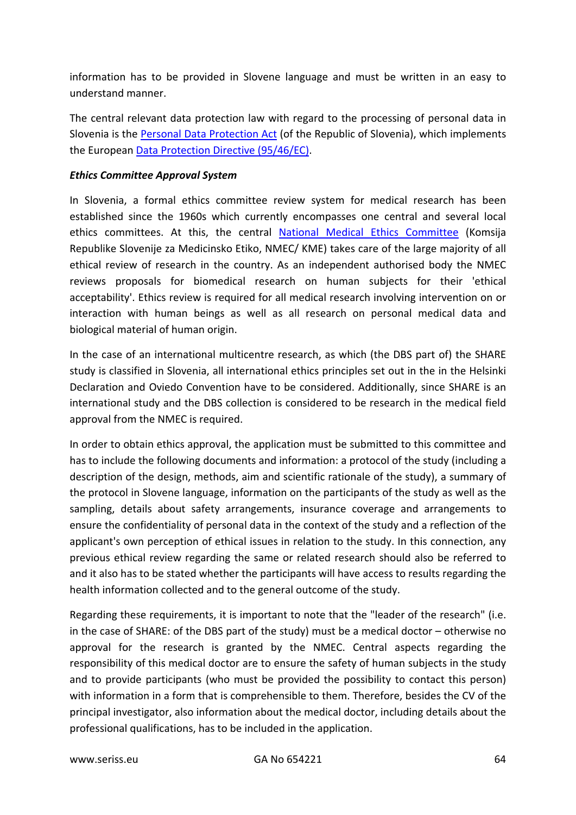information has to be provided in Slovene language and must be written in an easy to understand manner.

The central relevant data protection law with regard to the processing of personal data in Slovenia is the [Personal Data Protection Act](http://ec.europa.eu/justice/policies/privacy/docs/implementation/personal_data_protection_act_rs_2004.pdf) (of the Republic of Slovenia), which implements the Europea[n Data Protection Directive \(95/46/EC\).](http://eur-lex.europa.eu/LexUriServ/LexUriServ.do?uri=CELEX:31995L0046:en:HTML)

### *Ethics Committee Approval System*

In Slovenia, a formal ethics committee review system for medical research has been established since the 1960s which currently encompasses one central and several local ethics committees. At this, the central [National Medical Ethics Committee](http://kme-nmec.sazu.si/?oe=kme-nmec) (Komsija Republike Slovenije za Medicinsko Etiko, NMEC/ KME) takes care of the large majority of all ethical review of research in the country. As an independent authorised body the NMEC reviews proposals for biomedical research on human subjects for their 'ethical acceptability'. Ethics review is required for all medical research involving intervention on or interaction with human beings as well as all research on personal medical data and biological material of human origin.

In the case of an international multicentre research, as which (the DBS part of) the SHARE study is classified in Slovenia, all international ethics principles set out in the in the Helsinki Declaration and Oviedo Convention have to be considered. Additionally, since SHARE is an international study and the DBS collection is considered to be research in the medical field approval from the NMEC is required.

In order to obtain ethics approval, the application must be submitted to this committee and has to include the following documents and information: a protocol of the study (including a description of the design, methods, aim and scientific rationale of the study), a summary of the protocol in Slovene language, information on the participants of the study as well as the sampling, details about safety arrangements, insurance coverage and arrangements to ensure the confidentiality of personal data in the context of the study and a reflection of the applicant's own perception of ethical issues in relation to the study. In this connection, any previous ethical review regarding the same or related research should also be referred to and it also has to be stated whether the participants will have access to results regarding the health information collected and to the general outcome of the study.

Regarding these requirements, it is important to note that the "leader of the research" (i.e. in the case of SHARE: of the DBS part of the study) must be a medical doctor – otherwise no approval for the research is granted by the NMEC. Central aspects regarding the responsibility of this medical doctor are to ensure the safety of human subjects in the study and to provide participants (who must be provided the possibility to contact this person) with information in a form that is comprehensible to them. Therefore, besides the CV of the principal investigator, also information about the medical doctor, including details about the professional qualifications, has to be included in the application.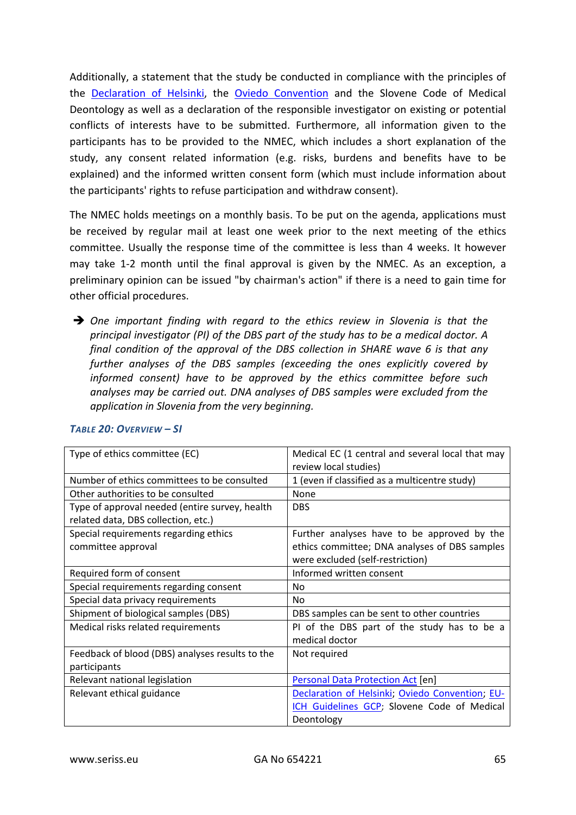Additionally, a statement that the study be conducted in compliance with the principles of the [Declaration of Helsinki,](http://www.wma.net/en/30publications/10policies/b3/17c.pdf) the [Oviedo Convention](http://conventions.coe.int/Treaty/en/Treaties/Html/164.htm) and the Slovene Code of Medical Deontology as well as a declaration of the responsible investigator on existing or potential conflicts of interests have to be submitted. Furthermore, all information given to the participants has to be provided to the NMEC, which includes a short explanation of the study, any consent related information (e.g. risks, burdens and benefits have to be explained) and the informed written consent form (which must include information about the participants' rights to refuse participation and withdraw consent).

The NMEC holds meetings on a monthly basis. To be put on the agenda, applications must be received by regular mail at least one week prior to the next meeting of the ethics committee. Usually the response time of the committee is less than 4 weeks. It however may take 1-2 month until the final approval is given by the NMEC. As an exception, a preliminary opinion can be issued "by chairman's action" if there is a need to gain time for other official procedures.

 *One important finding with regard to the ethics review in Slovenia is that the principal investigator (PI) of the DBS part of the study has to be a medical doctor. A final condition of the approval of the DBS collection in SHARE wave 6 is that any further analyses of the DBS samples (exceeding the ones explicitly covered by informed consent) have to be approved by the ethics committee before such analyses may be carried out. DNA analyses of DBS samples were excluded from the application in Slovenia from the very beginning.*

| Type of ethics committee (EC)                   | Medical EC (1 central and several local that may |
|-------------------------------------------------|--------------------------------------------------|
|                                                 | review local studies)                            |
| Number of ethics committees to be consulted     | 1 (even if classified as a multicentre study)    |
| Other authorities to be consulted               | None                                             |
| Type of approval needed (entire survey, health  | <b>DBS</b>                                       |
| related data, DBS collection, etc.)             |                                                  |
| Special requirements regarding ethics           | Further analyses have to be approved by the      |
| committee approval                              | ethics committee; DNA analyses of DBS samples    |
|                                                 | were excluded (self-restriction)                 |
| Required form of consent                        | Informed written consent                         |
| Special requirements regarding consent          | No                                               |
| Special data privacy requirements               | No.                                              |
| Shipment of biological samples (DBS)            | DBS samples can be sent to other countries       |
| Medical risks related requirements              | PI of the DBS part of the study has to be a      |
|                                                 | medical doctor                                   |
| Feedback of blood (DBS) analyses results to the | Not required                                     |
| participants                                    |                                                  |
| Relevant national legislation                   | Personal Data Protection Act [en]                |
| Relevant ethical guidance                       | Declaration of Helsinki; Oviedo Convention; EU-  |
|                                                 | ICH Guidelines GCP; Slovene Code of Medical      |
|                                                 | Deontology                                       |

#### *TABLE 20: OVERVIEW – SI*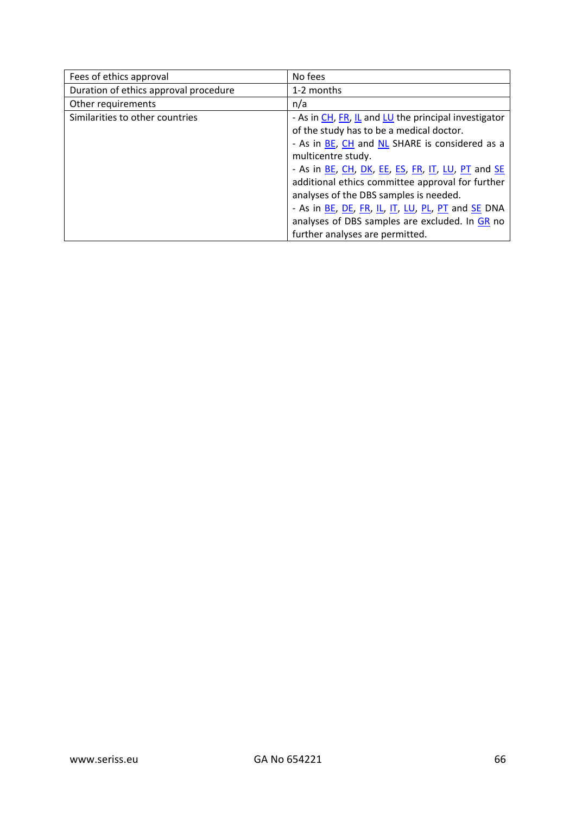| Fees of ethics approval               | No fees                                              |
|---------------------------------------|------------------------------------------------------|
| Duration of ethics approval procedure | 1-2 months                                           |
| Other requirements                    | n/a                                                  |
| Similarities to other countries       | - As in CH, FR, IL and LU the principal investigator |
|                                       | of the study has to be a medical doctor.             |
|                                       | - As in BE, CH and NL SHARE is considered as a       |
|                                       | multicentre study.                                   |
|                                       | - As in BE, CH, DK, EE, ES, FR, IT, LU, PT and SE    |
|                                       | additional ethics committee approval for further     |
|                                       | analyses of the DBS samples is needed.               |
|                                       | - As in BE, DE, FR, IL, IT, LU, PL, PT and SE DNA    |
|                                       | analyses of DBS samples are excluded. In GR no       |
|                                       | further analyses are permitted.                      |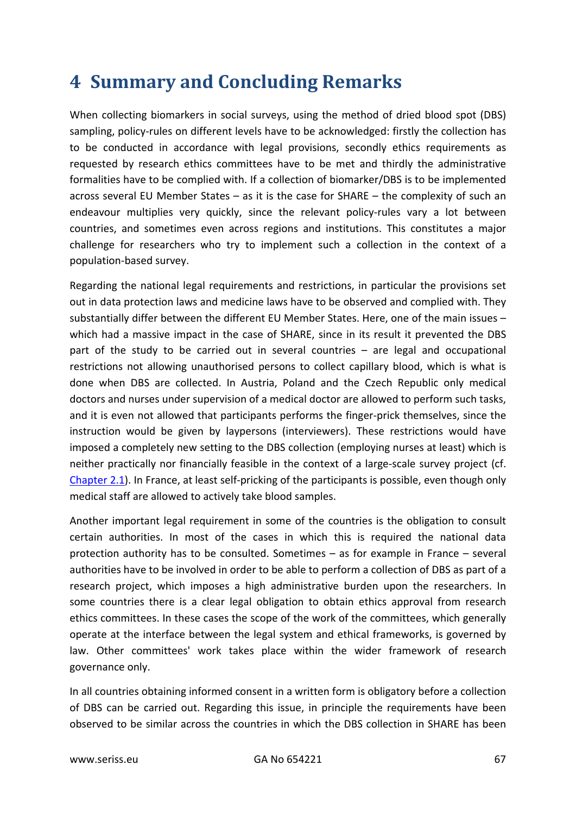# **4 Summary and Concluding Remarks**

When collecting biomarkers in social surveys, using the method of dried blood spot (DBS) sampling, policy-rules on different levels have to be acknowledged: firstly the collection has to be conducted in accordance with legal provisions, secondly ethics requirements as requested by research ethics committees have to be met and thirdly the administrative formalities have to be complied with. If a collection of biomarker/DBS is to be implemented across several EU Member States – as it is the case for SHARE – the complexity of such an endeavour multiplies very quickly, since the relevant policy-rules vary a lot between countries, and sometimes even across regions and institutions. This constitutes a major challenge for researchers who try to implement such a collection in the context of a population-based survey.

Regarding the national legal requirements and restrictions, in particular the provisions set out in data protection laws and medicine laws have to be observed and complied with. They substantially differ between the different EU Member States. Here, one of the main issues – which had a massive impact in the case of SHARE, since in its result it prevented the DBS part of the study to be carried out in several countries – are legal and occupational restrictions not allowing unauthorised persons to collect capillary blood, which is what is done when DBS are collected. In Austria, Poland and the Czech Republic only medical doctors and nurses under supervision of a medical doctor are allowed to perform such tasks, and it is even not allowed that participants performs the finger-prick themselves, since the instruction would be given by laypersons (interviewers). These restrictions would have imposed a completely new setting to the DBS collection (employing nurses at least) which is neither practically nor financially feasible in the context of a large-scale survey project (cf. [Chapter 2.1\)](#page-5-0). In France, at least self-pricking of the participants is possible, even though only medical staff are allowed to actively take blood samples.

Another important legal requirement in some of the countries is the obligation to consult certain authorities. In most of the cases in which this is required the national data protection authority has to be consulted. Sometimes – as for example in France – several authorities have to be involved in order to be able to perform a collection of DBS as part of a research project, which imposes a high administrative burden upon the researchers. In some countries there is a clear legal obligation to obtain ethics approval from research ethics committees. In these cases the scope of the work of the committees, which generally operate at the interface between the legal system and ethical frameworks, is governed by law. Other committees' work takes place within the wider framework of research governance only.

In all countries obtaining informed consent in a written form is obligatory before a collection of DBS can be carried out. Regarding this issue, in principle the requirements have been observed to be similar across the countries in which the DBS collection in SHARE has been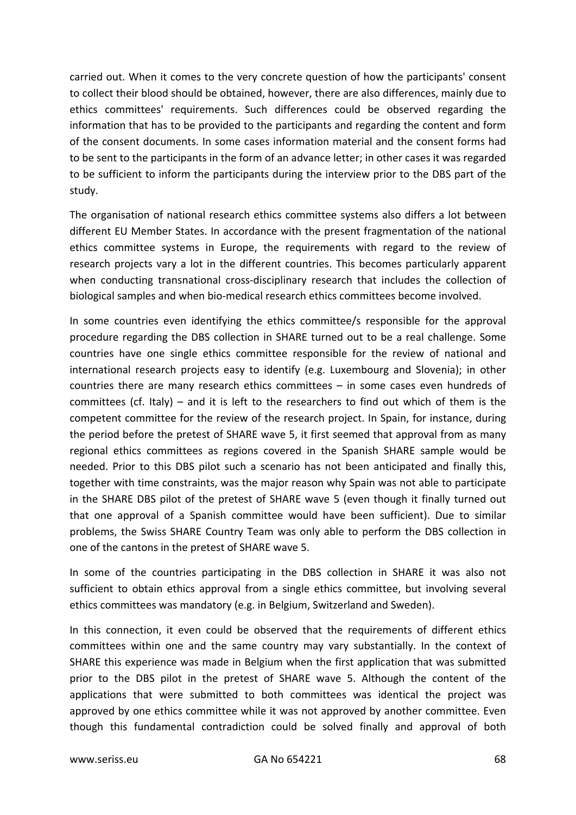carried out. When it comes to the very concrete question of how the participants' consent to collect their blood should be obtained, however, there are also differences, mainly due to ethics committees' requirements. Such differences could be observed regarding the information that has to be provided to the participants and regarding the content and form of the consent documents. In some cases information material and the consent forms had to be sent to the participants in the form of an advance letter; in other cases it was regarded to be sufficient to inform the participants during the interview prior to the DBS part of the study.

The organisation of national research ethics committee systems also differs a lot between different EU Member States. In accordance with the present fragmentation of the national ethics committee systems in Europe, the requirements with regard to the review of research projects vary a lot in the different countries. This becomes particularly apparent when conducting transnational cross-disciplinary research that includes the collection of biological samples and when bio-medical research ethics committees become involved.

In some countries even identifying the ethics committee/s responsible for the approval procedure regarding the DBS collection in SHARE turned out to be a real challenge. Some countries have one single ethics committee responsible for the review of national and international research projects easy to identify (e.g. Luxembourg and Slovenia); in other countries there are many research ethics committees – in some cases even hundreds of committees (cf. Italy) – and it is left to the researchers to find out which of them is the competent committee for the review of the research project. In Spain, for instance, during the period before the pretest of SHARE wave 5, it first seemed that approval from as many regional ethics committees as regions covered in the Spanish SHARE sample would be needed. Prior to this DBS pilot such a scenario has not been anticipated and finally this, together with time constraints, was the major reason why Spain was not able to participate in the SHARE DBS pilot of the pretest of SHARE wave 5 (even though it finally turned out that one approval of a Spanish committee would have been sufficient). Due to similar problems, the Swiss SHARE Country Team was only able to perform the DBS collection in one of the cantons in the pretest of SHARE wave 5.

In some of the countries participating in the DBS collection in SHARE it was also not sufficient to obtain ethics approval from a single ethics committee, but involving several ethics committees was mandatory (e.g. in Belgium, Switzerland and Sweden).

In this connection, it even could be observed that the requirements of different ethics committees within one and the same country may vary substantially. In the context of SHARE this experience was made in Belgium when the first application that was submitted prior to the DBS pilot in the pretest of SHARE wave 5. Although the content of the applications that were submitted to both committees was identical the project was approved by one ethics committee while it was not approved by another committee. Even though this fundamental contradiction could be solved finally and approval of both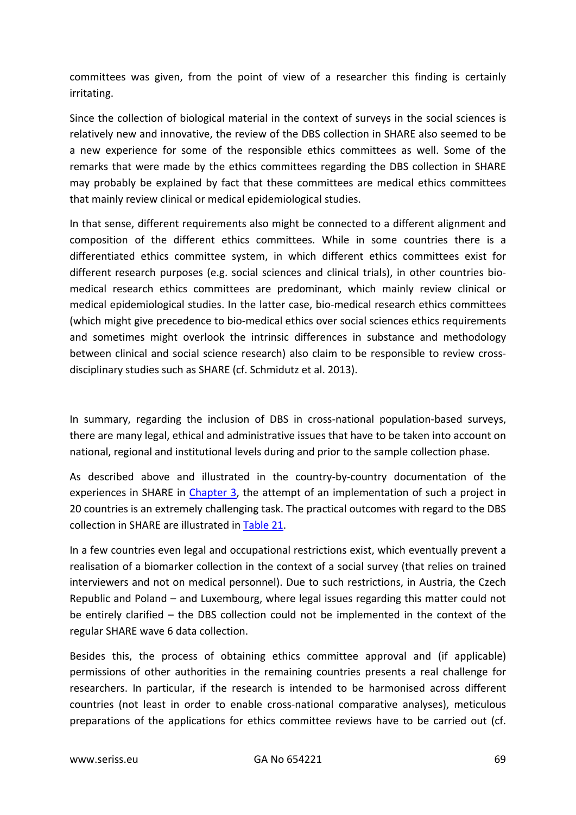committees was given, from the point of view of a researcher this finding is certainly irritating.

Since the collection of biological material in the context of surveys in the social sciences is relatively new and innovative, the review of the DBS collection in SHARE also seemed to be a new experience for some of the responsible ethics committees as well. Some of the remarks that were made by the ethics committees regarding the DBS collection in SHARE may probably be explained by fact that these committees are medical ethics committees that mainly review clinical or medical epidemiological studies.

In that sense, different requirements also might be connected to a different alignment and composition of the different ethics committees. While in some countries there is a differentiated ethics committee system, in which different ethics committees exist for different research purposes (e.g. social sciences and clinical trials), in other countries biomedical research ethics committees are predominant, which mainly review clinical or medical epidemiological studies. In the latter case, bio-medical research ethics committees (which might give precedence to bio-medical ethics over social sciences ethics requirements and sometimes might overlook the intrinsic differences in substance and methodology between clinical and social science research) also claim to be responsible to review crossdisciplinary studies such as SHARE (cf. Schmidutz et al. 2013).

In summary, regarding the inclusion of DBS in cross-national population-based surveys, there are many legal, ethical and administrative issues that have to be taken into account on national, regional and institutional levels during and prior to the sample collection phase.

As described above and illustrated in the country-by-country documentation of the experiences in SHARE in [Chapter 3,](#page-9-0) the attempt of an implementation of such a project in 20 countries is an extremely challenging task. The practical outcomes with regard to the DBS collection in SHARE are illustrated in [Table 21.](#page-69-0)

In a few countries even legal and occupational restrictions exist, which eventually prevent a realisation of a biomarker collection in the context of a social survey (that relies on trained interviewers and not on medical personnel). Due to such restrictions, in Austria, the Czech Republic and Poland – and Luxembourg, where legal issues regarding this matter could not be entirely clarified – the DBS collection could not be implemented in the context of the regular SHARE wave 6 data collection.

Besides this, the process of obtaining ethics committee approval and (if applicable) permissions of other authorities in the remaining countries presents a real challenge for researchers. In particular, if the research is intended to be harmonised across different countries (not least in order to enable cross-national comparative analyses), meticulous preparations of the applications for ethics committee reviews have to be carried out (cf.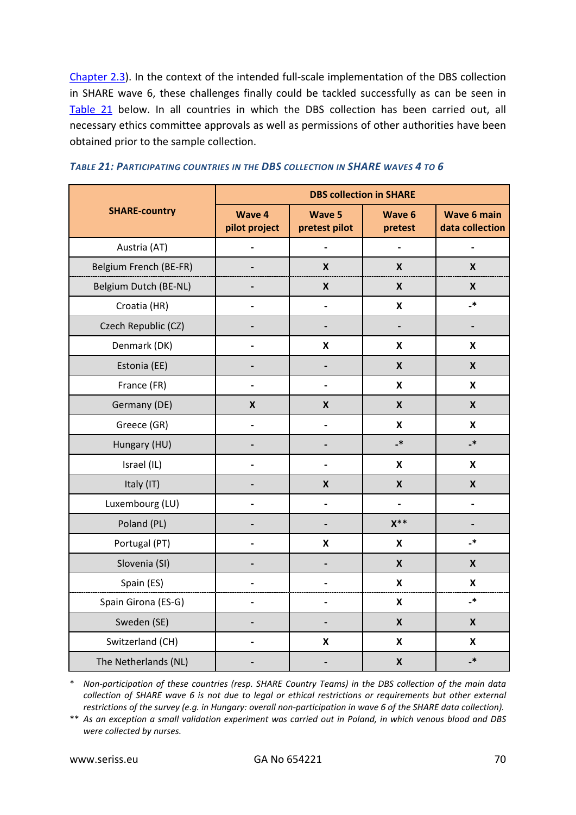[Chapter 2.3\)](#page-7-0). In the context of the intended full-scale implementation of the DBS collection in SHARE wave 6, these challenges finally could be tackled successfully as can be seen in [Table 21](#page-69-0) below. In all countries in which the DBS collection has been carried out, all necessary ethics committee approvals as well as permissions of other authorities have been obtained prior to the sample collection.

| <b>SHARE-country</b>   | <b>DBS collection in SHARE</b> |                                |                           |                                       |
|------------------------|--------------------------------|--------------------------------|---------------------------|---------------------------------------|
|                        | Wave 4<br>pilot project        | <b>Wave 5</b><br>pretest pilot | <b>Wave 6</b><br>pretest  | <b>Wave 6 main</b><br>data collection |
| Austria (AT)           |                                |                                |                           |                                       |
| Belgium French (BE-FR) |                                | $\pmb{\mathsf{X}}$             | $\pmb{\mathsf{X}}$        | $\pmb{\mathsf{X}}$                    |
| Belgium Dutch (BE-NL)  |                                | $\boldsymbol{\mathsf{X}}$      | $\pmb{\mathsf{X}}$        | $\pmb{\mathsf{X}}$                    |
| Croatia (HR)           | $\overline{a}$                 | $\overline{a}$                 | $\boldsymbol{\mathsf{x}}$ | $\cdot$                               |
| Czech Republic (CZ)    |                                |                                |                           |                                       |
| Denmark (DK)           |                                | $\pmb{\mathsf{X}}$             | $\boldsymbol{\mathsf{x}}$ | $\boldsymbol{\mathsf{x}}$             |
| Estonia (EE)           |                                |                                | $\boldsymbol{x}$          | $\boldsymbol{X}$                      |
| France (FR)            |                                |                                | X                         | $\mathsf{x}$                          |
| Germany (DE)           | $\boldsymbol{X}$               | $\boldsymbol{\mathsf{X}}$      | $\boldsymbol{X}$          | $\boldsymbol{X}$                      |
| Greece (GR)            |                                |                                | $\boldsymbol{\mathsf{x}}$ | $\pmb{\mathsf{X}}$                    |
| Hungary (HU)           |                                |                                | $\overline{\phantom{a}}$  | $\overline{\phantom{a}}$              |
| Israel (IL)            |                                |                                | $\boldsymbol{\mathsf{x}}$ | $\boldsymbol{\mathsf{x}}$             |
| Italy (IT)             |                                | $\boldsymbol{\mathsf{X}}$      | $\boldsymbol{\mathsf{X}}$ | $\boldsymbol{X}$                      |
| Luxembourg (LU)        |                                |                                |                           |                                       |
| Poland (PL)            |                                |                                | $X^{\ast\ast}$            |                                       |
| Portugal (PT)          |                                | X                              | X                         | $\cdot^*$                             |
| Slovenia (SI)          |                                |                                | $\boldsymbol{x}$          | $\boldsymbol{\mathsf{x}}$             |
| Spain (ES)             |                                |                                | $\pmb{\mathsf{X}}$        | $\pmb{\mathsf{X}}$                    |
| Spain Girona (ES-G)    |                                | $\overline{a}$                 | $\boldsymbol{\mathsf{x}}$ | $\cdot^*$                             |
| Sweden (SE)            |                                |                                | $\boldsymbol{X}$          | $\boldsymbol{\mathsf{X}}$             |
| Switzerland (CH)       |                                | $\boldsymbol{\mathsf{X}}$      | $\boldsymbol{\mathsf{x}}$ | $\boldsymbol{\mathsf{x}}$             |
| The Netherlands (NL)   |                                |                                | $\pmb{\mathsf{X}}$        | _*                                    |

<span id="page-69-0"></span>

\* *Non-participation of these countries (resp. SHARE Country Teams) in the DBS collection of the main data collection of SHARE wave 6 is not due to legal or ethical restrictions or requirements but other external restrictions of the survey (e.g. in Hungary: overall non-participation in wave 6 of the SHARE data collection).*

\*\* *As an exception a small validation experiment was carried out in Poland, in which venous blood and DBS were collected by nurses.*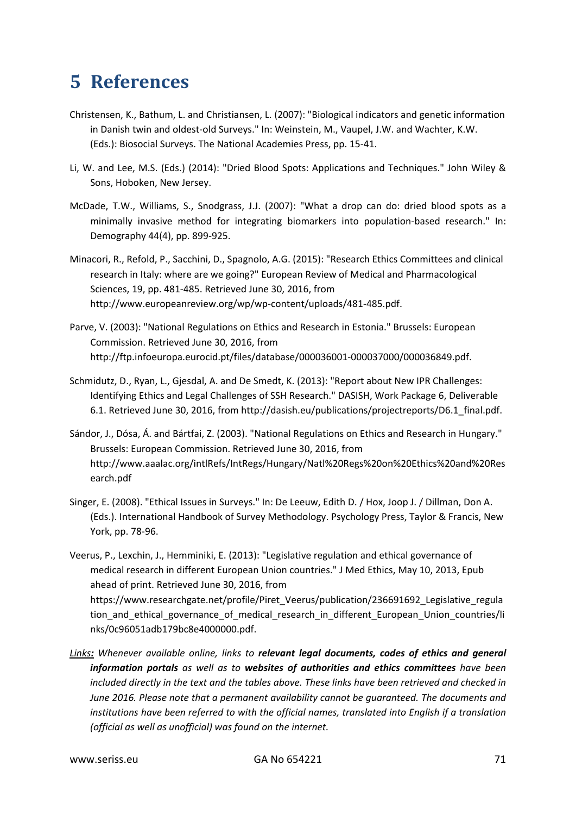# **5 References**

- Christensen, K., Bathum, L. and Christiansen, L. (2007): "Biological indicators and genetic information in Danish twin and oldest-old Surveys." In: Weinstein, M., Vaupel, J.W. and Wachter, K.W. (Eds.): Biosocial Surveys. The National Academies Press, pp. 15-41.
- Li, W. and Lee, M.S. (Eds.) (2014): "Dried Blood Spots: Applications and Techniques." John Wiley & Sons, Hoboken, New Jersey.
- McDade, T.W., Williams, S., Snodgrass, J.J. (2007): "What a drop can do: dried blood spots as a minimally invasive method for integrating biomarkers into population-based research." In: Demography 44(4), pp. 899-925.
- Minacori, R., Refold, P., Sacchini, D., Spagnolo, A.G. (2015): "Research Ethics Committees and clinical research in Italy: where are we going?" European Review of Medical and Pharmacological Sciences, 19, pp. 481-485. Retrieved June 30, 2016, from http://www.europeanreview.org/wp/wp-content/uploads/481-485.pdf.
- Parve, V. (2003): "National Regulations on Ethics and Research in Estonia." Brussels: European Commission. Retrieved June 30, 2016, from http://ftp.infoeuropa.eurocid.pt/files/database/000036001-000037000/000036849.pdf.
- Schmidutz, D., Ryan, L., Gjesdal, A. and De Smedt, K. (2013): "Report about New IPR Challenges: Identifying Ethics and Legal Challenges of SSH Research." DASISH, Work Package 6, Deliverable 6.1. Retrieved June 30, 2016, from http://dasish.eu/publications/projectreports/D6.1\_final.pdf.
- Sándor, J., Dósa, Á. and Bártfai, Z. (2003). "National Regulations on Ethics and Research in Hungary." Brussels: European Commission. Retrieved June 30, 2016, from http://www.aaalac.org/intlRefs/IntRegs/Hungary/Natl%20Regs%20on%20Ethics%20and%20Res earch.pdf
- Singer, E. (2008). "Ethical Issues in Surveys." In: De Leeuw, Edith D. / Hox, Joop J. / Dillman, Don A. (Eds.). International Handbook of Survey Methodology. Psychology Press, Taylor & Francis, New York, pp. 78-96.
- Veerus, P., Lexchin, J., Hemminiki, E. (2013): "Legislative regulation and ethical governance of medical research in different European Union countries." J Med Ethics, May 10, 2013, Epub ahead of print. Retrieved June 30, 2016, from https://www.researchgate.net/profile/Piret\_Veerus/publication/236691692\_Legislative\_regula tion\_and\_ethical\_governance\_of\_medical\_research\_in\_different\_European\_Union\_countries/li nks/0c96051adb179bc8e4000000.pdf.
- *Links: Whenever available online, links to relevant legal documents, codes of ethics and general information portals as well as to websites of authorities and ethics committees have been included directly in the text and the tables above. These links have been retrieved and checked in June 2016. Please note that a permanent availability cannot be guaranteed. The documents and institutions have been referred to with the official names, translated into English if a translation (official as well as unofficial) was found on the internet.*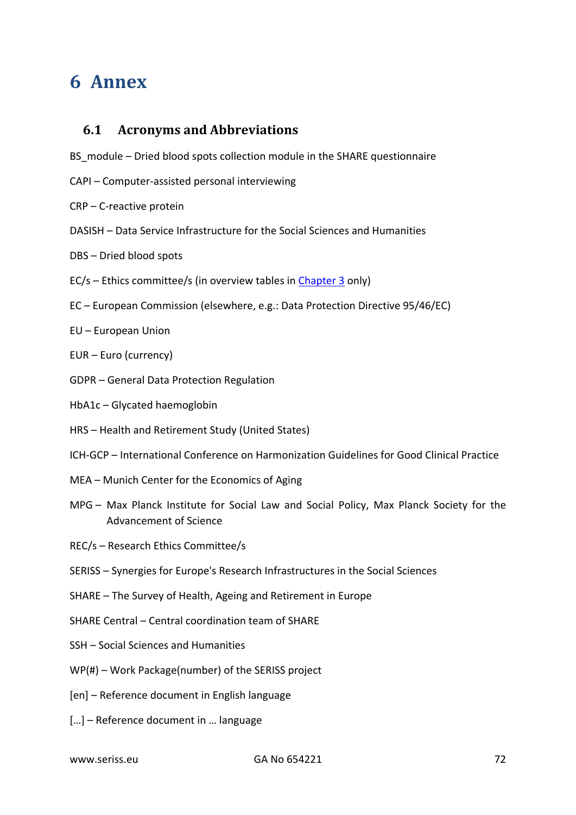# **6 Annex**

# **6.1 Acronyms and Abbreviations**

BS module – Dried blood spots collection module in the SHARE questionnaire

- CAPI Computer-assisted personal interviewing
- CRP C-reactive protein
- DASISH Data Service Infrastructure for the Social Sciences and Humanities
- DBS Dried blood spots
- EC/s Ethics committee/s (in overview tables in [Chapter 3](#page-9-0) only)
- EC European Commission (elsewhere, e.g.: Data Protection Directive 95/46/EC)
- EU European Union
- EUR Euro (currency)
- GDPR General Data Protection Regulation
- HbA1c Glycated haemoglobin
- HRS Health and Retirement Study (United States)
- ICH-GCP International Conference on Harmonization Guidelines for Good Clinical Practice
- MEA Munich Center for the Economics of Aging
- MPG Max Planck Institute for Social Law and Social Policy, Max Planck Society for the Advancement of Science
- REC/s Research Ethics Committee/s
- SERISS Synergies for Europe's Research Infrastructures in the Social Sciences
- SHARE The Survey of Health, Ageing and Retirement in Europe
- SHARE Central Central coordination team of SHARE
- SSH Social Sciences and Humanities
- WP(#) Work Package(number) of the SERISS project
- [en] Reference document in English language
- […] Reference document in … language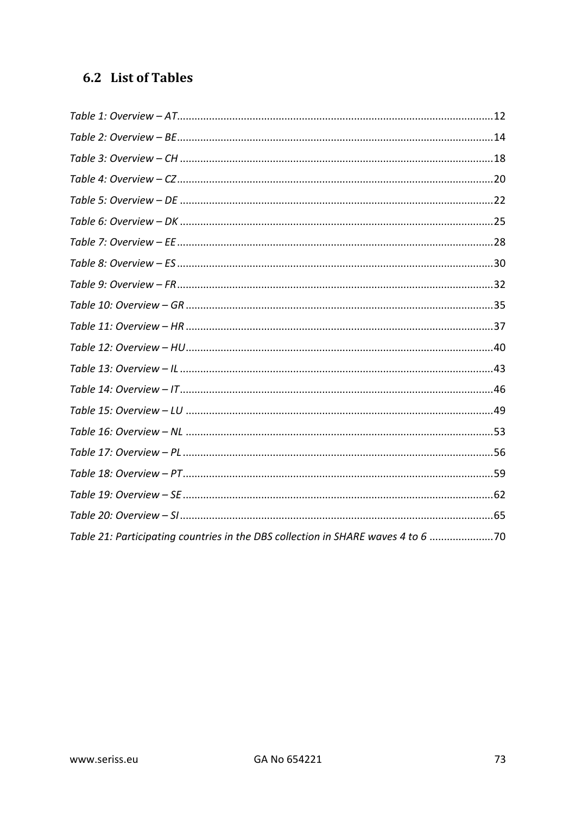# 6.2 List of Tables

| Table 21: Participating countries in the DBS collection in SHARE waves 4 to 6 70 |  |
|----------------------------------------------------------------------------------|--|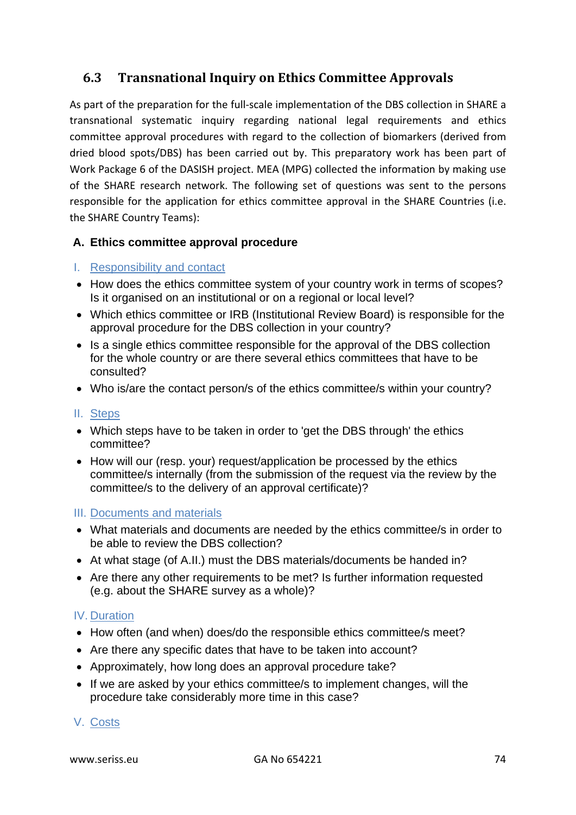# **6.3 Transnational Inquiry on Ethics Committee Approvals**

As part of the preparation for the full-scale implementation of the DBS collection in SHARE a transnational systematic inquiry regarding national legal requirements and ethics committee approval procedures with regard to the collection of biomarkers (derived from dried blood spots/DBS) has been carried out by. This preparatory work has been part of Work Package 6 of the DASISH project. MEA (MPG) collected the information by making use of the SHARE research network. The following set of questions was sent to the persons responsible for the application for ethics committee approval in the SHARE Countries (i.e. the SHARE Country Teams):

## **A. Ethics committee approval procedure**

## I. Responsibility and contact

- How does the ethics committee system of your country work in terms of scopes? Is it organised on an institutional or on a regional or local level?
- Which ethics committee or IRB (Institutional Review Board) is responsible for the approval procedure for the DBS collection in your country?
- Is a single ethics committee responsible for the approval of the DBS collection for the whole country or are there several ethics committees that have to be consulted?
- Who is/are the contact person/s of the ethics committee/s within your country?

### II. Steps

- Which steps have to be taken in order to 'get the DBS through' the ethics committee?
- How will our (resp. your) request/application be processed by the ethics committee/s internally (from the submission of the request via the review by the committee/s to the delivery of an approval certificate)?

### III. Documents and materials

- What materials and documents are needed by the ethics committee/s in order to be able to review the DBS collection?
- At what stage (of A.II.) must the DBS materials/documents be handed in?
- Are there any other requirements to be met? Is further information requested (e.g. about the SHARE survey as a whole)?

### IV. Duration

- How often (and when) does/do the responsible ethics committee/s meet?
- Are there any specific dates that have to be taken into account?
- Approximately, how long does an approval procedure take?
- If we are asked by your ethics committee/s to implement changes, will the procedure take considerably more time in this case?

## V. Costs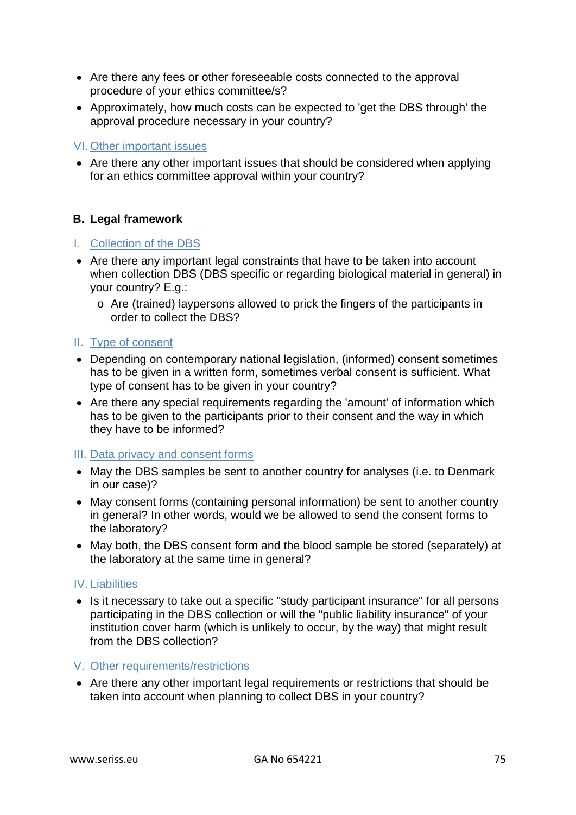- Are there any fees or other foreseeable costs connected to the approval procedure of your ethics committee/s?
- Approximately, how much costs can be expected to 'get the DBS through' the approval procedure necessary in your country?

### VI. Other important issues

• Are there any other important issues that should be considered when applying for an ethics committee approval within your country?

### **B. Legal framework**

### I. Collection of the DBS

- Are there any important legal constraints that have to be taken into account when collection DBS (DBS specific or regarding biological material in general) in your country? E.g.:
	- o Are (trained) laypersons allowed to prick the fingers of the participants in order to collect the DBS?

### II. Type of consent

- Depending on contemporary national legislation, (informed) consent sometimes has to be given in a written form, sometimes verbal consent is sufficient. What type of consent has to be given in your country?
- Are there any special requirements regarding the 'amount' of information which has to be given to the participants prior to their consent and the way in which they have to be informed?

### III. Data privacy and consent forms

- May the DBS samples be sent to another country for analyses (i.e. to Denmark in our case)?
- May consent forms (containing personal information) be sent to another country in general? In other words, would we be allowed to send the consent forms to the laboratory?
- May both, the DBS consent form and the blood sample be stored (separately) at the laboratory at the same time in general?

### IV. Liabilities

• Is it necessary to take out a specific "study participant insurance" for all persons participating in the DBS collection or will the "public liability insurance" of your institution cover harm (which is unlikely to occur, by the way) that might result from the DBS collection?

### V. Other requirements/restrictions

• Are there any other important legal requirements or restrictions that should be taken into account when planning to collect DBS in your country?